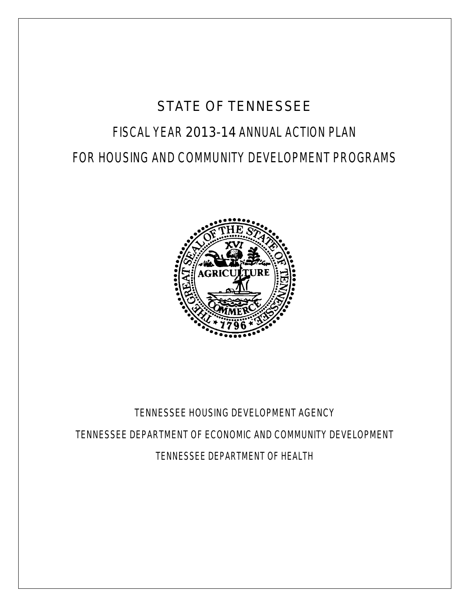# STATE OF TENNESSEE FISCAL YEAR 2013-14 ANNUAL ACTION PLAN FOR HOUSING AND COMMUNITY DEVELOPMENT PROGRAMS



## TENNESSEE HOUSING DEVELOPMENT AGENCY TENNESSEE DEPARTMENT OF ECONOMIC AND COMMUNITY DEVELOPMENT TENNESSEE DEPARTMENT OF HEALTH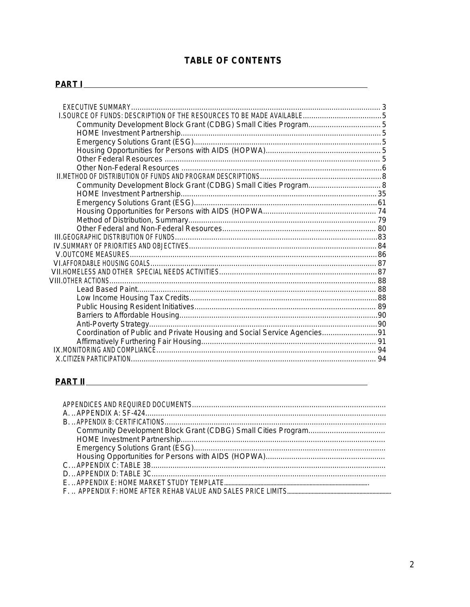## **TABLE OF CONTENTS**

#### PART I PART I PART I PART I PART I PART I PART I PART I PART I PART I PART I PART I PART I PART I PART I PART

| Coordination of Public and Private Housing and Social Service Agencies91 |  |
|--------------------------------------------------------------------------|--|
|                                                                          |  |
|                                                                          |  |
|                                                                          |  |

## **PART II**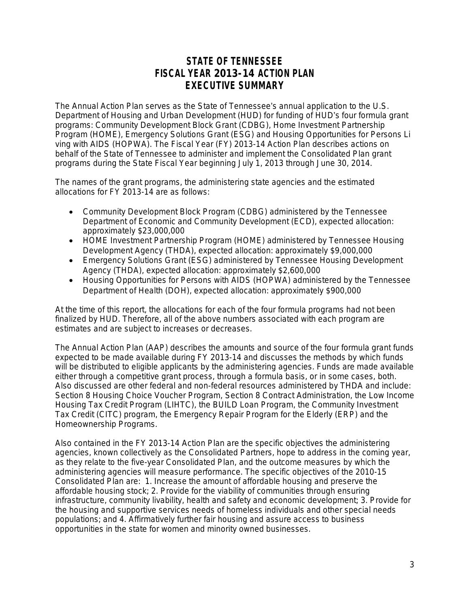## **STATE OF TENNESSEE FISCAL YEAR 2013-14 ACTION PLAN EXECUTIVE SUMMARY**

The Annual Action Plan serves as the State of Tennessee's annual application to the U.S. Department of Housing and Urban Development (HUD) for funding of HUD's four formula grant programs: Community Development Block Grant (CDBG), Home Investment Partnership Program (HOME), Emergency Solutions Grant (ESG) and Housing Opportunities for Persons Li ving with AIDS (HOPWA). The Fiscal Year (FY) 2013-14 Action Plan describes actions on behalf of the State of Tennessee to administer and implement the Consolidated Plan grant programs during the State Fiscal Year beginning July 1, 2013 through June 30, 2014.

The names of the grant programs, the administering state agencies and the *estimated* allocations for FY 2013-14 are as follows:

- Community Development Block Program (CDBG) administered by the Tennessee Department of Economic and Community Development (ECD), expected allocation: *approximately* \$23,000,000
- HOME Investment Partnership Program (HOME) administered by Tennessee Housing Development Agency (THDA), expected allocation: *approximately* \$9,000,000
- Emergency Solutions Grant (ESG) administered by Tennessee Housing Development Agency (THDA), expected allocation: *approximately* \$2,600,000
- Housing Opportunities for Persons with AIDS (HOPWA) administered by the Tennessee Department of Health (DOH), expected allocation: *approximately* \$900,000

At the time of this report, the allocations for each of the four formula programs had not been finalized by HUD. Therefore, all of the above numbers associated with each program are estimates and are subject to increases or decreases.

The Annual Action Plan (AAP) describes the amounts and source of the four formula grant funds expected to be made available during FY 2013-14 and discusses the methods by which funds will be distributed to eligible applicants by the administering agencies. Funds are made available either through a competitive grant process, through a formula basis, or in some cases, both. Also discussed are other federal and non-federal resources administered by THDA and include: Section 8 Housing Choice Voucher Program, Section 8 Contract Administration, the Low Income Housing Tax Credit Program (LIHTC), the BUILD Loan Program, the Community Investment Tax Credit (CITC) program, the Emergency Repair Program for the Elderly (ERP) and the Homeownership Programs.

Also contained in the FY 2013-14 Action Plan are the specific objectives the administering agencies, known collectively as the Consolidated Partners, hope to address in the coming year, as they relate to the five-year Consolidated Plan, and the outcome measures by which the administering agencies will measure performance. The specific objectives of the 2010-15 Consolidated Plan are: 1. Increase the amount of affordable housing and preserve the affordable housing stock; 2. Provide for the viability of communities through ensuring infrastructure, community livability, health and safety and economic development; 3. Provide for the housing and supportive services needs of homeless individuals and other special needs populations; and 4. Affirmatively further fair housing and assure access to business opportunities in the state for women and minority owned businesses.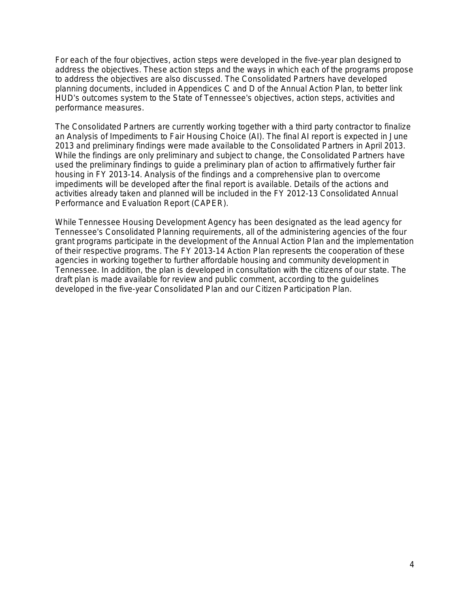For each of the four objectives, action steps were developed in the five-year plan designed to address the objectives. These action steps and the ways in which each of the programs propose to address the objectives are also discussed. The Consolidated Partners have developed planning documents, included in Appendices C and D of the Annual Action Plan, to better link HUD's outcomes system to the State of Tennessee's objectives, action steps, activities and performance measures.

The Consolidated Partners are currently working together with a third party contractor to finalize an Analysis of Impediments to Fair Housing Choice (AI). The final AI report is expected in June 2013 and preliminary findings were made available to the Consolidated Partners in April 2013. While the findings are only preliminary and subject to change, the Consolidated Partners have used the preliminary findings to guide a preliminary plan of action to affirmatively further fair housing in FY 2013-14. Analysis of the findings and a comprehensive plan to overcome impediments will be developed after the final report is available. Details of the actions and activities already taken and planned will be included in the FY 2012-13 Consolidated Annual Performance and Evaluation Report (CAPER).

While Tennessee Housing Development Agency has been designated as the lead agency for Tennessee's Consolidated Planning requirements, all of the administering agencies of the four grant programs participate in the development of the Annual Action Plan and the implementation of their respective programs. The FY 2013-14 Action Plan represents the cooperation of these agencies in working together to further affordable housing and community development in Tennessee. In addition, the plan is developed in consultation with the citizens of our state. The draft plan is made available for review and public comment, according to the guidelines developed in the five-year Consolidated Plan and our Citizen Participation Plan.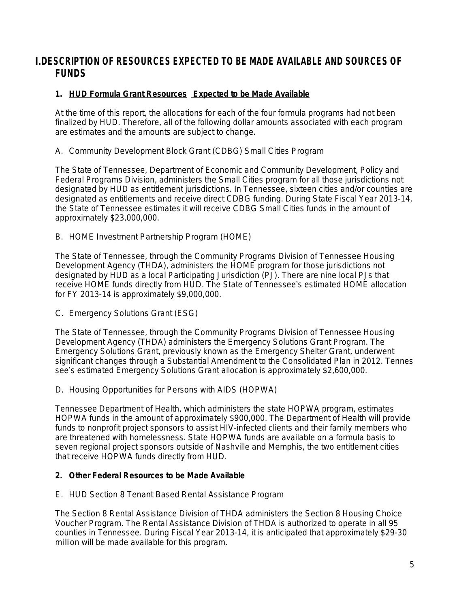## **I.DESCRIPTION OF RESOURCES EXPECTED TO BE MADE AVAILABLE AND SOURCES OF FUNDS**

#### **1. HUD Formula Grant Resources Expected to be Made Available**

*At the time of this report, the allocations for each of the four formula programs had not been finalized by HUD. Therefore, all of the following dollar amounts associated with each program are estimates and the amounts are subject to change.*

A. Community Development Block Grant (CDBG) Small Cities Program

The State of Tennessee, Department of Economic and Community Development, Policy and Federal Programs Division, administers the Small Cities program for all those jurisdictions not designated by HUD as entitlement jurisdictions. In Tennessee, sixteen cities and/or counties are designated as entitlements and receive direct CDBG funding. During State Fiscal Year 2013-14, the State of Tennessee *estimates* it will receive CDBG Small Cities funds in the amount of approximately \$23,000,000.

B. HOME Investment Partnership Program (HOME)

The State of Tennessee, through the Community Programs Division of Tennessee Housing Development Agency (THDA), administers the HOME program for those jurisdictions not designated by HUD as a local Participating Jurisdiction (PJ). There are nine local PJs that receive HOME funds directly from HUD. The State of Tennessee's *estimated* HOME allocation for FY 2013-14 is approximately \$9,000,000.

C. Emergency Solutions Grant (ESG)

The State of Tennessee, through the Community Programs Division of Tennessee Housing Development Agency (THDA) administers the Emergency Solutions Grant Program. The Emergency Solutions Grant, previously known as the Emergency Shelter Grant, underwent significant changes through a Substantial Amendment to the Consolidated Plan in 2012. Tennes see's *estimated* Emergency Solutions Grant allocation is approximately \$2,600,000.

D. Housing Opportunities for Persons with AIDS (HOPWA)

Tennessee Department of Health, which administers the state HOPWA program, *estimates* HOPWA funds in the amount of approximately \$900,000. The Department of Health will provide funds to nonprofit project sponsors to assist HIV-infected clients and their family members who are threatened with homelessness. State HOPWA funds are available on a formula basis to seven regional project sponsors outside of Nashville and Memphis, the two entitlement cities that receive HOPWA funds directly from HUD.

#### **2. Other Federal Resources to be Made Available**

E. HUD Section 8 Tenant Based Rental Assistance Program

The Section 8 Rental Assistance Division of THDA administers the Section 8 Housing Choice Voucher Program. The Rental Assistance Division of THDA is authorized to operate in all 95 counties in Tennessee. During Fiscal Year 2013-14, it is anticipated that approximately \$29-30 million will be made available for this program.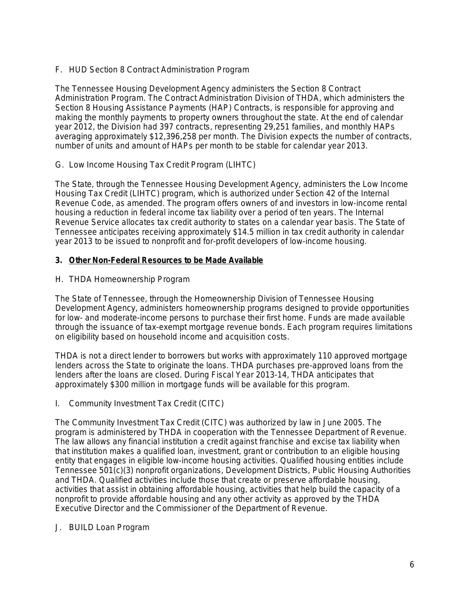F. HUD Section 8 Contract Administration Program

The Tennessee Housing Development Agency administers the Section 8 Contract Administration Program. The Contract Administration Division of THDA, which administers the Section 8 Housing Assistance Payments (HAP) Contracts, is responsible for approving and making the monthly payments to property owners throughout the state. At the end of calendar year 2012, the Division had 397 contracts, representing 29,251 families, and monthly HAPs averaging approximately \$12,396,258 per month. The Division expects the number of contracts, number of units and amount of HAPs per month to be stable for calendar year 2013.

G. Low Income Housing Tax Credit Program (LIHTC)

The State, through the Tennessee Housing Development Agency, administers the Low Income Housing Tax Credit (LIHTC) program, which is authorized under Section 42 of the Internal Revenue Code, as amended. The program offers owners of and investors in low-income rental housing a reduction in federal income tax liability over a period of ten years. The Internal Revenue Service allocates tax credit authority to states on a calendar year basis. The State of Tennessee anticipates receiving approximately \$14.5 million in tax credit authority in calendar year 2013 to be issued to nonprofit and for-profit developers of low-income housing.

#### **3. Other Non-Federal Resources to be Made Available**

H. THDA Homeownership Program

The State of Tennessee, through the Homeownership Division of Tennessee Housing Development Agency, administers homeownership programs designed to provide opportunities for low- and moderate-income persons to purchase their first home. Funds are made available through the issuance of tax-exempt mortgage revenue bonds. Each program requires limitations on eligibility based on household income and acquisition costs.

THDA is not a direct lender to borrowers but works with approximately 110 approved mortgage lenders across the State to originate the loans. THDA purchases pre-approved loans from the lenders after the loans are closed. During Fiscal Year 2013-14, THDA anticipates that approximately \$300 million in mortgage funds will be available for this program.

I. Community Investment Tax Credit (CITC)

The Community Investment Tax Credit (CITC) was authorized by law in June 2005. The program is administered by THDA in cooperation with the Tennessee Department of Revenue. The law allows any financial institution a credit against franchise and excise tax liability when that institution makes a qualified loan, investment, grant or contribution to an eligible housing entity that engages in eligible low-income housing activities. Qualified housing entities include Tennessee 501(c)(3) nonprofit organizations, Development Districts, Public Housing Authorities and THDA. Qualified activities include those that create or preserve affordable housing, activities that assist in obtaining affordable housing, activities that help build the capacity of a nonprofit to provide affordable housing and any other activity as approved by the THDA Executive Director and the Commissioner of the Department of Revenue.

J. BUILD Loan Program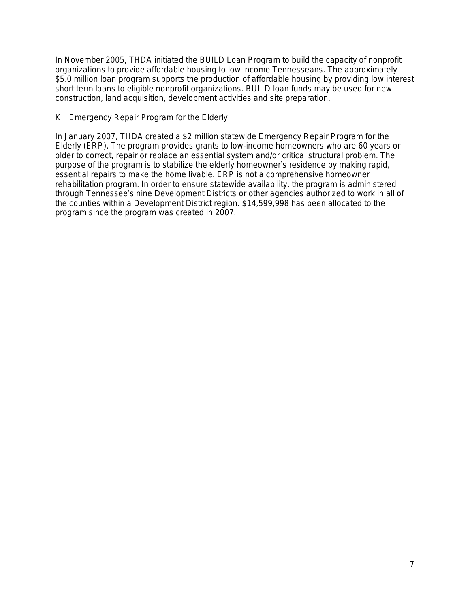In November 2005, THDA initiated the BUILD Loan Program to build the capacity of nonprofit organizations to provide affordable housing to low income Tennesseans. The approximately \$5.0 million loan program supports the production of affordable housing by providing low interest short term loans to eligible nonprofit organizations. BUILD loan funds may be used for new construction, land acquisition, development activities and site preparation.

#### K. Emergency Repair Program for the Elderly

In January 2007, THDA created a \$2 million statewide Emergency Repair Program for the Elderly (ERP). The program provides grants to low-income homeowners who are 60 years or older to correct, repair or replace an essential system and/or critical structural problem. The purpose of the program is to stabilize the elderly homeowner's residence by making rapid, essential repairs to make the home livable. ERP is not a comprehensive homeowner rehabilitation program. In order to ensure statewide availability, the program is administered through Tennessee's nine Development Districts or other agencies authorized to work in all of the counties within a Development District region. \$14,599,998 has been allocated to the program since the program was created in 2007.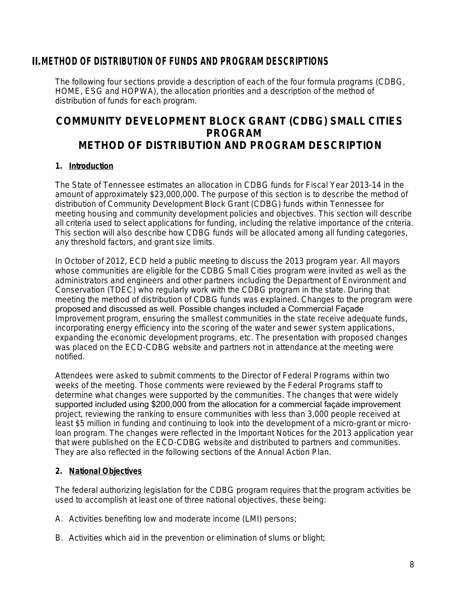### **II.METHOD OF DISTRIBUTION OF FUNDS AND PROGRAM DESCRIPTIONS**

The following four sections provide a description of each of the four formula programs (CDBG, HOME, ESG and HOPWA), the allocation priorities and a description of the method of distribution of funds for each program.

## **COMMUNITY DEVELOPMENT BLOCK GRANT (CDBG) SMALL CITIES PROGRAM METHOD OF DISTRIBUTION AND PROGRAM DESCRIPTION**

#### **1. Introduction**

The State of Tennessee *estimates* an allocation in CDBG funds for Fiscal Year 2013-14 in the amount of approximately \$23,000,000. The purpose of this section is to describe the method of distribution of Community Development Block Grant (CDBG) funds within Tennessee for meeting housing and community development policies and objectives. This section will describe all criteria used to select applications for funding, including the relative importance of the criteria. This section will also describe how CDBG funds will be allocated among all funding categories, any threshold factors, and grant size limits.

In October of 2012, ECD held a public meeting to discuss the 2013 program year. All mayors whose communities are eligible for the CDBG Small Cities program were invited as well as the administrators and engineers and other partners including the Department of Environment and Conservation (TDEC) who regularly work with the CDBG program in the state. During that meeting the method of distribution of CDBG funds was explained. Changes to the program were proposed and discussed as well. Possible changes included a Commercial Façade Improvement program, ensuring the smallest communities in the state receive adequate funds, incorporating energy efficiency into the scoring of the water and sewer system applications, expanding the economic development programs, etc. The presentation with proposed changes was placed on the ECD-CDBG website and partners not in attendance at the meeting were notified.

Attendees were asked to submit comments to the Director of Federal Programs within two weeks of the meeting. Those comments were reviewed by the Federal Programs staff to determine what changes were supported by the communities. The changes that were widely supported included using \$200,000 from the allocation for a commercial façade improvement project, reviewing the ranking to ensure communities with less than 3,000 people received at least \$5 million in funding and continuing to look into the development of a micro-grant or microloan program. The changes were reflected in the Important Notices for the 2013 application year that were published on the ECD-CDBG website and distributed to partners and communities. They are also reflected in the following sections of the Annual Action Plan.

#### **2. National Objectives**

The federal authorizing legislation for the CDBG program requires that the program activities be used to accomplish at least one of three national objectives, these being:

- A. Activities benefiting low and moderate income (LMI) persons;
- B. Activities which aid in the prevention or elimination of slums or blight;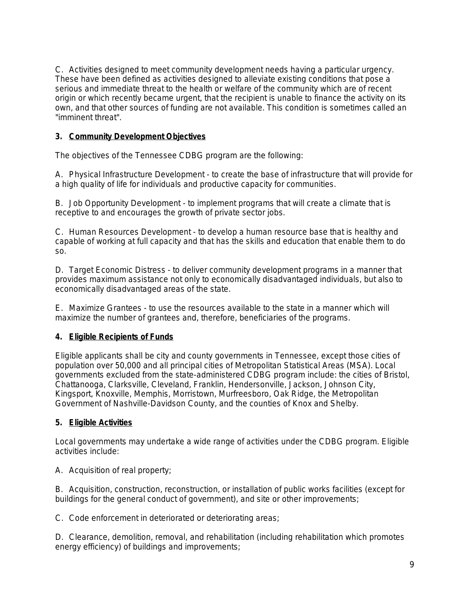C. Activities designed to meet community development needs having a particular urgency. These have been defined as activities designed to alleviate existing conditions that pose a serious and immediate threat to the health or welfare of the community which are of recent origin or which recently became urgent, that the recipient is unable to finance the activity on its own, and that other sources of funding are not available. This condition is sometimes called an "imminent threat".

#### **3. Community Development Objectives**

The objectives of the Tennessee CDBG program are the following:

A. Physical Infrastructure Development - to create the base of infrastructure that will provide for a high quality of life for individuals and productive capacity for communities.

B. Job Opportunity Development - to implement programs that will create a climate that is receptive to and encourages the growth of private sector jobs.

C. Human Resources Development - to develop a human resource base that is healthy and capable of working at full capacity and that has the skills and education that enable them to do so.

D. Target Economic Distress - to deliver community development programs in a manner that provides maximum assistance not only to economically disadvantaged individuals, but also to economically disadvantaged areas of the state.

E. Maximize Grantees - to use the resources available to the state in a manner which will maximize the number of grantees and, therefore, beneficiaries of the programs.

#### **4. Eligible Recipients of Funds**

Eligible applicants shall be city and county governments in Tennessee, except those cities of population over 50,000 and all principal cities of Metropolitan Statistical Areas (MSA). Local governments excluded from the state-administered CDBG program include: the cities of Bristol, Chattanooga, Clarksville, Cleveland, Franklin, Hendersonville, Jackson, Johnson City, Kingsport, Knoxville, Memphis, Morristown, Murfreesboro, Oak Ridge, the Metropolitan Government of Nashville-Davidson County, and the counties of Knox and Shelby.

#### **5. Eligible Activities**

Local governments may undertake a wide range of activities under the CDBG program. Eligible activities include:

A. Acquisition of real property;

B. Acquisition, construction, reconstruction, or installation of public works facilities (except for buildings for the general conduct of government), and site or other improvements;

C. Code enforcement in deteriorated or deteriorating areas;

D. Clearance, demolition, removal, and rehabilitation (including rehabilitation which promotes energy efficiency) of buildings and improvements;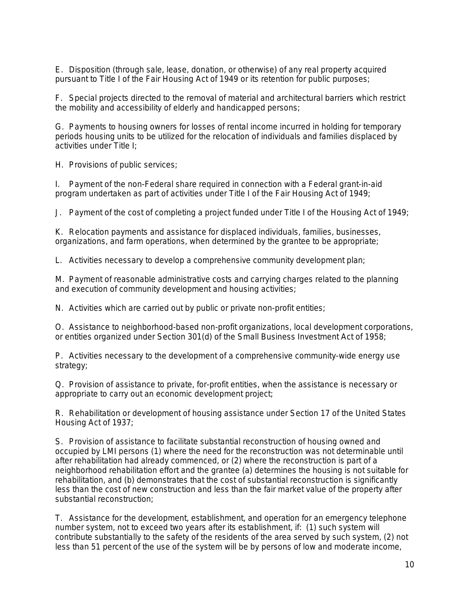E. Disposition (through sale, lease, donation, or otherwise) of any real property acquired pursuant to Title I of the Fair Housing Act of 1949 or its retention for public purposes;

F. Special projects directed to the removal of material and architectural barriers which restrict the mobility and accessibility of elderly and handicapped persons;

G. Payments to housing owners for losses of rental income incurred in holding for temporary periods housing units to be utilized for the relocation of individuals and families displaced by activities under Title I;

H. Provisions of public services;

I. Payment of the non-Federal share required in connection with a Federal grant-in-aid program undertaken as part of activities under Title I of the Fair Housing Act of 1949;

J. Payment of the cost of completing a project funded under Title I of the Housing Act of 1949;

K. Relocation payments and assistance for displaced individuals, families, businesses, organizations, and farm operations, when determined by the grantee to be appropriate;

L. Activities necessary to develop a comprehensive community development plan;

M. Payment of reasonable administrative costs and carrying charges related to the planning and execution of community development and housing activities;

N. Activities which are carried out by public or private non-profit entities;

O. Assistance to neighborhood-based non-profit organizations, local development corporations, or entities organized under Section 301(d) of the Small Business Investment Act of 1958;

P. Activities necessary to the development of a comprehensive community-wide energy use strategy;

Q. Provision of assistance to private, for-profit entities, when the assistance is necessary or appropriate to carry out an economic development project;

R. Rehabilitation or development of housing assistance under Section 17 of the United States Housing Act of 1937;

S. Provision of assistance to facilitate substantial reconstruction of housing owned and occupied by LMI persons (1) where the need for the reconstruction was not determinable until after rehabilitation had already commenced, or (2) where the reconstruction is part of a neighborhood rehabilitation effort and the grantee (a) determines the housing is not suitable for rehabilitation, and (b) demonstrates that the cost of substantial reconstruction is significantly less than the cost of new construction and less than the fair market value of the property after substantial reconstruction;

T. Assistance for the development, establishment, and operation for an emergency telephone number system, not to exceed two years after its establishment, if: (1) such system will contribute substantially to the safety of the residents of the area served by such system, (2) not less than 51 percent of the use of the system will be by persons of low and moderate income,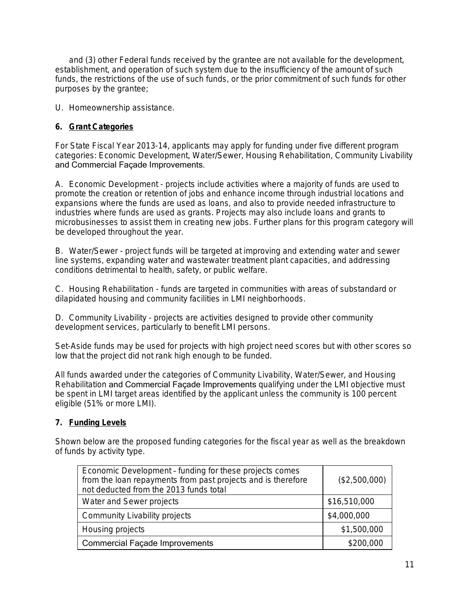and (3) other Federal funds received by the grantee are not available for the development, establishment, and operation of such system due to the insufficiency of the amount of such funds, the restrictions of the use of such funds, or the prior commitment of such funds for other purposes by the grantee;

U. Homeownership assistance.

#### **6. Grant Categories**

For State Fiscal Year 2013-14, applicants may apply for funding under five different program categories: Economic Development, Water/Sewer, Housing Rehabilitation, Community Livability and Commercial Façade Improvements.

A. Economic Development - projects include activities where a majority of funds are used to promote the creation or retention of jobs and enhance income through industrial locations and expansions where the funds are used as loans, and also to provide needed infrastructure to industries where funds are used as grants. Projects may also include loans and grants to microbusinesses to assist them in creating new jobs. Further plans for this program category will be developed throughout the year.

B. Water/Sewer - project funds will be targeted at improving and extending water and sewer line systems, expanding water and wastewater treatment plant capacities, and addressing conditions detrimental to health, safety, or public welfare.

C. Housing Rehabilitation - funds are targeted in communities with areas of substandard or dilapidated housing and community facilities in LMI neighborhoods.

D. Community Livability - projects are activities designed to provide other community development services, particularly to benefit LMI persons.

Set-Aside funds may be used for projects with high project need scores but with other scores so low that the project did not rank high enough to be funded.

All funds awarded under the categories of Community Livability, Water/Sewer, and Housing Rehabilitation and Commercial Façade Improvements qualifying under the LMI objective must be spent in LMI target areas identified by the applicant unless the community is 100 percent eligible (51% or more LMI).

#### **7. Funding Levels**

Shown below are the proposed funding categories for the fiscal year as well as the breakdown of funds by activity type.

| Economic Development - funding for these projects comes<br>from the loan repayments from past projects and is therefore<br>not deducted from the 2013 funds total | (\$2,500,000) |
|-------------------------------------------------------------------------------------------------------------------------------------------------------------------|---------------|
| Water and Sewer projects                                                                                                                                          | \$16,510,000  |
| Community Livability projects                                                                                                                                     | \$4,000,000   |
| Housing projects                                                                                                                                                  | \$1,500,000   |
| <b>Commercial Façade Improvements</b>                                                                                                                             | \$200,000     |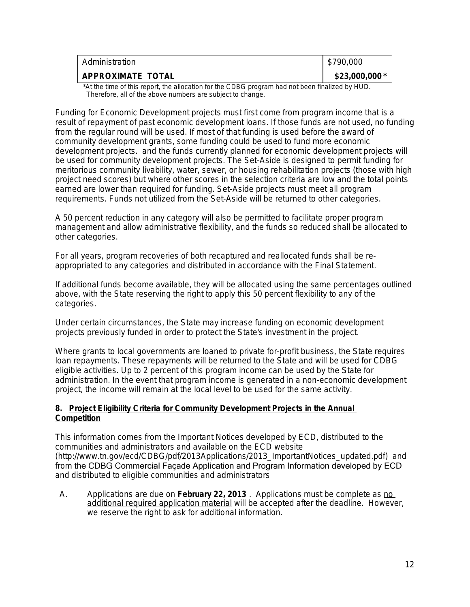| Administration           | \$790,000      |
|--------------------------|----------------|
| <b>APPROXIMATE TOTAL</b> | $$23,000,000*$ |

\*At the time of this report, the allocation for the CDBG program had not been finalized by HUD. Therefore, all of the above numbers are subject to change.

Funding for Economic Development projects must first come from program income that is a result of repayment of past economic development loans. If those funds are not used, no funding from the regular round will be used. If most of that funding is used before the award of community development grants, some funding could be used to fund more economic development projects. and the funds currently planned for economic development projects will be used for community development projects. The Set-Aside is designed to permit funding for meritorious community livability, water, sewer, or housing rehabilitation projects (those with high project need scores) but where other scores in the selection criteria are low and the total points earned are lower than required for funding. Set-Aside projects must meet all program requirements. Funds not utilized from the Set-Aside will be returned to other categories.

A 50 percent reduction in any category will also be permitted to facilitate proper program management and allow administrative flexibility, and the funds so reduced shall be allocated to other categories.

For all years, program recoveries of both recaptured and reallocated funds shall be reappropriated to any categories and distributed in accordance with the Final Statement.

If additional funds become available, they will be allocated using the same percentages outlined above, with the State reserving the right to apply this 50 percent flexibility to any of the categories.

Under certain circumstances, the State may increase funding on economic development projects previously funded in order to protect the State's investment in the project.

Where grants to local governments are loaned to private for-profit business, the State requires loan repayments. These repayments will be returned to the State and will be used for CDBG eligible activities. Up to 2 percent of this program income can be used by the State for administration. In the event that program income is generated in a non-economic development project, the income will remain at the local level to be used for the same activity.

#### **8. Project Eligibility Criteria for Community Development Projects in the Annual Competition**

This information comes from the Important Notices developed by ECD, distributed to the communities and administrators and available on the ECD website ([http://www.tn.gov/ecd/CDBG/pdf/2013Applications/2013\\_ImportantNotices\\_updated.pdf](http://www.tn.gov/ecd/CDBG/pdf/2013Applications/2013_ImportantNotices_updated.pdf)) and from the CDBG Commercial Façade Application and Program Information developed by ECD and distributed to eligible communities and administrators

A. Applications are due on **February 22, 2013** . Applications must be complete as no additional required application material will be accepted after the deadline. However, we reserve the right to ask for additional information.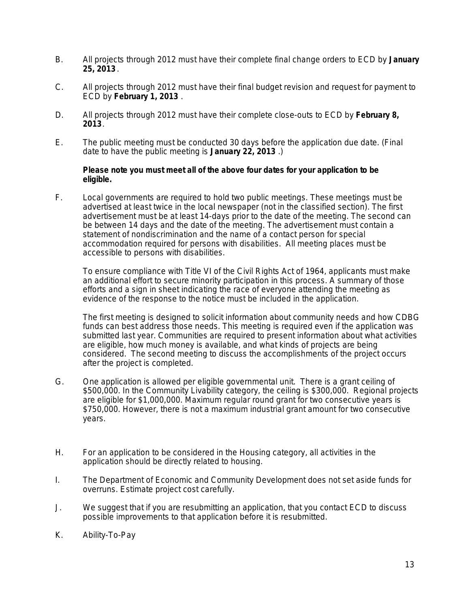- B. All projects through 2012 must have their complete final change orders to ECD by **January 25, 2013** .
- C. All projects through 2012 must have their final budget revision and request for payment to ECD by **February 1, 2013** .
- D. All projects through 2012 must have their complete close-outs to ECD by **February 8, 2013**.
- E. The public meeting must be conducted 30 days before the application due date. (Final date to have the public meeting is **January 22, 2013** .)

#### **Please note you must meet all of the above four dates for your application to be eligible.**

F. Local governments are required to hold two public meetings. These meetings must be advertised at least twice in the local newspaper (not in the classified section). The first advertisement must be at least 14-days prior to the date of the meeting. The second can be between 14 days and the date of the meeting. The advertisement must contain a statement of nondiscrimination and the name of a contact person for special accommodation required for persons with disabilities. All meeting places must be accessible to persons with disabilities.

To ensure compliance with Title VI of the Civil Rights Act of 1964, applicants must make an additional effort to secure minority participation in this process. A summary of those efforts and a sign in sheet indicating the race of everyone attending the meeting as evidence of the response to the notice must be included in the application.

The first meeting is designed to solicit information about community needs and how CDBG funds can best address those needs. This meeting is required even if the application was submitted last year. Communities are required to present information about what activities are eligible, how much money is available, and what kinds of projects are being considered. The second meeting to discuss the accomplishments of the project occurs after the project is completed.

- G. One application is allowed per eligible governmental unit. There is a grant ceiling of \$500,000. In the Community Livability category, the ceiling is \$300,000. Regional projects are eligible for \$1,000,000. Maximum regular round grant for two consecutive years is \$750,000. However, there is not a maximum industrial grant amount for two consecutive years.
- H. For an application to be considered in the Housing category, all activities in the application should be directly related to housing.
- I. The Department of Economic and Community Development does not set aside funds for overruns. Estimate project cost carefully.
- J. We suggest that if you are resubmitting an application, that you contact ECD to discuss possible improvements to that application before it is resubmitted.
- K. Ability-To-Pay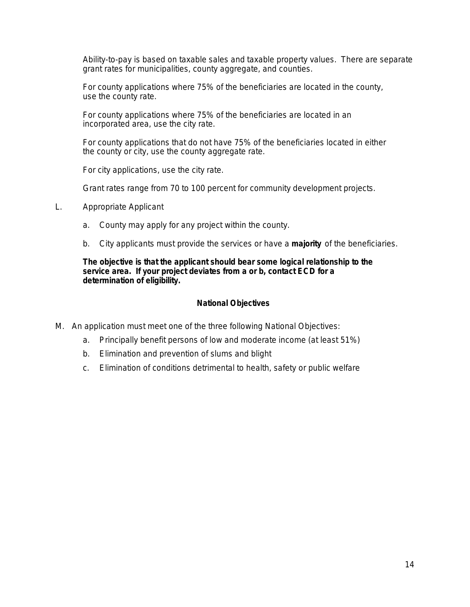Ability-to-pay is based on taxable sales and taxable property values. There are separate grant rates for municipalities, county aggregate, and counties.

For county applications where 75% of the beneficiaries are located in the county, use the county rate.

For county applications where 75% of the beneficiaries are located in an incorporated area, use the city rate.

For county applications that do not have 75% of the beneficiaries located in either the county or city, use the county aggregate rate.

For city applications, use the city rate.

Grant rates range from 70 to 100 percent for community development projects.

- L. Appropriate Applicant
	- a. County may apply for any project within the county.
	- b. City applicants must provide the services or have a **majority** of the beneficiaries.

**The objective is that the applicant should bear some logical relationship to the service area. If your project deviates from a or b, contact ECD for a determination of eligibility.**

#### **National Objectives**

- M. An application must meet one of the three following National Objectives:
	- a. Principally benefit persons of low and moderate income (at least 51%)
	- b. Elimination and prevention of slums and blight
	- c. Elimination of conditions detrimental to health, safety or public welfare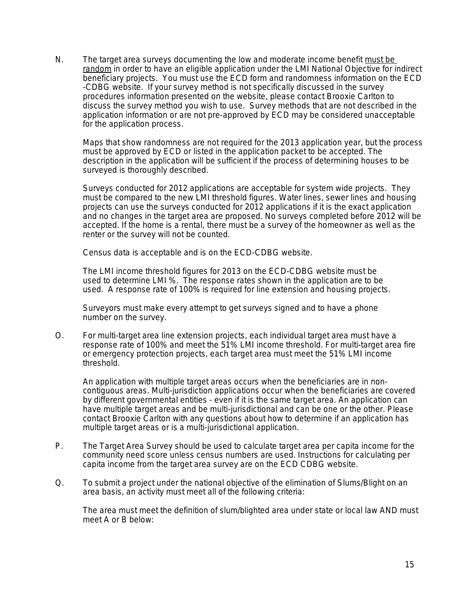N. The target area surveys documenting the low and moderate income benefit must be random in order to have an eligible application under the LMI National Objective for indirect beneficiary projects. You must use the ECD form and randomness information on the ECD -CDBG website. If your survey method is not specifically discussed in the survey procedures information presented on the website, please contact Brooxie Carlton to discuss the survey method you wish to use. Survey methods that are not described in the application information or are not pre-approved by ECD may be considered unacceptable for the application process.

Maps that show randomness are not required for the 2013 application year, but the process must be approved by ECD or listed in the application packet to be accepted. The description in the application will be sufficient if the process of determining houses to be surveyed is thoroughly described.

Surveys conducted for 2012 applications are acceptable for system wide projects. They must be compared to the new LMI threshold figures. Water lines, sewer lines and housing projects can use the surveys conducted for 2012 applications if it is the exact application and no changes in the target area are proposed. No surveys completed before 2012 will be accepted. If the home is a rental, there must be a survey of the homeowner as well as the renter or the survey will not be counted.

Census data is acceptable and is on the ECD-CDBG website.

The LMI income threshold figures for 2013 on the ECD-CDBG website must be used to determine LMI %. The response rates shown in the application are to be used. A response rate of 100% is required for line extension and housing projects.

Surveyors must make every attempt to get surveys signed and to have a phone number on the survey.

O. For multi-target area line extension projects, each individual target area must have a response rate of 100% and meet the 51% LMI income threshold. For multi-target area fire or emergency protection projects, each target area must meet the 51% LMI income threshold.

An application with multiple target areas occurs when the beneficiaries are in noncontiguous areas. Multi-jurisdiction applications occur when the beneficiaries are covered by different governmental entities - even if it is the same target area. An application can have multiple target areas and be multi-jurisdictional and can be one or the other. Please contact Brooxie Carlton with any questions about how to determine if an application has multiple target areas or is a multi-jurisdictional application.

- P. The Target Area Survey should be used to calculate target area per capita income for the community need score unless census numbers are used. Instructions for calculating per capita income from the target area survey are on the ECD CDBG website.
- Q. To submit a project under the national objective of the elimination of Slums/Blight on an area basis, an activity must meet all of the following criteria:

The area must meet the definition of slum/blighted area under state or local law AND must meet A or B below: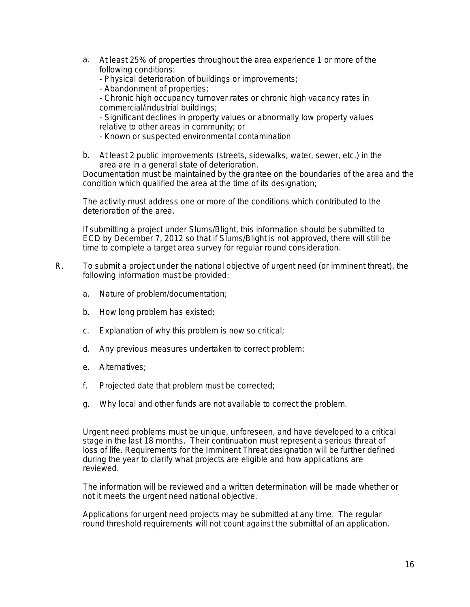- a. At least 25% of properties throughout the area experience 1 or more of the following conditions:
	- Physical deterioration of buildings or improvements;
	- Abandonment of properties;

- Chronic high occupancy turnover rates or chronic high vacancy rates in commercial/industrial buildings;

- Significant declines in property values or abnormally low property values relative to other areas in community; or

- Known or suspected environmental contamination
- b. At least 2 public improvements (streets, sidewalks, water, sewer, etc.) in the area are in a general state of deterioration.

Documentation must be maintained by the grantee on the boundaries of the area and the condition which qualified the area at the time of its designation;

The activity must address one or more of the conditions which contributed to the deterioration of the area.

If submitting a project under Slums/Blight, this information should be submitted to ECD by December 7, 2012 so that if Slums/Blight is not approved, there will still be time to complete a target area survey for regular round consideration.

- R. To submit a project under the national objective of urgent need (or imminent threat), the following information must be provided:
	- a. Nature of problem/documentation;
	- b. How long problem has existed;
	- c. Explanation of why this problem is now so critical;
	- d. Any previous measures undertaken to correct problem;
	- e. Alternatives;
	- f. Projected date that problem must be corrected;
	- g. Why local and other funds are not available to correct the problem.

Urgent need problems must be unique, unforeseen, and have developed to a critical stage in the last 18 months. Their continuation must represent a serious threat of loss of life. Requirements for the Imminent Threat designation will be further defined during the year to clarify what projects are eligible and how applications are reviewed.

The information will be reviewed and a written determination will be made whether or not it meets the urgent need national objective.

Applications for urgent need projects may be submitted at any time. The regular round threshold requirements will not count against the submittal of an application.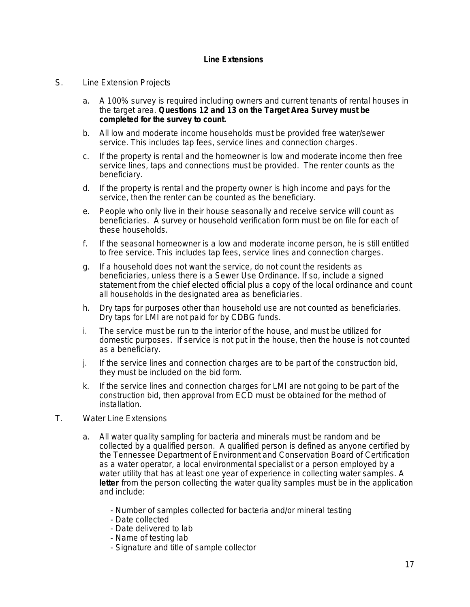#### **Line Extensions**

#### S. Line Extension Projects

- a. A 100% survey is required including owners and current tenants of rental houses in the target area. **Questions 12 and 13 on the Target Area Survey must be completed for the survey to count.**
- b. All low and moderate income households must be provided free water/sewer service. This includes tap fees, service lines and connection charges.
- c. If the property is rental and the homeowner is low and moderate income then free service lines, taps and connections must be provided. The renter counts as the beneficiary.
- d. If the property is rental and the property owner is high income and pays for the service, then the renter can be counted as the beneficiary.
- e. People who only live in their house seasonally and receive service will count as beneficiaries. A survey or household verification form must be on file for each of these households.
- f. If the seasonal homeowner is a low and moderate income person, he is still entitled to free service. This includes tap fees, service lines and connection charges.
- g. If a household does not want the service, do not count the residents as beneficiaries, unless there is a Sewer Use Ordinance. If so, include a signed statement from the chief elected official plus a copy of the local ordinance and count all households in the designated area as beneficiaries.
- h. Dry taps for purposes other than household use are not counted as beneficiaries. Dry taps for LMI are not paid for by CDBG funds.
- i. The service must be run to the interior of the house, and must be utilized for domestic purposes. If service is not put in the house, then the house is not counted as a beneficiary.
- j. If the service lines and connection charges are to be part of the construction bid, they must be included on the bid form.
- k. If the service lines and connection charges for LMI are not going to be part of the construction bid, then approval from ECD must be obtained for the method of installation.
- T. Water Line Extensions
	- a. All water quality sampling for bacteria and minerals must be random and be collected by a qualified person. A qualified person is defined as anyone certified by the Tennessee Department of Environment and Conservation Board of Certification as a water operator, a local environmental specialist or a person employed by a water utility that has at least one year of experience in collecting water samples. A **letter** from the person collecting the water quality samples must be in the application and include:
		- Number of samples collected for bacteria and/or mineral testing
		- Date collected
		- Date delivered to lab
		- Name of testing lab
		- Signature and title of sample collector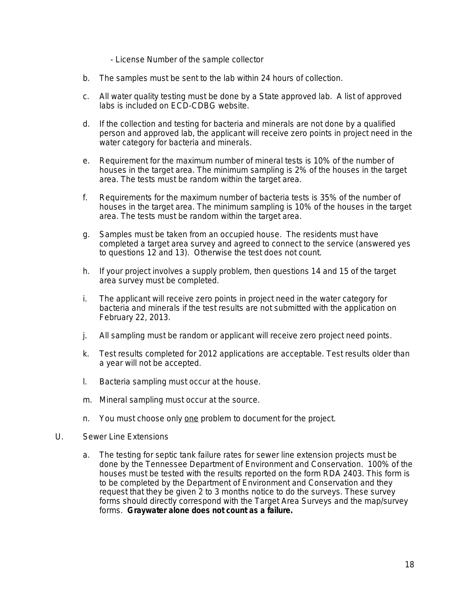- License Number of the sample collector

- b. The samples must be sent to the lab within 24 hours of collection.
- c. All water quality testing must be done by a State approved lab. A list of approved labs is included on ECD-CDBG website.
- d. If the collection and testing for bacteria and minerals are not done by a qualified person and approved lab, the applicant will receive zero points in project need in the water category for bacteria and minerals.
- e. Requirement for the maximum number of mineral tests is 10% of the number of houses in the target area. The minimum sampling is 2% of the houses in the target area. The tests must be random within the target area.
- f. Requirements for the maximum number of bacteria tests is 35% of the number of houses in the target area. The minimum sampling is 10% of the houses in the target area. The tests must be random within the target area.
- g. Samples must be taken from an occupied house. The residents must have completed a target area survey and agreed to connect to the service (answered yes to questions 12 and 13). Otherwise the test does not count.
- h. If your project involves a supply problem, then questions 14 and 15 of the target area survey must be completed.
- i. The applicant will receive zero points in project need in the water category for bacteria and minerals if the test results are not submitted with the application on February 22, 2013.
- j. All sampling must be random or applicant will receive zero project need points.
- k. Test results completed for 2012 applications are acceptable. Test results older than a year will not be accepted.
- l. Bacteria sampling must occur at the house.
- m. Mineral sampling must occur at the source.
- n. You must choose only one problem to document for the project.
- U. Sewer Line Extensions
	- a. The testing for septic tank failure rates for sewer line extension projects must be done by the Tennessee Department of Environment and Conservation. 100% of the houses must be tested with the results reported on the form RDA 2403. This form is to be completed by the Department of Environment and Conservation and they request that they be given 2 to 3 months notice to do the surveys. These survey forms should directly correspond with the Target Area Surveys and the map/survey forms. **Graywater alone does not count as a failure.**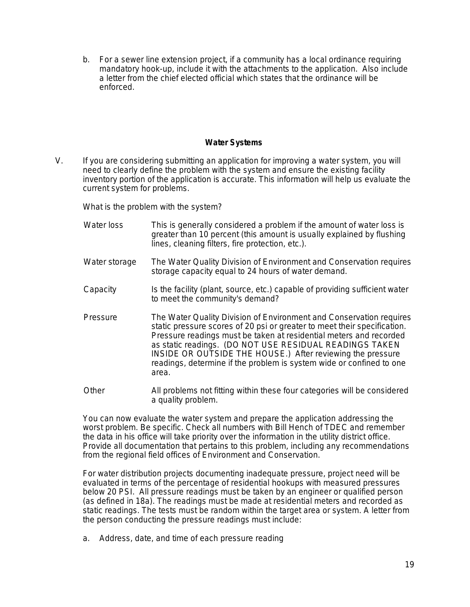b. For a sewer line extension project, if a community has a local ordinance requiring mandatory hook-up, include it with the attachments to the application. Also include a letter from the chief elected official which states that the ordinance will be enforced.

#### **Water Systems**

V. If you are considering submitting an application for improving a water system, you will need to clearly define the problem with the system and ensure the existing facility inventory portion of the application is accurate. This information will help us evaluate the current system for problems.

What is the problem with the system?

- Water loss This is generally considered a problem if the amount of water loss is greater than 10 percent (this amount is usually explained by flushing lines, cleaning filters, fire protection, etc.).
- Water storage The Water Quality Division of Environment and Conservation requires storage capacity equal to 24 hours of water demand.
- Capacity Is the facility (plant, source, etc.) capable of providing sufficient water to meet the community's demand?
- Pressure The Water Quality Division of Environment and Conservation requires static pressure scores of 20 psi or greater to meet their specification. Pressure readings must be taken at residential meters and recorded as static readings. (DO NOT USE RESIDUAL READINGS TAKEN INSIDE OR OUTSIDE THE HOUSE.) After reviewing the pressure readings, determine if the problem is system wide or confined to one area.
- Other All problems not fitting within these four categories will be considered a quality problem.

You can now evaluate the water system and prepare the application addressing the worst problem. Be specific. Check all numbers with Bill Hench of TDEC and remember the data in his office will take priority over the information in the utility district office. Provide all documentation that pertains to this problem, including any recommendations from the regional field offices of Environment and Conservation.

For water distribution projects documenting inadequate pressure, project need will be evaluated in terms of the percentage of residential hookups with measured pressures below 20 PSI. All pressure readings must be taken by an engineer or qualified person (as defined in 18a). The readings must be made at residential meters and recorded as static readings. The tests must be random within the target area or system. A letter from the person conducting the pressure readings must include:

a. Address, date, and time of each pressure reading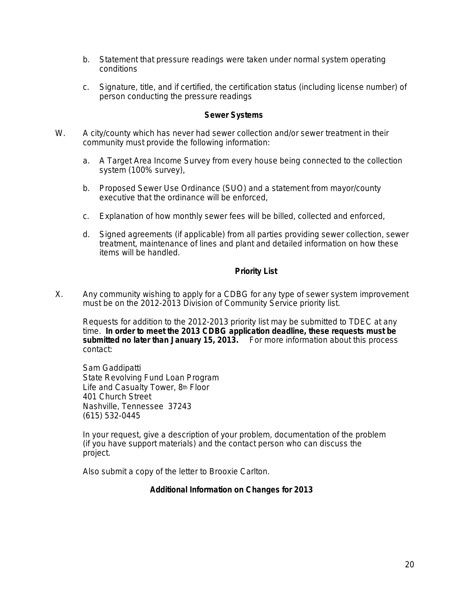- b. Statement that pressure readings were taken under normal system operating conditions
- c. Signature, title, and if certified, the certification status (including license number) of person conducting the pressure readings

#### **Sewer Systems**

- W. A city/county which has never had sewer collection and/or sewer treatment in their community must provide the following information:
	- a. A Target Area Income Survey from every house being connected to the collection system (100% survey),
	- b. Proposed Sewer Use Ordinance (SUO) and a statement from mayor/county executive that the ordinance will be enforced,
	- c. Explanation of how monthly sewer fees will be billed, collected and enforced,
	- d. Signed agreements (if applicable) from all parties providing sewer collection, sewer treatment, maintenance of lines and plant and detailed information on how these items will be handled.

#### **Priority List**

X. Any community wishing to apply for a CDBG for any type of sewer system improvement must be on the 2012-2013 Division of Community Service priority list.

Requests for addition to the 2012-2013 priority list may be submitted to TDEC at any time. **In order to meet the 2013 CDBG application deadline, these requests must be submitted no later than January 15, 2013.** For more information about this process contact:

Sam Gaddipatti State Revolving Fund Loan Program Life and Casualty Tower, 8th Floor 401 Church Street Nashville, Tennessee 37243 (615) 532-0445

In your request, give a description of your problem, documentation of the problem (if you have support materials) and the contact person who can discuss the project.

Also submit a copy of the letter to Brooxie Carlton.

#### **Additional Information on Changes for 2013**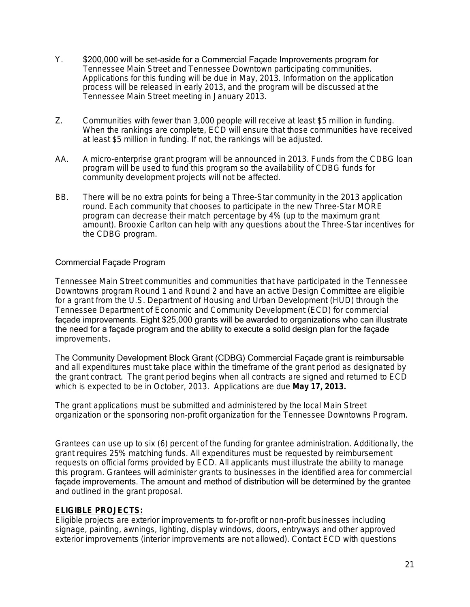- Y. \$200,000 will be set-aside for a Commercial Façade Improvements program for Tennessee Main Street and Tennessee Downtown participating communities. Applications for this funding will be due in May, 2013. Information on the application process will be released in early 2013, and the program will be discussed at the Tennessee Main Street meeting in January 2013.
- Z. Communities with fewer than 3,000 people will receive at least \$5 million in funding. When the rankings are complete, ECD will ensure that those communities have received at least \$5 million in funding. If not, the rankings will be adjusted.
- AA. A micro-enterprise grant program will be announced in 2013. Funds from the CDBG loan program will be used to fund this program so the availability of CDBG funds for community development projects will not be affected.
- BB. There will be no extra points for being a Three-Star community in the 2013 application round. Each community that chooses to participate in the new Three-Star MORE program can decrease their match percentage by 4% (up to the maximum grant amount). Brooxie Carlton can help with any questions about the Three-Star incentives for the CDBG program.

#### Commercial Façade Program

Tennessee Main Street communities and communities that have participated in the Tennessee Downtowns program Round 1 and Round 2 and have an active Design Committee are eligible for a grant from the U.S. Department of Housing and Urban Development (HUD) through the Tennessee Department of Economic and Community Development (ECD) for commercial façade improvements. Eight \$25,000 grants will be awarded to organizations who can illustrate the need for a façade program and the ability to execute a solid design plan for the façade improvements.

The Community Development Block Grant (CDBG) Commercial Façade grant is reimbursable and all expenditures must take place within the timeframe of the grant period as designated by the grant contract. The grant period begins when all contracts are signed and returned to ECD which is expected to be in October, 2013. Applications are due **May 17, 2013.**

The grant applications must be submitted and administered by the local Main Street organization or the sponsoring non-profit organization for the Tennessee Downtowns Program.

Grantees can use up to six (6) percent of the funding for grantee administration. Additionally, the grant requires 25% matching funds. All expenditures must be requested by reimbursement requests on official forms provided by ECD. All applicants must illustrate the ability to manage this program. Grantees will administer grants to businesses in the identified area for commercial façade improvements. The amount and method of distribution will be determined by the grantee and outlined in the grant proposal.

#### **ELIGIBLE PROJECTS:**

Eligible projects are exterior improvements to for-profit or non-profit businesses including signage, painting, awnings, lighting, display windows, doors, entryways and other approved exterior improvements (interior improvements are not allowed). Contact ECD with questions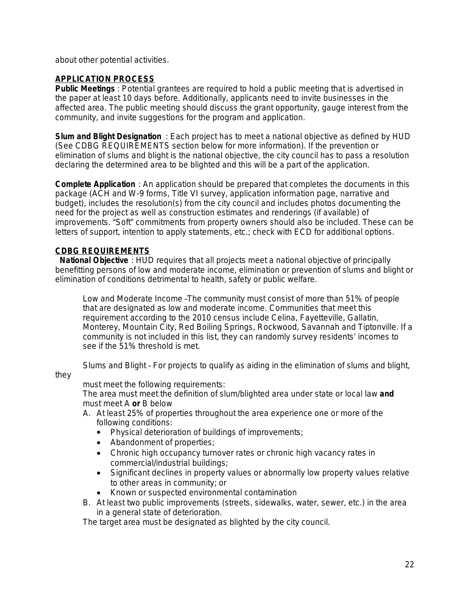about other potential activities.

#### **APPLICATION PROCESS**

**Public Meetings** : Potential grantees are required to hold a public meeting that is advertised in the paper at least 10 days before. Additionally, applicants need to invite businesses in the affected area. The public meeting should discuss the grant opportunity, gauge interest from the community, and invite suggestions for the program and application.

**Slum and Blight Designation** : Each project has to meet a national objective as defined by HUD (See CDBG REQUIREMENTS section below for more information). If the prevention or elimination of slums and blight is the national objective, the city council has to pass a resolution declaring the determined area to be blighted and this will be a part of the application.

**Complete Application** : An application should be prepared that completes the documents in this package (ACH and W-9 forms, Title VI survey, application information page, narrative and budget), includes the resolution(s) from the city council and includes photos documenting the need for the project as well as construction estimates and renderings (if available) of improvements. "Soft" commitments from property owners should also be included. These can be letters of support, intention to apply statements, etc.; check with ECD for additional options.

#### **CDBG REQUIREMENTS**

 **National Objective** : HUD requires that all projects meet a national objective of principally benefitting persons of low and moderate income, elimination or prevention of slums and blight or elimination of conditions detrimental to health, safety or public welfare.

Low and Moderate Income –The community must consist of more than 51% of people that are designated as low and moderate income. Communities that meet this requirement according to the 2010 census include Celina, Fayetteville, Gallatin, Monterey, Mountain City, Red Boiling Springs, Rockwood, Savannah and Tiptonville. If a community is not included in this list, they can randomly survey residents' incomes to see if the 51% threshold is met.

Slums and Blight – For projects to qualify as aiding in the elimination of slums and blight,

they

must meet the following requirements:

The area must meet the definition of slum/blighted area under state or local law **and** must meet A **or** B below

- A. At least 25% of properties throughout the area experience one or more of the following conditions:
	- Physical deterioration of buildings of improvements;
	- Abandonment of properties;
	- Chronic high occupancy turnover rates or chronic high vacancy rates in commercial/industrial buildings;
	- Significant declines in property values or abnormally low property values relative to other areas in community; or
	- Known or suspected environmental contamination
- B. At least two public improvements (streets, sidewalks, water, sewer, etc.) in the area in a general state of deterioration.

The target area must be designated as blighted by the city council.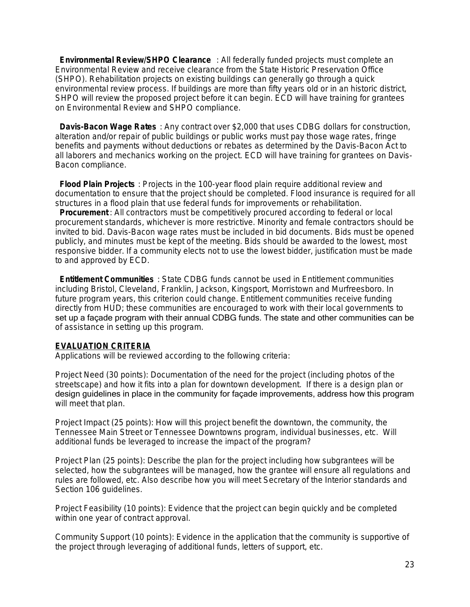**Environmental Review/SHPO Clearance** : All federally funded projects must complete an Environmental Review and receive clearance from the State Historic Preservation Office (SHPO). Rehabilitation projects on existing buildings can generally go through a quick environmental review process. If buildings are more than fifty years old or in an historic district, SHPO will review the proposed project before it can begin. ECD will have training for grantees on Environmental Review and SHPO compliance.

 **Davis-Bacon Wage Rates** : Any contract over \$2,000 that uses CDBG dollars for construction, alteration and/or repair of public buildings or public works must pay those wage rates, fringe benefits and payments without deductions or rebates as determined by the Davis-Bacon Act to all laborers and mechanics working on the project. ECD will have training for grantees on Davis-Bacon compliance.

 **Flood Plain Projects** : Projects in the 100-year flood plain require additional review and documentation to ensure that the project should be completed. Flood insurance is required for all structures in a flood plain that use federal funds for improvements or rehabilitation.

 **Procurement** : All contractors must be competitively procured according to federal or local procurement standards, whichever is more restrictive. Minority and female contractors should be invited to bid. Davis-Bacon wage rates must be included in bid documents. Bids must be opened publicly, and minutes must be kept of the meeting. Bids should be awarded to the lowest, most responsive bidder. If a community elects not to use the lowest bidder, justification must be made to and approved by ECD.

 **Entitlement Communities** : State CDBG funds cannot be used in Entitlement communities including Bristol, Cleveland, Franklin, Jackson, Kingsport, Morristown and Murfreesboro. In future program years, this criterion could change. Entitlement communities receive funding directly from HUD; these communities are encouraged to work with their local governments to set up a façade program with their annual CDBG funds. The state and other communities can be of assistance in setting up this program.

#### **EVALUATION CRITERIA**

Applications will be reviewed according to the following criteria:

Project Need (30 points): Documentation of the need for the project (including photos of the streetscape) and how it fits into a plan for downtown development. If there is a design plan or design guidelines in place in the community for façade improvements, address how this program will meet that plan.

Project Impact (25 points): How will this project benefit the downtown, the community, the Tennessee Main Street or Tennessee Downtowns program, individual businesses, etc. Will additional funds be leveraged to increase the impact of the program?

Project Plan (25 points): Describe the plan for the project including how subgrantees will be selected, how the subgrantees will be managed, how the grantee will ensure all regulations and rules are followed, etc. Also describe how you will meet Secretary of the Interior standards and Section 106 guidelines.

Project Feasibility (10 points): Evidence that the project can begin quickly and be completed within one year of contract approval.

Community Support (10 points): Evidence in the application that the community is supportive of the project through leveraging of additional funds, letters of support, etc.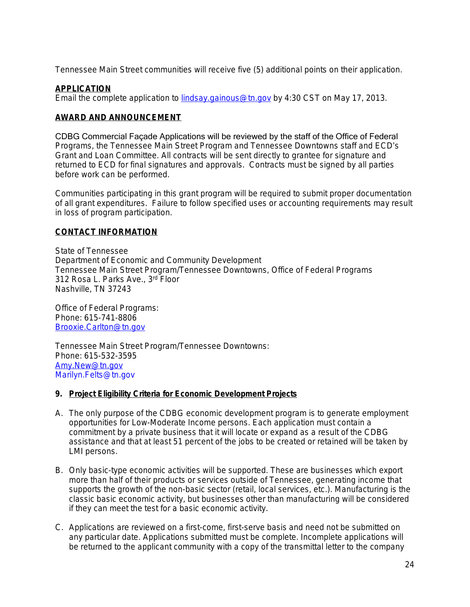Tennessee Main Street communities will receive five (5) additional points on their application.

#### **APPLICATION**

Email the complete application to [lindsay.gainous@tn.gov](mailto:lindsay.gainous@tn.gov) by 4:30 CST on May 17, 2013.

#### **AWARD AND ANNOUNCEMENT**

CDBG Commercial Façade Applications will be reviewed by the staff of the Office of Federal Programs, the Tennessee Main Street Program and Tennessee Downtowns staff and ECD's Grant and Loan Committee. All contracts will be sent directly to grantee for signature and returned to ECD for final signatures and approvals. Contracts must be signed by all parties before work can be performed.

Communities participating in this grant program will be required to submit proper documentation of all grant expenditures. Failure to follow specified uses or accounting requirements may result in loss of program participation.

#### **CONTACT INFORMATION**

State of Tennessee Department of Economic and Community Development Tennessee Main Street Program/Tennessee Downtowns, Office of Federal Programs 312 Rosa L. Parks Ave., 3rd Floor Nashville, TN 37243

Office of Federal Programs: Phone: 615-741-8806 [Brooxie.Carlton@tn.gov](mailto:Brooxie.Carlton@tn.gov)

Tennessee Main Street Program/Tennessee Downtowns: Phone: 615-532-3595 [Amy.New@tn.gov](mailto:Amy.New@tn.gov) Marilyn.Felts@tn.gov

#### **9. Project Eligibility Criteria for Economic Development Projects**

- A. The only purpose of the CDBG economic development program is to generate employment opportunities for Low-Moderate Income persons. Each application must contain a commitment by a private business that it will locate or expand as a result of the CDBG assistance and that at least 51 percent of the jobs to be created or retained will be taken by LMI persons.
- B. Only basic-type economic activities will be supported. These are businesses which export more than half of their products or services outside of Tennessee, generating income that supports the growth of the non-basic sector (retail, local services, etc.). Manufacturing is the classic basic economic activity, but businesses other than manufacturing will be considered if they can meet the test for a basic economic activity.
- C. Applications are reviewed on a first-come, first-serve basis and need not be submitted on any particular date. *Applications submitted must be complete.* Incomplete applications will be returned to the applicant community with a copy of the transmittal letter to the company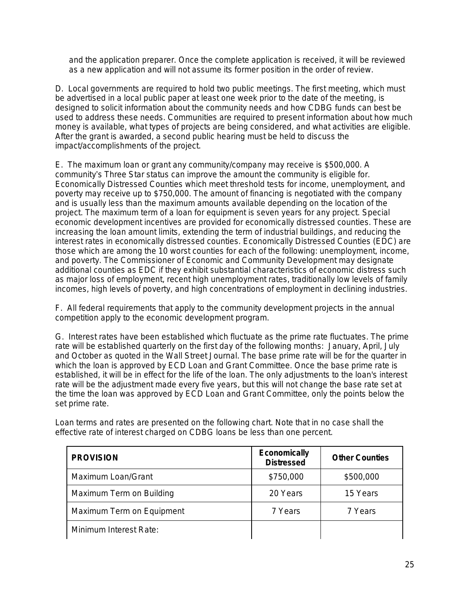and the application preparer. Once the complete application is received, it will be reviewed as a new application and will not assume its former position in the order of review.

D. Local governments are required to hold two public meetings. The first meeting, which must be advertised in a local public paper at least one week prior to the date of the meeting, is designed to solicit information about the community needs and how CDBG funds can best be used to address these needs. Communities are required to present information about how much money is available, what types of projects are being considered, and what activities are eligible. After the grant is awarded, a second public hearing must be held to discuss the impact/accomplishments of the project.

E. The maximum loan or grant any community/company may receive is \$500,000. A community's Three Star status can improve the amount the community is eligible for. Economically Distressed Counties which meet threshold tests for income, unemployment, and poverty may receive up to \$750,000. The amount of financing is negotiated with the company and is usually less than the maximum amounts available depending on the location of the project. The maximum term of a loan for equipment is seven years for any project. Special economic development incentives are provided for economically distressed counties. These are increasing the loan amount limits, extending the term of industrial buildings, and reducing the interest rates in economically distressed counties. Economically Distressed Counties (EDC) are those which are among the 10 worst counties for each of the following: unemployment, income, and poverty. The Commissioner of Economic and Community Development may designate additional counties as EDC if they exhibit substantial characteristics of economic distress such as major loss of employment, recent high unemployment rates, traditionally low levels of family incomes, high levels of poverty, and high concentrations of employment in declining industries.

F. All federal requirements that apply to the community development projects in the annual competition apply to the economic development program.

G. Interest rates have been established which fluctuate as the prime rate fluctuates. The prime rate will be established quarterly on the first day of the following months: January, April, July and October as quoted in the Wall Street Journal. The base prime rate will be for the quarter in which the loan is approved by ECD Loan and Grant Committee. Once the base prime rate is established, it will be in effect for the life of the loan. The only adjustments to the loan's interest rate will be the adjustment made every five years, but this will not change the base rate set at the time the loan was approved by ECD Loan and Grant Committee, only the points below the set prime rate.

| <b>PROVISION</b>          | <b>Economically</b><br><b>Distressed</b> | <b>Other Counties</b> |
|---------------------------|------------------------------------------|-----------------------|
| Maximum Loan/Grant        | \$750,000                                | \$500,000             |
| Maximum Term on Building  | 20 Years                                 | 15 Years              |
| Maximum Term on Equipment | 7 Years                                  | 7 Years               |
| Minimum Interest Rate:    |                                          |                       |

Loan terms and rates are presented on the following chart. Note that in no case shall the effective rate of interest charged on CDBG loans be less than one percent.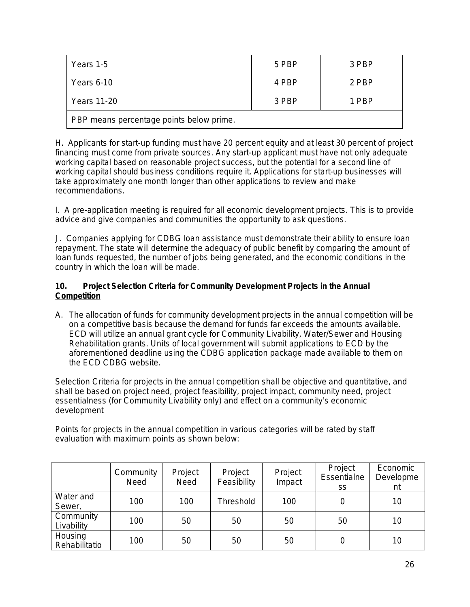| Years 1-5                                | 5 PBP | 3 PBP |  |  |
|------------------------------------------|-------|-------|--|--|
| Years 6-10                               | 4 PBP | 2 PBP |  |  |
| Years 11-20                              | 3 PBP | 1 PBP |  |  |
| PBP means percentage points below prime. |       |       |  |  |

H. Applicants for start-up funding must have 20 percent equity and at least 30 percent of project financing must come from private sources. Any start-up applicant must have not only adequate working capital based on reasonable project success, but the potential for a second line of working capital should business conditions require it. Applications for start-up businesses will take approximately one month longer than other applications to review and make recommendations.

I. A pre-application meeting is required for all economic development projects. This is to provide advice and give companies and communities the opportunity to ask questions.

J. Companies applying for CDBG loan assistance must demonstrate their ability to ensure loan repayment. The state will determine the adequacy of public benefit by comparing the amount of loan funds requested, the number of jobs being generated, and the economic conditions in the country in which the loan will be made.

#### **10. Project Selection Criteria for Community Development Projects in the Annual Competition**

A. The allocation of funds for community development projects in the annual competition will be on a competitive basis because the demand for funds far exceeds the amounts available. ECD will utilize an annual grant cycle for Community Livability, Water/Sewer and Housing Rehabilitation grants. Units of local government will submit applications to ECD by the aforementioned deadline using the CDBG application package made available to them on the ECD CDBG website.

Selection Criteria for projects in the annual competition shall be objective and quantitative, and shall be based on project need, project feasibility, project impact, community need, project essentialness (for Community Livability only) and effect on a community's economic development

Points for projects in the annual competition in various categories will be rated by staff evaluation with maximum points as shown below:

|                                      | Community<br>Need | Project<br>Need | Project<br>Feasibility | Project<br>Impact | Project<br>Essentialne<br><b>SS</b> | Economic<br>Developme<br>nt |
|--------------------------------------|-------------------|-----------------|------------------------|-------------------|-------------------------------------|-----------------------------|
| Water and<br>Sewer,                  | 100               | 100             | Threshold              | 100               | 0                                   | 10                          |
| Community<br>100<br>50<br>Livability | 50                | 50              | 50                     | 10                |                                     |                             |
| Housing<br>Rehabilitatio             | 100               | 50              | 50                     | 50                | 0                                   | 10                          |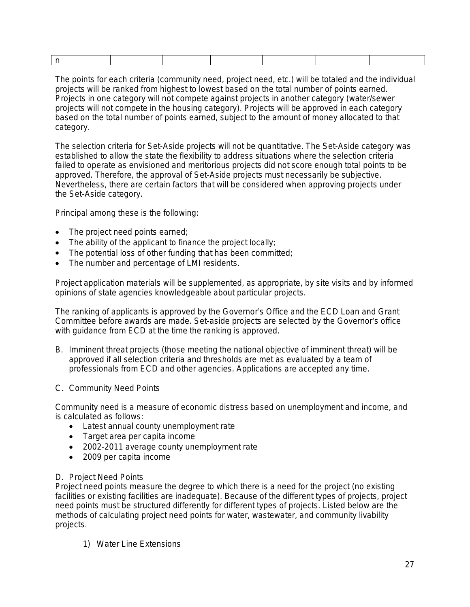The points for each criteria (community need, project need, etc.) will be totaled and the individual projects will be ranked from highest to lowest based on the total number of points earned. Projects in one category will not compete against projects in another category (water/sewer projects will not compete in the housing category). Projects will be approved in each category based on the total number of points earned, subject to the amount of money allocated to that category.

The selection criteria for Set-Aside projects will not be quantitative. The Set-Aside category was established to allow the state the flexibility to address situations where the selection criteria failed to operate as envisioned and meritorious projects did not score enough total points to be approved. Therefore, the approval of Set-Aside projects must necessarily be subjective. Nevertheless, there are certain factors that will be considered when approving projects under the Set-Aside category.

Principal among these is the following:

- The project need points earned;
- $\bullet$  The ability of the applicant to finance the project locally;
- The potential loss of other funding that has been committed;
- The number and percentage of LMI residents.

Project application materials will be supplemented, as appropriate, by site visits and by informed opinions of state agencies knowledgeable about particular projects.

The ranking of applicants is approved by the Governor's Office and the ECD Loan and Grant Committee before awards are made. Set-aside projects are selected by the Governor's office with guidance from ECD at the time the ranking is approved.

- B. Imminent threat projects (those meeting the national objective of imminent threat) will be approved if all selection criteria and thresholds are met as evaluated by a team of professionals from ECD and other agencies. Applications are accepted any time.
- C. Community Need Points

Community need is a measure of economic distress based on unemployment and income, and is calculated as follows:

- Latest annual county unemployment rate
- Target area per capita income
- 2002-2011 average county unemployment rate
- 2009 per capita income

#### D. Project Need Points

Project need points measure the degree to which there is a need for the project (no existing facilities or existing facilities are inadequate). Because of the different types of projects, project need points must be structured differently for different types of projects. Listed below are the methods of calculating project need points for water, wastewater, and community livability projects.

1) Water Line Extensions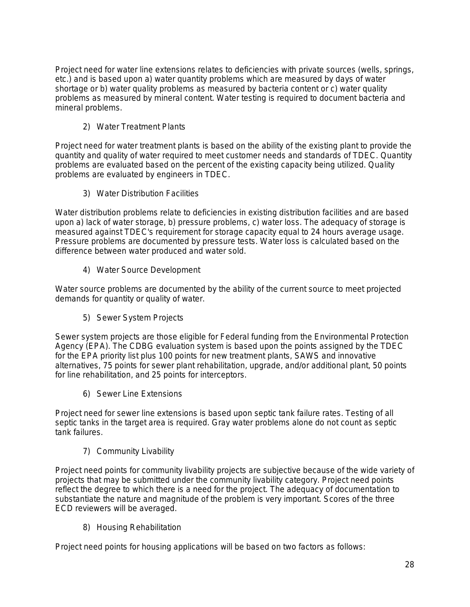Project need for water line extensions relates to deficiencies with private sources (wells, springs, etc.) and is based upon a) water quantity problems which are measured by days of water shortage or b) water quality problems as measured by bacteria content or c) water quality problems as measured by mineral content. Water testing is required to document bacteria and mineral problems.

2) Water Treatment Plants

Project need for water treatment plants is based on the ability of the existing plant to provide the quantity and quality of water required to meet customer needs and standards of TDEC. Quantity problems are evaluated based on the percent of the existing capacity being utilized. Quality problems are evaluated by engineers in TDEC.

3) Water Distribution Facilities

Water distribution problems relate to deficiencies in existing distribution facilities and are based upon a) lack of water storage, b) pressure problems, c) water loss. The adequacy of storage is measured against TDEC's requirement for storage capacity equal to 24 hours average usage. Pressure problems are documented by pressure tests. Water loss is calculated based on the difference between water produced and water sold.

4) Water Source Development

Water source problems are documented by the ability of the current source to meet projected demands for quantity or quality of water.

5) Sewer System Projects

Sewer system projects are those eligible for Federal funding from the Environmental Protection Agency (EPA). The CDBG evaluation system is based upon the points assigned by the TDEC for the EPA priority list plus 100 points for new treatment plants, SAWS and innovative alternatives, 75 points for sewer plant rehabilitation, upgrade, and/or additional plant, 50 points for line rehabilitation, and 25 points for interceptors.

6) Sewer Line Extensions

Project need for sewer line extensions is based upon septic tank failure rates. Testing of all septic tanks in the target area is required. Gray water problems alone do not count as septic tank failures.

7) Community Livability

Project need points for community livability projects are subjective because of the wide variety of projects that may be submitted under the community livability category. Project need points reflect the degree to which there is a need for the project. The adequacy of documentation to substantiate the nature and magnitude of the problem is very important. Scores of the three ECD reviewers will be averaged.

8) Housing Rehabilitation

Project need points for housing applications will be based on two factors as follows: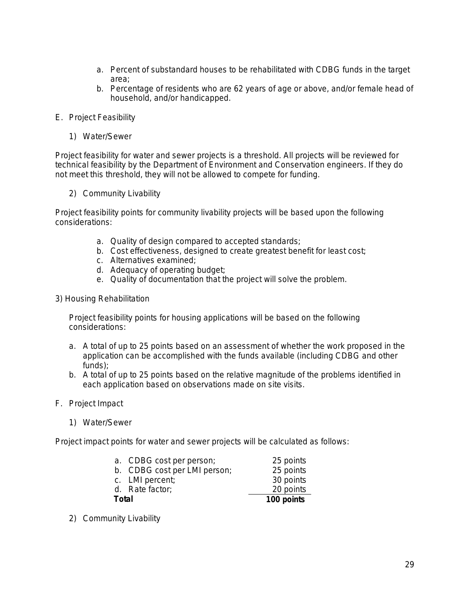- a. Percent of substandard houses to be rehabilitated with CDBG funds in the target area;
- b. Percentage of residents who are 62 years of age or above, and/or female head of household, and/or handicapped.
- E. Project Feasibility
	- 1) Water/Sewer

Project feasibility for water and sewer projects is a threshold. All projects will be reviewed for technical feasibility by the Department of Environment and Conservation engineers. If they do not meet this threshold, they will not be allowed to compete for funding.

2) Community Livability

Project feasibility points for community livability projects will be based upon the following considerations:

- a. Quality of design compared to accepted standards;
- b. Cost effectiveness, designed to create greatest benefit for least cost;
- c. Alternatives examined;
- d. Adequacy of operating budget;
- e. Quality of documentation that the project will solve the problem.
- 3) Housing Rehabilitation

Project feasibility points for housing applications will be based on the following considerations:

- a. A total of up to 25 points based on an assessment of whether the work proposed in the application can be accomplished with the funds available (including CDBG and other funds);
- b. A total of up to 25 points based on the relative magnitude of the problems identified in each application based on observations made on site visits.
- F. Project Impact
	- 1) Water/Sewer

Project impact points for water and sewer projects will be calculated as follows:

|       | a. CDBG cost per person;     | 25 points  |
|-------|------------------------------|------------|
|       | b. CDBG cost per LMI person; | 25 points  |
|       | c. LMI percent;              | 30 points  |
|       | d. Rate factor;              | 20 points  |
| Total |                              | 100 points |

2) Community Livability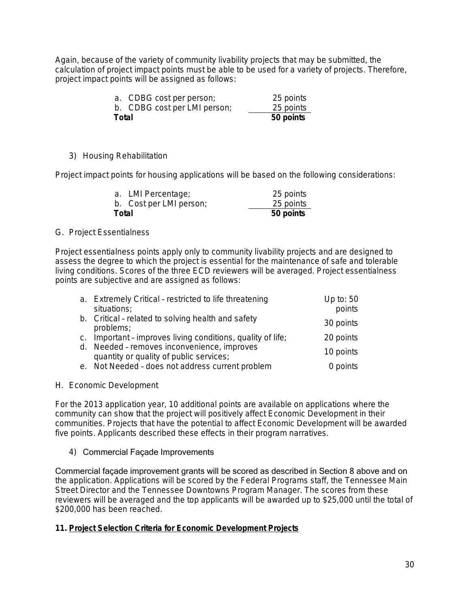Again, because of the variety of community livability projects that may be submitted, the calculation of project impact points must be able to be used for a variety of projects. Therefore, project impact points will be assigned as follows:

|       | a. CDBG cost per person;<br>b. CDBG cost per LMI person; | 25 points<br>25 points |
|-------|----------------------------------------------------------|------------------------|
| Total |                                                          | 50 points              |

#### 3) Housing Rehabilitation

Project impact points for housing applications will be based on the following considerations:

| Total |                         | 50 points |
|-------|-------------------------|-----------|
|       | b. Cost per LMI person; | 25 points |
|       | a. LMI Percentage;      | 25 points |

#### G. Project Essentialness

Project essentialness points apply only to community livability projects and are designed to assess the degree to which the project is essential for the maintenance of safe and tolerable living conditions. Scores of the three ECD reviewers will be averaged. Project essentialness points are subjective and are assigned as follows:

| a. Extremely Critical - restricted to life threatening                                 | Up to: 50 |
|----------------------------------------------------------------------------------------|-----------|
| situations;                                                                            | points    |
| b. Critical - related to solving health and safety<br>problems;                        | 30 points |
| c. Important - improves living conditions, quality of life;                            | 20 points |
| d. Needed - removes inconvenience, improves<br>quantity or quality of public services; | 10 points |
| e. Not Needed - does not address current problem                                       | 0 points  |

H. Economic Development

For the 2013 application year, 10 additional points are available on applications where the community can show that the project will positively affect Economic Development in their communities. Projects that have the potential to affect Economic Development will be awarded five points. Applicants described these effects in their program narratives.

#### 4) Commercial Façade Improvements

Commercial façade improvement grants will be scored as described in Section 8 above and on the application. Applications will be scored by the Federal Programs staff, the Tennessee Main Street Director and the Tennessee Downtowns Program Manager. The scores from these reviewers will be averaged and the top applicants will be awarded up to \$25,000 until the total of \$200,000 has been reached.

#### **11. Project Selection Criteria for Economic Development Projects**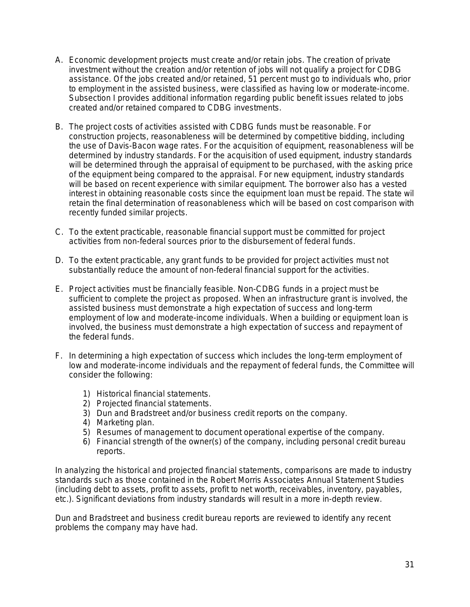- A. Economic development projects must create and/or retain jobs. The creation of private investment without the creation and/or retention of jobs will not qualify a project for CDBG assistance. Of the jobs created and/or retained, 51 percent must go to individuals who, prior to employment in the assisted business, were classified as having low or moderate-income. Subsection I provides additional information regarding public benefit issues related to jobs created and/or retained compared to CDBG investments.
- B. The project costs of activities assisted with CDBG funds must be reasonable. For construction projects, reasonableness will be determined by competitive bidding, including the use of Davis-Bacon wage rates. For the acquisition of equipment, reasonableness will be determined by industry standards. For the acquisition of used equipment, industry standards will be determined through the appraisal of equipment to be purchased, with the asking price of the equipment being compared to the appraisal. For new equipment, industry standards will be based on recent experience with similar equipment. The borrower also has a vested interest in obtaining reasonable costs since the equipment loan must be repaid. The state will retain the final determination of reasonableness which will be based on cost comparison with recently funded similar projects.
- C. To the extent practicable, reasonable financial support must be committed for project activities from non-federal sources prior to the disbursement of federal funds.
- D. To the extent practicable, any grant funds to be provided for project activities must not substantially reduce the amount of non-federal financial support for the activities.
- E. Project activities must be financially feasible. Non-CDBG funds in a project must be sufficient to complete the project as proposed. When an infrastructure grant is involved, the assisted business must demonstrate a high expectation of success and long-term employment of low and moderate-income individuals. When a building or equipment loan is involved, the business must demonstrate a high expectation of success and repayment of the federal funds.
- F. In determining a high expectation of success which includes the long-term employment of low and moderate-income individuals and the repayment of federal funds, the Committee will consider the following:
	- 1) Historical financial statements.
	- 2) Projected financial statements.
	- 3) Dun and Bradstreet and/or business credit reports on the company.
	- 4) Marketing plan.
	- 5) Resumes of management to document operational expertise of the company.
	- 6) Financial strength of the owner(s) of the company, including personal credit bureau reports.

In analyzing the historical and projected financial statements, comparisons are made to industry standards such as those contained in the Robert Morris Associates Annual Statement Studies (including debt to assets, profit to assets, profit to net worth, receivables, inventory, payables, etc.). Significant deviations from industry standards will result in a more in-depth review.

Dun and Bradstreet and business credit bureau reports are reviewed to identify any recent problems the company may have had.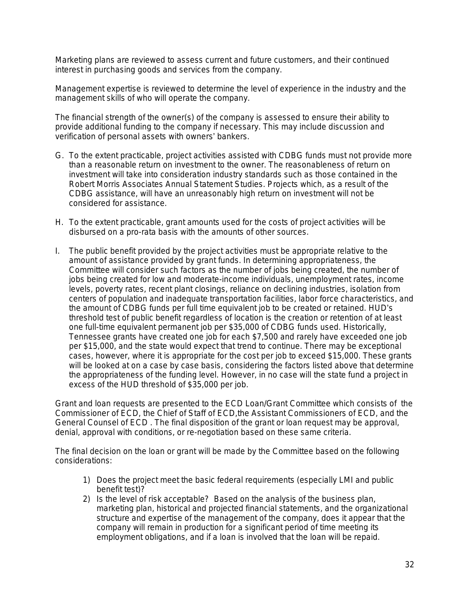Marketing plans are reviewed to assess current and future customers, and their continued interest in purchasing goods and services from the company.

Management expertise is reviewed to determine the level of experience in the industry and the management skills of who will operate the company.

The financial strength of the owner(s) of the company is assessed to ensure their ability to provide additional funding to the company if necessary. This may include discussion and verification of personal assets with owners' bankers.

- G. To the extent practicable, project activities assisted with CDBG funds must not provide more than a reasonable return on investment to the owner. The reasonableness of return on investment will take into consideration industry standards such as those contained in the Robert Morris Associates Annual Statement Studies. Projects which, as a result of the CDBG assistance, will have an unreasonably high return on investment will not be considered for assistance.
- H. To the extent practicable, grant amounts used for the costs of project activities will be disbursed on a pro-rata basis with the amounts of other sources.
- I. The public benefit provided by the project activities must be appropriate relative to the amount of assistance provided by grant funds. In determining appropriateness, the Committee will consider such factors as the number of jobs being created, the number of jobs being created for low and moderate-income individuals, unemployment rates, income levels, poverty rates, recent plant closings, reliance on declining industries, isolation from centers of population and inadequate transportation facilities, labor force characteristics, and the amount of CDBG funds per full time equivalent job to be created or retained. HUD's threshold test of public benefit regardless of location is the creation or retention of at least one full-time equivalent permanent job per \$35,000 of CDBG funds used. Historically, Tennessee grants have created one job for each \$7,500 and rarely have exceeded one job per \$15,000, and the state would expect that trend to continue. There may be exceptional cases, however, where it is appropriate for the cost per job to exceed \$15,000. These grants will be looked at on a case by case basis, considering the factors listed above that determine the appropriateness of the funding level. However, in no case will the state fund a project in excess of the HUD threshold of \$35,000 per job.

Grant and loan requests are presented to the ECD Loan/Grant Committee which consists of the Commissioner of ECD, the Chief of Staff of ECD,the Assistant Commissioners of ECD, and the General Counsel of ECD . The final disposition of the grant or loan request may be approval, denial, approval with conditions, or re-negotiation based on these same criteria.

The final decision on the loan or grant will be made by the Committee based on the following considerations:

- 1) Does the project meet the basic federal requirements (especially LMI and public benefit test)?
- 2) Is the level of risk acceptable? Based on the analysis of the business plan, marketing plan, historical and projected financial statements, and the organizational structure and expertise of the management of the company, does it appear that the company will remain in production for a significant period of time meeting its employment obligations, and if a loan is involved that the loan will be repaid.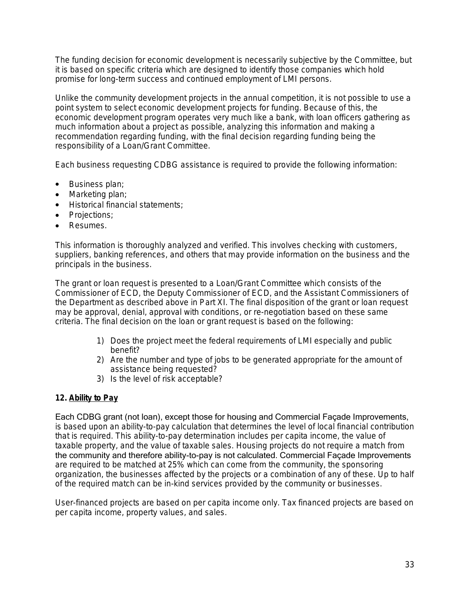The funding decision for economic development is necessarily subjective by the Committee, but it is based on specific criteria which are designed to identify those companies which hold promise for long-term success and continued employment of LMI persons.

Unlike the community development projects in the annual competition, it is not possible to use a point system to select economic development projects for funding. Because of this, the economic development program operates very much like a bank, with loan officers gathering as much information about a project as possible, analyzing this information and making a recommendation regarding funding, with the final decision regarding funding being the responsibility of a Loan/Grant Committee.

Each business requesting CDBG assistance is required to provide the following information:

- Business plan;
- Marketing plan;
- **Historical financial statements:**
- Projections;
- Resumes.

This information is thoroughly analyzed and verified. This involves checking with customers, suppliers, banking references, and others that may provide information on the business and the principals in the business.

The grant or loan request is presented to a Loan/Grant Committee which consists of the Commissioner of ECD, the Deputy Commissioner of ECD, and the Assistant Commissioners of the Department as described above in Part XI. The final disposition of the grant or loan request may be approval, denial, approval with conditions, or re-negotiation based on these same criteria. The final decision on the loan or grant request is based on the following:

- 1) Does the project meet the federal requirements of LMI especially and public benefit?
- 2) Are the number and type of jobs to be generated appropriate for the amount of assistance being requested?
- 3) Is the level of risk acceptable?

#### **12. Ability to Pay**

Each CDBG grant (not loan), except those for housing and Commercial Façade Improvements, is based upon an ability-to-pay calculation that determines the level of local financial contribution that is required. This ability-to-pay determination includes per capita income, the value of taxable property, and the value of taxable sales. Housing projects do not require a match from the community and therefore ability-to-pay is not calculated. Commercial Façade Improvements are required to be matched at 25% which can come from the community, the sponsoring organization, the businesses affected by the projects or a combination of any of these. Up to half of the required match can be in-kind services provided by the community or businesses.

User-financed projects are based on per capita income only. Tax financed projects are based on per capita income, property values, and sales.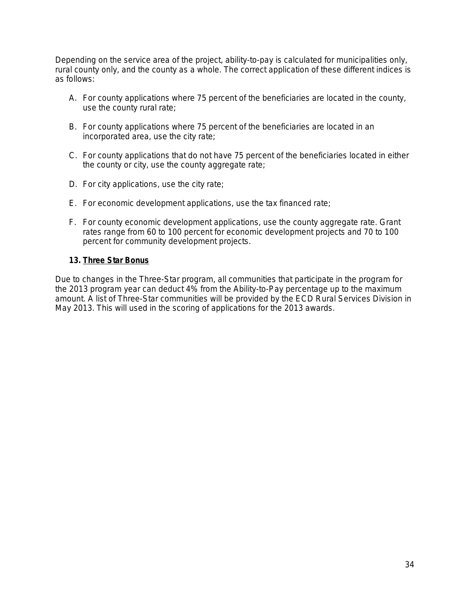Depending on the service area of the project, ability-to-pay is calculated for municipalities only, rural county only, and the county as a whole. The correct application of these different indices is as follows:

- A. For county applications where 75 percent of the beneficiaries are located in the county, use the county rural rate;
- B. For county applications where 75 percent of the beneficiaries are located in an incorporated area, use the city rate;
- C. For county applications that do not have 75 percent of the beneficiaries located in either the county or city, use the county aggregate rate;
- D. For city applications, use the city rate;
- E. For economic development applications, use the tax financed rate;
- F. For county economic development applications, use the county aggregate rate. Grant rates range from 60 to 100 percent for economic development projects and 70 to 100 percent for community development projects.

#### **13. Three Star Bonus**

Due to changes in the Three-Star program, all communities that participate in the program for the 2013 program year can deduct 4% from the Ability-to-Pay percentage up to the maximum amount. A list of Three-Star communities will be provided by the ECD Rural Services Division in May 2013. This will used in the scoring of applications for the 2013 awards.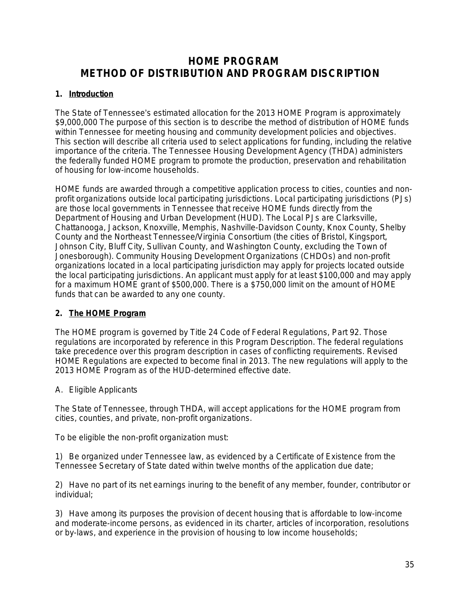## **HOME PROGRAM METHOD OF DISTRIBUTION AND PROGRAM DISCRIPTION**

### **1. Introduction**

The State of Tennessee's *estimated* allocation for the 2013 HOME Program is approximately \$9,000,000 The purpose of this section is to describe the method of distribution of HOME funds within Tennessee for meeting housing and community development policies and objectives. This section will describe all criteria used to select applications for funding, including the relative importance of the criteria. The Tennessee Housing Development Agency (THDA) administers the federally funded HOME program to promote the production, preservation and rehabilitation of housing for low-income households.

HOME funds are awarded through a competitive application process to cities, counties and nonprofit organizations outside local participating jurisdictions. Local participating jurisdictions (PJs) are those local governments in Tennessee that receive HOME funds directly from the Department of Housing and Urban Development (HUD). The Local PJs are Clarksville, Chattanooga, Jackson, Knoxville, Memphis, Nashville-Davidson County, Knox County, Shelby County and the Northeast Tennessee/Virginia Consortium (the cities of Bristol, Kingsport, Johnson City, Bluff City, Sullivan County, and Washington County, excluding the Town of Jonesborough). Community Housing Development Organizations (CHDOs) and non-profit organizations located in a local participating jurisdiction may apply for projects located outside the local participating jurisdictions. An applicant must apply for at least \$100,000 and may apply for a maximum HOME grant of \$500,000. There is a \$750,000 limit on the amount of HOME funds that can be awarded to any one county.

#### **2. The HOME Program**

The HOME program is governed by Title 24 Code of Federal Regulations, Part 92. Those regulations are incorporated by reference in this Program Description. The federal regulations take precedence over this program description in cases of conflicting requirements. Revised HOME Regulations are expected to become final in 2013. The new regulations will apply to the 2013 HOME Program as of the HUD-determined effective date.

#### A. Eligible Applicants

The State of Tennessee, through THDA, will accept applications for the HOME program from cities, counties, and private, non-profit organizations.

To be eligible the non-profit organization must:

1) Be organized under Tennessee law, as evidenced by a Certificate of Existence from the Tennessee Secretary of State dated within twelve months of the application due date;

2) Have no part of its net earnings inuring to the benefit of any member, founder, contributor or individual;

3) Have among its purposes the provision of decent housing that is affordable to low-income and moderate-income persons, as evidenced in its charter, articles of incorporation, resolutions or by-laws, and experience in the provision of housing to low income households;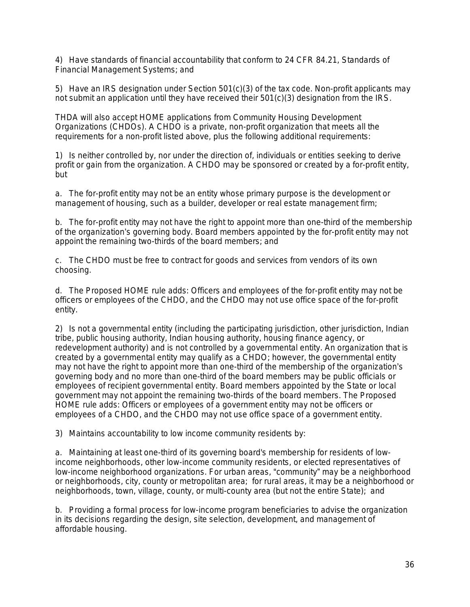4) Have standards of financial accountability that conform to 24 CFR 84.21, *Standards of Financial Management Systems*; and

5) Have an IRS designation under Section 501(c)(3) of the tax code. *Non-profit applicants may not submit an application until they have received their 501(c)(3) designation from the IRS.*

THDA will also accept HOME applications from Community Housing Development Organizations (CHDOs). A CHDO is a private, non-profit organization that meets all the requirements for a non-profit listed above, plus the following additional requirements:

1) Is neither controlled by, nor under the direction of, individuals or entities seeking to derive profit or gain from the organization. A CHDO may be sponsored or created by a for-profit entity, but

a. The for-profit entity may not be an entity whose primary purpose is the development or management of housing, such as a builder, developer or real estate management firm;

b. The for-profit entity may not have the right to appoint more than one-third of the membership of the organization's governing body. Board members appointed by the for-profit entity may not appoint the remaining two-thirds of the board members; and

c. The CHDO must be free to contract for goods and services from vendors of its own choosing.

d. The Proposed HOME rule adds: Officers and employees of the for-profit entity may not be officers or employees of the CHDO, and the CHDO may not use office space of the for-profit entity.

2) Is not a governmental entity (including the participating jurisdiction, other jurisdiction, Indian tribe, public housing authority, Indian housing authority, housing finance agency, or redevelopment authority) and is not controlled by a governmental entity. An organization that is created by a governmental entity may qualify as a CHDO; however, the governmental entity may not have the right to appoint more than one-third of the membership of the organization's governing body and no more than one-third of the board members may be public officials or employees of recipient governmental entity. Board members appointed by the State or local government may not appoint the remaining two-thirds of the board members. The Proposed HOME rule adds: Officers or employees of a government entity may not be officers or employees of a CHDO, and the CHDO may not use office space of a government entity.

3) Maintains accountability to low income community residents by:

a. Maintaining at least one-third of its governing board's membership for residents of lowincome neighborhoods, other low-income community residents, or elected representatives of low-income neighborhood organizations. For urban areas, "community" may be a neighborhood or neighborhoods, city, county or metropolitan area; for rural areas, it may be a neighborhood or neighborhoods, town, village, county, or multi-county area (but not the entire State); and

b. Providing a formal process for low-income program beneficiaries to advise the organization in its decisions regarding the design, site selection, development, and management of affordable housing.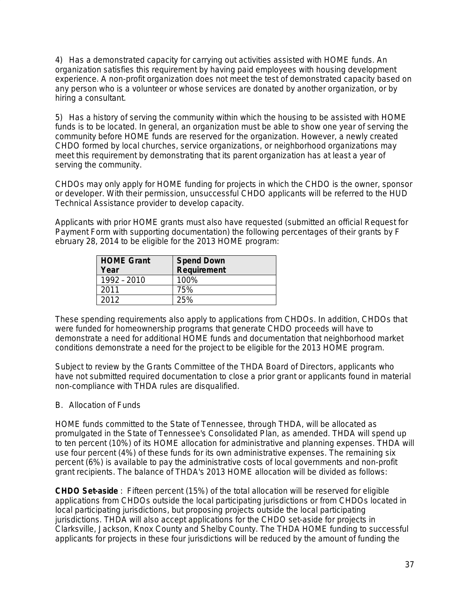4) Has a demonstrated capacity for carrying out activities assisted with HOME funds. An organization satisfies this requirement by having paid employees with housing development experience. A non-profit organization does not meet the test of demonstrated capacity based on any person who is a volunteer or whose services are donated by another organization, or by hiring a consultant.

5) Has a history of serving the community within which the housing to be assisted with HOME funds is to be located. In general, an organization must be able to show one year of serving the community before HOME funds are reserved for the organization. However, a newly created CHDO formed by local churches, service organizations, or neighborhood organizations may meet this requirement by demonstrating that its parent organization has at least a year of serving the community.

CHDOs may only apply for HOME funding for projects in which the CHDO is the owner, sponsor or developer. With their permission, unsuccessful CHDO applicants will be referred to the HUD Technical Assistance provider to develop capacity.

Applicants with prior HOME grants must also have *requested* (submitted an official Request for Payment Form with supporting documentation) the following percentages of their grants by F ebruary 28, 2014 to be eligible for the 2013 HOME program:

| <b>HOME Grant</b><br>Year | <b>Spend Down</b><br>Requirement |
|---------------------------|----------------------------------|
| 1992 - 2010               | 100%                             |
| 2011                      | 75%                              |
| 2012                      | 25%                              |

These spending requirements also apply to applications from CHDOs. In addition, CHDOs that were funded for homeownership programs that generate CHDO proceeds will have to demonstrate a need for additional HOME funds and documentation that neighborhood market conditions demonstrate a need for the project to be eligible for the 2013 HOME program.

Subject to review by the Grants Committee of the THDA Board of Directors, applicants who have not submitted required documentation to close a prior grant or applicants found in material non-compliance with THDA rules are disqualified.

## B. Allocation of Funds

HOME funds committed to the State of Tennessee, through THDA, will be allocated as promulgated in the State of Tennessee's Consolidated Plan, as amended. THDA will spend up to ten percent (10%) of its HOME allocation for administrative and planning expenses. THDA will use four percent (4%) of these funds for its own administrative expenses. The remaining six percent (6%) is available to pay the administrative costs of local governments and non-profit grant recipients. The balance of THDA's 2013 HOME allocation will be divided as follows:

*CHDO Set-aside :* Fifteen percent (15%) of the total allocation will be reserved for eligible applications from CHDOs outside the local participating jurisdictions or from CHDOs located in local participating jurisdictions, but proposing projects outside the local participating jurisdictions. THDA will also accept applications for the CHDO set-aside for projects in Clarksville, Jackson, Knox County and Shelby County. The THDA HOME funding to successful applicants for projects in these four jurisdictions will be reduced by the amount of funding the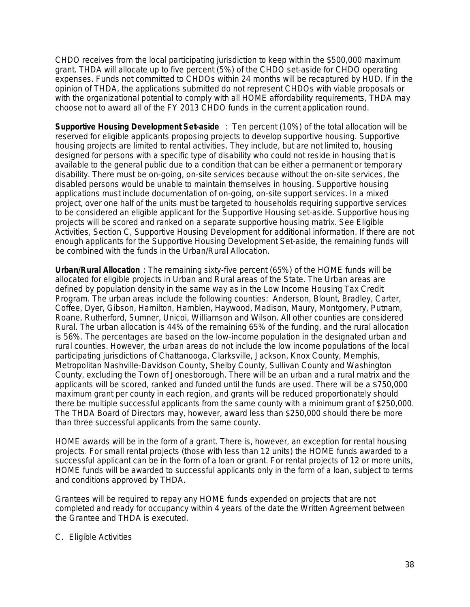CHDO receives from the local participating jurisdiction to keep within the \$500,000 maximum grant. THDA will allocate up to five percent (5%) of the CHDO set-aside for CHDO operating expenses. Funds not committed to CHDOs within 24 months will be recaptured by HUD. If in the opinion of THDA, the applications submitted do not represent CHDOs with viable proposals or with the organizational potential to comply with all HOME affordability requirements, THDA may choose not to award all of the FY 2013 CHDO funds in the current application round.

*Supportive Housing Development Set-aside :* Ten percent (10%) of the total allocation will be reserved for eligible applicants proposing projects to develop supportive housing. *Supportive housing projects are limited to rental activities*. They include, but are not limited to, housing designed for persons with a specific type of disability who could not reside in housing that is available to the general public due to a condition that can be either a permanent or temporary disability. There must be on-going, on-site services because without the on-site services, the disabled persons would be unable to maintain themselves in housing. *Supportive housing*  applications must include documentation of on-going, on-site support services. In a mixed project, over one half of the units must be targeted to households requiring supportive services to be considered an eligible applicant for the Supportive Housing set-aside. Supportive housing projects will be scored and ranked on a separate supportive housing matrix. See *Eligible Activities, Section C, Supportive Housing Development* for additional information. If there are not enough applicants for the Supportive Housing Development Set-aside, the remaining funds will be combined with the funds in the Urban/Rural Allocation.

*Urban/Rural Allocation :* The remaining sixty-five percent (65%) of the HOME funds will be allocated for eligible projects in Urban and Rural areas of the State. The Urban areas are defined by population density in the same way as in the Low Income Housing Tax Credit Program. The urban areas include the following counties: Anderson, Blount, Bradley, Carter, Coffee, Dyer, Gibson, Hamilton, Hamblen, Haywood, Madison, Maury, Montgomery, Putnam, Roane, Rutherford, Sumner, Unicoi, Williamson and Wilson. All other counties are considered Rural. The urban allocation is 44% of the remaining 65% of the funding, and the rural allocation is 56%. The percentages are based on the low-income population in the designated urban and rural counties. However, the urban areas do not include the low income populations of the local participating jurisdictions of Chattanooga, Clarksville, Jackson, Knox County, Memphis, Metropolitan Nashville-Davidson County, Shelby County, Sullivan County and Washington County, excluding the Town of Jonesborough. There will be an urban and a rural matrix and the applicants will be scored, ranked and funded until the funds are used. There will be a \$750,000 maximum grant per county in each region, and grants will be reduced proportionately should there be multiple successful applicants from the same county with a minimum grant of \$250,000. The THDA Board of Directors may, however, award less than \$250,000 should there be more than three successful applicants from the same county.

HOME awards will be in the form of a grant. There is, however, an exception for rental housing projects. For small rental projects (those with less than 12 units) the HOME funds awarded to a successful applicant can be in the form of a loan or grant. For rental projects of 12 or more units, HOME funds will be awarded to successful applicants only in the form of a loan, subject to terms and conditions approved by THDA.

Grantees will be required to repay any HOME funds expended on projects that are not completed and ready for occupancy within 4 years of the date the Written Agreement between the Grantee and THDA is executed.

C. Eligible Activities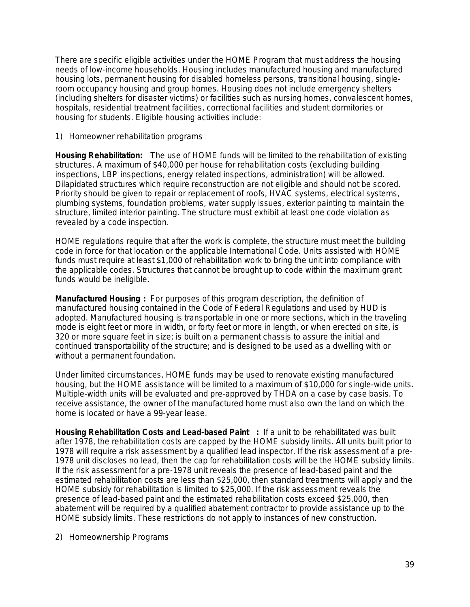There are specific eligible activities under the HOME Program that must address the housing needs of low-income households. Housing includes manufactured housing and manufactured housing lots, permanent housing for disabled homeless persons, transitional housing, singleroom occupancy housing and group homes. Housing does not include emergency shelters (including shelters for disaster victims) or facilities such as nursing homes, convalescent homes, hospitals, residential treatment facilities, correctional facilities and student dormitories or housing for students. Eligible housing activities include:

1) Homeowner rehabilitation programs

*Housing Rehabilitation:* The use of HOME funds will be limited to the rehabilitation of existing structures. A maximum of \$40,000 per house for rehabilitation costs (excluding building inspections, LBP inspections, energy related inspections, administration) will be allowed. Dilapidated structures which require reconstruction are not eligible and should not be scored. Priority should be given to repair or replacement of roofs, HVAC systems, electrical systems, plumbing systems, foundation problems, water supply issues, exterior painting to maintain the structure, limited interior painting. The structure must exhibit at least one code violation as revealed by a code inspection.

HOME regulations require that after the work is complete, the structure must meet the building code in force for that location or the applicable International Code. Units assisted with HOME funds must require at least \$1,000 of rehabilitation work to bring the unit into compliance with the applicable codes. Structures that cannot be brought up to code within the maximum grant funds would be ineligible.

*Manufactured Housing* **:** For purposes of this program description, the definition of manufactured housing contained in the Code of Federal Regulations and used by HUD is adopted. Manufactured housing is transportable in one or more sections, which in the traveling mode is eight feet or more in width, or forty feet or more in length, or when erected on site, is 320 or more square feet in size; is built on a permanent chassis to assure the initial and continued transportability of the structure; and is designed to be used as a dwelling with or without a permanent foundation.

Under limited circumstances, HOME funds may be used to renovate existing manufactured housing, but the HOME assistance will be limited to a maximum of \$10,000 for single-wide units. Multiple-width units will be evaluated and pre-approved by THDA on a case by case basis. To receive assistance, the owner of the manufactured home must also own the land on which the home is located or have a 99-year lease.

*Housing Rehabilitation Costs and Lead-based Paint* **:** If a unit to be rehabilitated was built after 1978, the rehabilitation costs are capped by the HOME subsidy limits. *All units built prior to*  1978 will require a risk assessment by a qualified lead inspector. If the risk assessment of a pre-1978 unit discloses no lead, then the cap for rehabilitation costs will be the HOME subsidy limits. If the risk assessment for a pre-1978 unit reveals the presence of lead-based paint and the estimated rehabilitation costs are less than \$25,000, then standard treatments will apply and the HOME subsidy for rehabilitation is limited to \$25,000. If the risk assessment reveals the presence of lead-based paint and the estimated rehabilitation costs exceed \$25,000, then abatement will be required by a qualified abatement contractor to provide assistance up to the HOME subsidy limits. These restrictions do not apply to instances of new construction.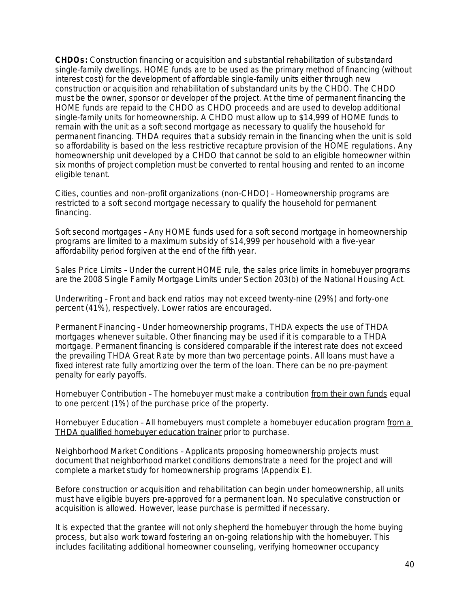*CHDOs***:** Construction financing or acquisition and substantial rehabilitation of substandard single-family dwellings. HOME funds *are to be used as the primary method of financing* (without interest cost) for *the development of affordable single-family units* either through new construction or acquisition and rehabilitation of substandard units by the CHDO. The CHDO must be the owner, sponsor or developer of the project. At the time of permanent financing the HOME funds are repaid to the CHDO as CHDO proceeds and are used to develop additional single-family units for homeownership. A CHDO must allow up to \$14,999 of HOME funds to remain with the unit as a soft second mortgage as necessary to qualify the household for permanent financing. THDA requires that a subsidy remain in the financing when the unit is sold so affordability is based on the less restrictive recapture provision of the HOME regulations. Any homeownership unit developed by a CHDO that cannot be sold to an eligible homeowner within six months of project completion must be converted to rental housing and rented to an income eligible tenant.

*Cities, counties and non-profit organizations (non-CHDO)* – Homeownership programs are restricted to a soft second mortgage necessary to qualify the household for permanent financing.

*Soft second mortgages* – Any HOME funds used for a soft second mortgage in homeownership programs are limited to a maximum subsidy of \$14,999 per household with a five-year affordability period forgiven at the end of the fifth year.

*Sales Price Limits* – Under the current HOME rule, the sales price limits in homebuyer programs are the 2008 Single Family Mortgage Limits under Section 203(b) of the National Housing Act.

*Underwriting* – Front and back end ratios may not exceed twenty-nine (29%) and forty-one percent (41%), respectively. Lower ratios are encouraged.

*Permanent Financing* – Under homeownership programs, THDA expects the use of THDA mortgages whenever suitable. Other financing may be used if it is comparable to a THDA mortgage. Permanent financing is considered comparable if the interest rate does not exceed the prevailing THDA Great Rate by more than two percentage points. All loans must have a fixed interest rate fully amortizing over the term of the loan. There can be no pre-payment penalty for early payoffs.

*Homebuyer Contribution* – The homebuyer must make a contribution from their own funds equal to one percent (1%) of the purchase price of the property.

*Homebuyer Education* – All homebuyers must complete a homebuyer education program from a THDA qualified homebuyer education trainer prior to purchase.

*Neighborhood Market Conditions* – Applicants proposing homeownership projects must document that neighborhood market conditions demonstrate a need for the project and will complete a market study for homeownership programs (Appendix E).

Before construction or acquisition and rehabilitation can begin under homeownership, all units must have eligible buyers pre-approved for a permanent loan. No speculative construction or acquisition is allowed. However, lease purchase is permitted if necessary.

It is expected that the grantee will not only shepherd the homebuyer through the home buying process, but also work toward fostering an on-going relationship with the homebuyer. This includes facilitating additional homeowner counseling, verifying homeowner occupancy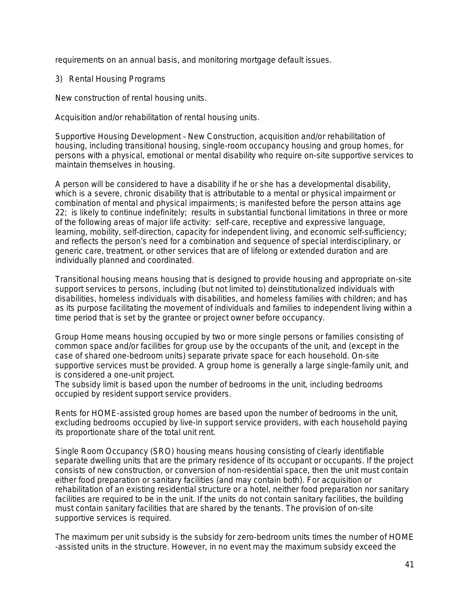requirements on an annual basis, and monitoring mortgage default issues.

3) Rental Housing Programs

*New construction of rental housing units.*

*Acquisition and/or rehabilitation of rental housing units.*

*Supportive Housing Development* – New Construction, acquisition and/or rehabilitation of housing, including transitional housing, single-room occupancy housing and group homes, for persons with a physical, emotional or mental disability who require on-site supportive services to maintain themselves in housing.

A person will be considered to have a disability if he or she has a developmental disability, which is a severe, chronic disability that is attributable to a mental or physical impairment or combination of mental and physical impairments; is manifested before the person attains age 22; is likely to continue indefinitely; results in substantial functional limitations in three or more of the following areas of major life activity: self-care, receptive and expressive language, learning, mobility, self-direction, capacity for independent living, and economic self-sufficiency; and reflects the person's need for a combination and sequence of special interdisciplinary, or generic care, treatment, or other services that are of lifelong or extended duration and are individually planned and coordinated.

*Transitional housing* means housing that is designed to provide housing and appropriate on-site support services to persons, including (but not limited to) deinstitutionalized individuals with disabilities, homeless individuals with disabilities, and homeless families with children; and has as its purpose facilitating the movement of individuals and families to independent living within a time period that is set by the grantee or project owner before occupancy.

*Group Home* means housing occupied by two or more single persons or families consisting of common space and/or facilities for group use by the occupants of the unit, and (except in the case of shared one-bedroom units) separate private space for each household. On-site supportive services must be provided. A group home is generally a large single-family unit, and is considered a one-unit project.

The subsidy limit is based upon the number of bedrooms in the unit, including bedrooms occupied by resident support service providers.

Rents for HOME-assisted group homes are based upon the number of bedrooms in the unit, excluding bedrooms occupied by live-in support service providers, with each household paying its proportionate share of the total unit rent.

*Single Room Occupancy (SRO)* housing means housing consisting of clearly identifiable separate dwelling units that are the primary residence of its occupant or occupants. If the project consists of new construction, or conversion of non-residential space, then the unit must contain either food preparation or sanitary facilities (and may contain both). For acquisition or rehabilitation of an existing residential structure or a hotel, neither food preparation nor sanitary facilities are required to be in the unit. If the units do not contain sanitary facilities, the building must contain sanitary facilities that are shared by the tenants. The provision of on-site supportive services is required.

The maximum per unit subsidy is the subsidy for zero-bedroom units times the number of HOME -assisted units in the structure. However, in no event may the maximum subsidy exceed the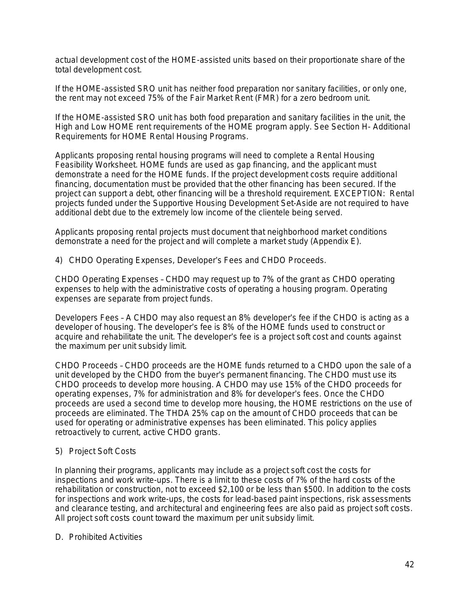actual development cost of the HOME-assisted units based on their proportionate share of the total development cost.

If the HOME-assisted SRO unit has neither food preparation nor sanitary facilities, or only one, the rent may not exceed 75% of the Fair Market Rent (FMR) for a zero bedroom unit.

If the HOME-assisted SRO unit has both food preparation and sanitary facilities in the unit, the High and Low HOME rent requirements of the HOME program apply. See *Section H- Additional Requirements for HOME Rental Housing Programs*.

Applicants proposing rental housing programs will need to complete a Rental Housing Feasibility Worksheet. HOME funds are used as gap financing, and the applicant must demonstrate a need for the HOME funds. If the project development costs require additional financing, documentation must be provided that the other financing has been secured. If the project can support a debt, other financing will be a threshold requirement. EXCEPTION: Rental projects funded under the Supportive Housing Development Set-Aside are not required to have additional debt due to the extremely low income of the clientele being served.

Applicants proposing rental projects must document that neighborhood market conditions demonstrate a need for the project and will complete a market study (Appendix E).

4) CHDO Operating Expenses, Developer's Fees and CHDO Proceeds.

*CHDO Operating Expenses* – CHDO may request up to 7% of the grant as CHDO operating expenses to help with the administrative costs of operating a housing program. Operating expenses are separate from project funds.

*Developers Fee*s – A CHDO may also request an 8% developer's fee if the CHDO is acting as a developer of housing. The developer's fee is 8% of the HOME funds used to construct or acquire and rehabilitate the unit. The developer's fee is a project soft cost and counts against the maximum per unit subsidy limit.

*CHDO Proceeds* – CHDO proceeds are the HOME funds returned to a CHDO upon the sale of a unit developed by the CHDO from the buyer's permanent financing. The CHDO must use its CHDO proceeds to develop more housing. A CHDO may use 15% of the CHDO proceeds for operating expenses, 7% for administration and 8% for developer's fees. Once the CHDO proceeds are used a second time to develop more housing, the HOME restrictions on the use of proceeds are eliminated. The THDA 25% cap on the amount of CHDO proceeds that can be used for operating or administrative expenses has been eliminated. This policy applies retroactively to current, active CHDO grants.

## 5) Project Soft Costs

In planning their programs, applicants may include as a project soft cost the costs for inspections and work write-ups. There is a limit to these costs of 7% of the hard costs of the rehabilitation or construction, not to exceed \$2,100 or be less than \$500. In addition to the costs for inspections and work write-ups, the costs for lead-based paint inspections, risk assessments and clearance testing, and architectural and engineering fees are also paid as project soft costs. All project soft costs count toward the maximum per unit subsidy limit.

## D. Prohibited Activities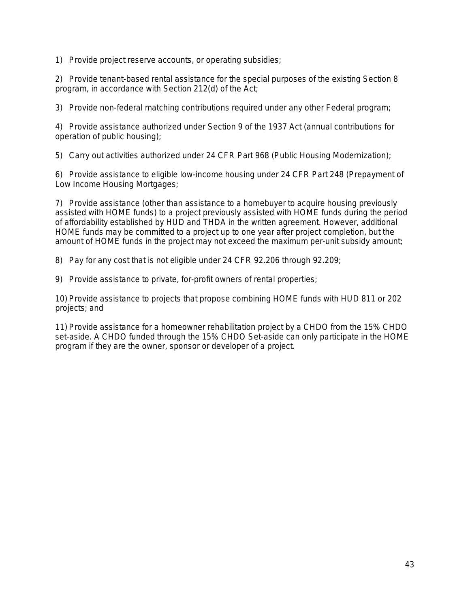1) Provide project reserve accounts, or operating subsidies;

2) Provide tenant-based rental assistance for the special purposes of the existing Section 8 program, in accordance with Section 212(d) of the Act;

3) Provide non-federal matching contributions required under any other Federal program;

4) Provide assistance authorized under Section 9 of the 1937 Act (annual contributions for operation of public housing);

5) Carry out activities authorized under 24 CFR Part 968 (Public Housing Modernization);

6) Provide assistance to eligible low-income housing under 24 CFR Part 248 (Prepayment of Low Income Housing Mortgages;

7) Provide assistance (other than assistance to a homebuyer to acquire housing previously assisted with HOME funds) to a project previously assisted with HOME funds during the period of affordability established by HUD and THDA in the written agreement. However, additional HOME funds may be committed to a project up to one year after project completion, but the amount of HOME funds in the project may not exceed the maximum per-unit subsidy amount;

8) Pay for any cost that is not eligible under 24 CFR 92.206 through 92.209;

9) Provide assistance to private, for-profit owners of rental properties;

10) Provide assistance to projects that propose combining HOME funds with HUD 811 or 202 projects; and

11) Provide assistance for a homeowner rehabilitation project by a CHDO from the 15% CHDO set-aside. A CHDO funded through the 15% CHDO Set-aside can only participate in the HOME program if they are the owner, sponsor or developer of a project.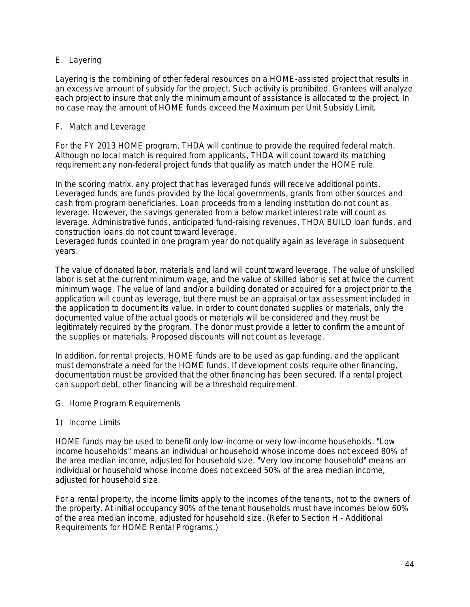# E. Layering

Layering is the combining of other federal resources on a HOME-assisted project that results in an excessive amount of subsidy for the project. Such activity is prohibited. Grantees will analyze each project to insure that only the minimum amount of assistance is allocated to the project. In no case may the amount of HOME funds exceed the Maximum per Unit Subsidy Limit.

## F. Match and Leverage

For the FY 2013 HOME program, THDA will continue to provide the required federal match. Although no local match is required from applicants, THDA will count toward its matching requirement any non-federal project funds that qualify as match under the HOME rule.

In the scoring matrix, any project that has leveraged funds will receive additional points. Leveraged funds are funds provided by the local governments, grants from other sources and cash from program beneficiaries. Loan proceeds from a lending institution do not count as leverage. However, the savings generated from a below market interest rate will count as leverage. Administrative funds, *anticipated* fund-raising revenues, THDA BUILD loan funds, and construction loans do not count toward leverage.

Leveraged funds counted in one program year do not qualify again as leverage in subsequent years.

The value of donated labor, materials and land will count toward leverage. The value of unskilled labor is set at the current minimum wage, and the value of skilled labor is set at twice the current minimum wage. The value of land and/or a building donated or acquired for a project prior to the application will count as leverage, but there must be an appraisal or tax assessment included in the application to document its value. In order to count donated supplies or materials, only the documented value of the actual goods or materials will be considered and they must be legitimately required by the program. The donor must provide a letter to confirm the amount of the supplies or materials. Proposed discounts will not count as leverage.

In addition, for rental projects, HOME funds are to be used as gap funding, and the applicant must demonstrate a need for the HOME funds. If development costs require other financing, documentation must be provided that the other financing has been secured. If a rental project can support debt, other financing will be a threshold requirement.

- G. Home Program Requirements
- 1) Income Limits

HOME funds may be used to benefit only low-income or very low-income households. "Low income households" means an individual or household whose income does not exceed 80% of the area median income, adjusted for household size. "Very low income household" means an individual or household whose income does not exceed 50% of the area median income, adjusted for household size.

For a rental property, the income limits apply to the incomes of the tenants, not to the owners of the property. At initial occupancy 90% of the tenant households must have incomes below 60% of the area median income, adjusted for household size. (Refer to *Section H - Additional Requirements for HOME Rental Programs*.)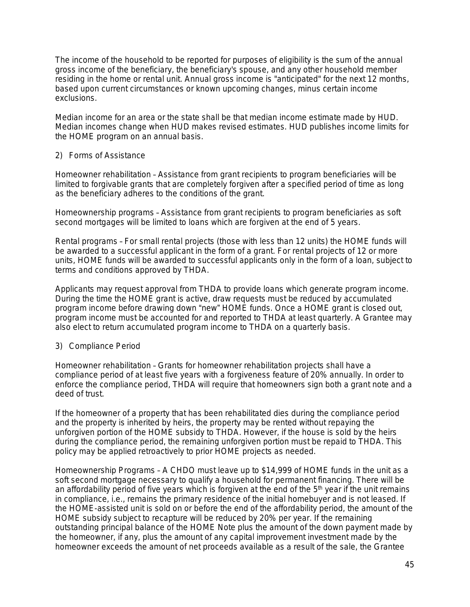The income of the household to be reported for purposes of eligibility is the sum of the annual gross income of the beneficiary, the beneficiary's spouse, and any other household member residing in the home or rental unit. Annual gross income is "anticipated" for the next 12 months, based upon current circumstances or known upcoming changes, minus certain income exclusions.

Median income for an area or the state shall be that median income estimate made by HUD. Median incomes change when HUD makes revised estimates. HUD publishes income limits for the HOME program on an annual basis.

## 2) Forms of Assistance

*Homeowner rehabilitation* – Assistance from grant recipients to program beneficiaries will be limited to forgivable grants that are completely forgiven after a specified period of time as long as the beneficiary adheres to the conditions of the grant.

*Homeownership programs* – Assistance from grant recipients to program beneficiaries as soft second mortgages will be limited to loans which are forgiven at the end of 5 years.

*Rental programs* – For small rental projects (those with less than 12 units) the HOME funds will be awarded to a successful applicant in the form of a grant. For rental projects of 12 or more units, HOME funds will be awarded to successful applicants only in the form of a loan, subject to terms and conditions approved by THDA.

Applicants may request approval from THDA to provide loans which generate program income. During the time the HOME grant is active, draw requests must be reduced by accumulated program income before drawing down "new" HOME funds. Once a HOME grant is closed out, program income must be accounted for and reported to THDA at least quarterly. A Grantee may also elect to return accumulated program income to THDA on a quarterly basis.

## 3) Compliance Period

*Homeowner rehabilitation* – Grants for homeowner rehabilitation projects shall have a compliance period of at least five years with a forgiveness feature of 20% annually. In order to enforce the compliance period, THDA will require that homeowners sign both a grant note and a deed of trust.

If the homeowner of a property that has been rehabilitated dies during the compliance period and the property is inherited by heirs, the property may be rented without repaying the unforgiven portion of the HOME subsidy to THDA. However, if the house is sold by the heirs during the compliance period, the remaining unforgiven portion must be repaid to THDA. This policy may be applied retroactively to prior HOME projects as needed.

*Homeownership Programs* – A CHDO must leave up to \$14,999 of HOME funds in the unit as a soft second mortgage necessary to qualify a household for permanent financing. There will be an affordability period of five years which is forgiven at the end of the 5<sup>th</sup> year if the unit remains in compliance, i.e., remains the primary residence of the initial homebuyer and is not leased. If the HOME-assisted unit is sold on or before the end of the affordability period, the amount of the HOME subsidy subject to recapture will be reduced by 20% per year. If the remaining outstanding principal balance of the HOME Note plus the amount of the down payment made by the homeowner, if any, plus the amount of any capital improvement investment made by the homeowner exceeds the amount of net proceeds available as a result of the sale, the Grantee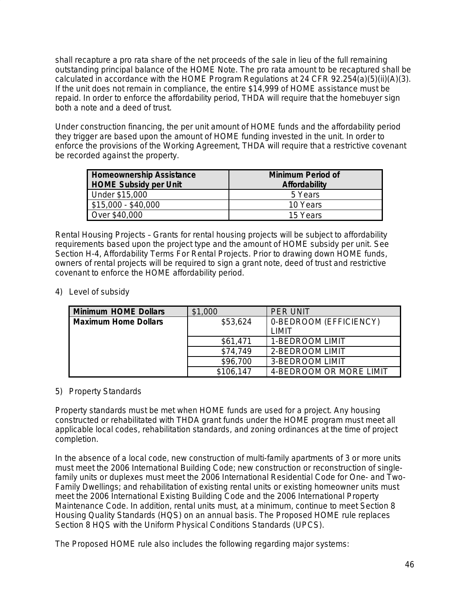shall recapture a pro rata share of the net proceeds of the sale in lieu of the full remaining outstanding principal balance of the HOME Note. The pro rata amount to be recaptured shall be calculated in accordance with the HOME Program Regulations at 24 CFR 92.254(a)(5)(ii)(A)(3). If the unit does not remain in compliance, the entire \$14,999 of HOME assistance must be repaid. In order to enforce the affordability period, THDA will require that the homebuyer sign both a note and a deed of trust.

Under construction financing, the per unit amount of HOME funds and the affordability period they trigger are based upon the amount of HOME funding invested in the unit. In order to enforce the provisions of the Working Agreement, THDA will require that a restrictive covenant be recorded against the property.

| <b>Homeownership Assistance</b><br><b>HOME Subsidy per Unit</b> | Minimum Period of<br>Affordability |  |
|-----------------------------------------------------------------|------------------------------------|--|
| Under \$15,000                                                  | 5 Years                            |  |
| $$15,000 - $40,000$                                             | 10 Years                           |  |
| Over \$40,000                                                   | 15 Years                           |  |

*Rental Housing Projects* – Grants for rental housing projects will be subject to affordability requirements based upon the project type and the amount of HOME subsidy per unit. See *Section H-4, Affordability Terms For Rental Projects*. Prior to drawing down HOME funds, owners of rental projects will be required to sign a grant note, deed of trust and restrictive covenant to enforce the HOME affordability period.

4) Level of subsidy

| Minimum HOME Dollars        | \$1,000   | PFR UNIT                |
|-----------------------------|-----------|-------------------------|
| <b>Maximum Home Dollars</b> | \$53,624  | 0-BEDROOM (EFFICIENCY)  |
|                             |           | I IMIT                  |
|                             | \$61,471  | 1-BEDROOM LIMIT         |
|                             | \$74.749  | 2-BEDROOM LIMIT         |
|                             | \$96,700  | 3-BEDROOM LIMIT         |
|                             | \$106,147 | 4-BEDROOM OR MORE LIMIT |

## 5) Property Standards

Property standards must be met when HOME funds are used for a project. Any housing constructed or rehabilitated with THDA grant funds under the HOME program must meet all applicable local codes, rehabilitation standards, and zoning ordinances at the time of project completion.

In the absence of a local code, new construction of multi-family apartments of 3 or more units must meet the 2006 International Building Code; new construction or reconstruction of singlefamily units or duplexes must meet the 2006 International Residential Code for One- and Two-Family Dwellings; and rehabilitation of existing rental units or existing homeowner units must meet the 2006 International Existing Building Code and the 2006 International Property Maintenance Code. In addition, rental units must, at a minimum, continue to meet Section 8 Housing Quality Standards (HQS) on an annual basis. The Proposed HOME rule replaces Section 8 HQS with the Uniform Physical Conditions Standards (UPCS).

The Proposed HOME rule also includes the following regarding major systems: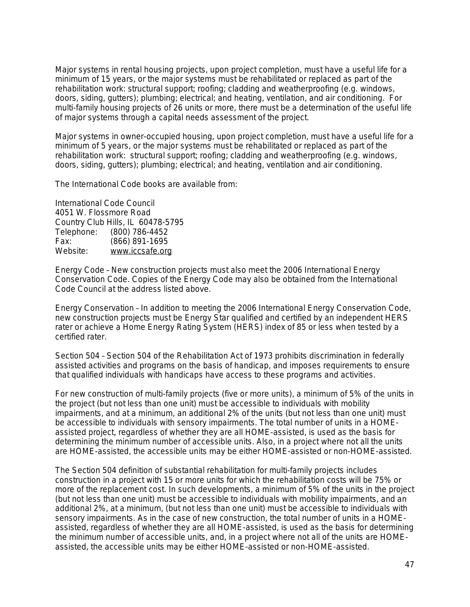Major systems in rental housing projects, upon project completion, must have a useful life for a minimum of 15 years, or the major systems must be rehabilitated or replaced as part of the rehabilitation work: structural support; roofing; cladding and weatherproofing (e.g. windows, doors, siding, gutters); plumbing; electrical; and heating, ventilation, and air conditioning. For multi-family housing projects of 26 units or more, there must be a determination of the useful life of major systems through a capital needs assessment of the project.

Major systems in owner-occupied housing, upon project completion, must have a useful life for a minimum of 5 years, or the major systems must be rehabilitated or replaced as part of the rehabilitation work: structural support; roofing; cladding and weatherproofing (e.g. windows, doors, siding, gutters); plumbing; electrical; and heating, ventilation and air conditioning.

The International Code books are available from:

International Code Council 4051 W. Flossmore Road Country Club Hills, IL 60478-5795<br>Telephone: (800) 786-4452 (800) 786-4452 Fax: (866) 891-1695 Website: [www.iccsafe.org](http://www.iccsafe.org)

*Energy Code* – New construction projects must also meet the 2006 International Energy Conservation Code. Copies of the Energy Code may also be obtained from the International Code Council at the address listed above.

*Energy Conservation* – In addition to meeting the 2006 International Energy Conservation Code, new construction projects must be Energy Star qualified and certified by an independent HERS rater or achieve a Home Energy Rating System (HERS) index of 85 or less when tested by a certified rater.

*Section 504* – Section 504 of the Rehabilitation Act of 1973 prohibits discrimination in federally assisted activities and programs on the basis of handicap, and imposes requirements to ensure that qualified individuals with handicaps have access to these programs and activities.

For new construction of multi-family projects (five or more units), a minimum of 5% of the units in the project (but not less than one unit) must be accessible to individuals with mobility impairments, and at a minimum, an additional 2% of the units (but not less than one unit) must be accessible to individuals with sensory impairments. The total number of units in a HOMEassisted project, regardless of whether they are all HOME-assisted, is used as the basis for determining the minimum number of accessible units. Also, in a project where not all the units are HOME-assisted, the accessible units may be either HOME-assisted or non-HOME-assisted.

The Section 504 definition of substantial rehabilitation for multi-family projects includes construction in a project with 15 or more units for which the rehabilitation costs will be 75% or more of the replacement cost. In such developments, a minimum of 5% of the units in the project (but not less than one unit) must be accessible to individuals with mobility impairments, and an additional 2%, at a minimum, (but not less than one unit) must be accessible to individuals with sensory impairments. As in the case of new construction, the total number of units in a HOMEassisted, regardless of whether they are all HOME-assisted, is used as the basis for determining the minimum number of accessible units, and, in a project where not all of the units are HOMEassisted, the accessible units may be either HOME-assisted or non-HOME-assisted.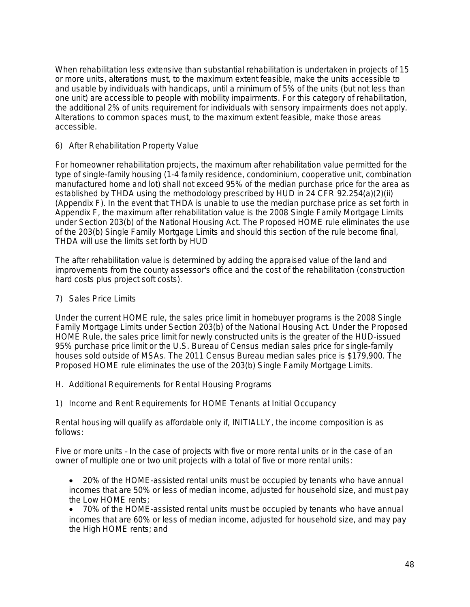When rehabilitation less extensive than substantial rehabilitation is undertaken in projects of 15 or more units, alterations must, to the maximum extent feasible, make the units accessible to and usable by individuals with handicaps, until a minimum of 5% of the units (but not less than one unit) are accessible to people with mobility impairments. For this category of rehabilitation, the additional 2% of units requirement for individuals with sensory impairments does not apply. Alterations to common spaces must, to the maximum extent feasible, make those areas accessible.

### 6) After Rehabilitation Property Value

F*or homeowner rehabilitation projects*, the maximum after rehabilitation value permitted for the type of single-family housing (1-4 family residence, condominium, cooperative unit, combination manufactured home and lot) shall not exceed 95% of the median purchase price for the area as established by THDA using the methodology prescribed by HUD in 24 CFR 92.254(a)(2)(ii) (Appendix F). In the event that THDA is unable to use the median purchase price as set forth in Appendix F, the maximum after rehabilitation value is the 2008 Single Family Mortgage Limits under Section 203(b) of the National Housing Act. The Proposed HOME rule eliminates the use of the 203(b) Single Family Mortgage Limits and should this section of the rule become final, THDA will use the limits set forth by HUD

The after rehabilitation value is determined by adding the appraised value of the land and improvements from the county assessor's office and the cost of the rehabilitation (construction hard costs plus project soft costs).

### 7) Sales Price Limits

Under the current HOME rule, the sales price limit in homebuyer programs is the 2008 Single Family Mortgage Limits under Section 203(b) of the National Housing Act. Under the Proposed HOME Rule, the sales price limit for newly constructed units is the greater of the HUD-issued 95% purchase price limit or the U.S. Bureau of Census median sales price for single-family houses sold outside of MSAs. The 2011 Census Bureau median sales price is \$179,900. The Proposed HOME rule eliminates the use of the 203(b) Single Family Mortgage Limits.

- H. Additional Requirements for Rental Housing Programs
- 1) Income and Rent Requirements for HOME Tenants at Initial Occupancy

Rental housing will qualify as affordable only if, INITIALLY, the income composition is as follows:

*Five or more units* – In the case of projects with five or more rental units or in the case of an owner of multiple one or two unit projects with a total of five or more rental units:

- 20% of the HOME-assisted rental units must be occupied by tenants who have annual incomes that are 50% or less of median income, adjusted for household size, and must pay the Low HOME rents;
- 70% of the HOME-assisted rental units must be occupied by tenants who have annual incomes that are 60% or less of median income, adjusted for household size, and may pay the High HOME rents; and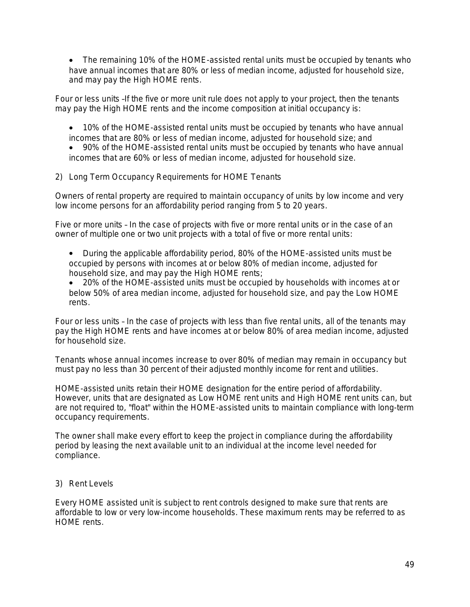The remaining 10% of the HOME-assisted rental units must be occupied by tenants who have annual incomes that are 80% or less of median income, adjusted for household size, and may pay the High HOME rents.

*Four or less units* –If the five or more unit rule does not apply to your project, then the tenants may pay the High HOME rents and the income composition *at initial occupancy is:*

 10% of the HOME-assisted rental units must be occupied by tenants who have annual incomes that are 80% or less of median income, adjusted for household size; and

 90% of the HOME-assisted rental units must be occupied by tenants who have annual incomes that are 60% or less of median income, adjusted for household size.

# 2) Long Term Occupancy Requirements for HOME Tenants

Owners of rental property are required to maintain occupancy of units by low income and very low income persons for an affordability period ranging from 5 to 20 years.

*Five or more units* – In the case of projects with five or more rental units or in the case of an owner of multiple one or two unit projects with a total of five or more rental units:

 During the applicable affordability period, 80% of the HOME-assisted units must be occupied by persons with incomes at or below 80% of median income, adjusted for household size, and may pay the High HOME rents;

 20% of the HOME-assisted units must be occupied by households with incomes at or below 50% of area median income, adjusted for household size, and pay the Low HOME rents.

*Four or less units* – In the case of projects with less than five rental units, all of the tenants may pay the High HOME rents and have incomes at or below 80% of area median income, adjusted for household size.

Tenants whose annual incomes increase to over 80% of median may remain in occupancy but must pay no less than 30 percent of their adjusted monthly income for rent and utilities.

HOME-assisted units retain their HOME designation for the entire period of affordability. However, units that are designated as Low HOME rent units and High HOME rent units can, but are not required to, "float" within the HOME-assisted units to maintain compliance with long-term occupancy requirements.

The owner shall make every effort to keep the project in compliance during the affordability period by leasing the next available unit to an individual at the income level needed for compliance.

## 3) Rent Levels

Every HOME assisted unit is subject to rent controls designed to make sure that rents are affordable to low or very low-income households. These maximum rents may be referred to as HOME rents.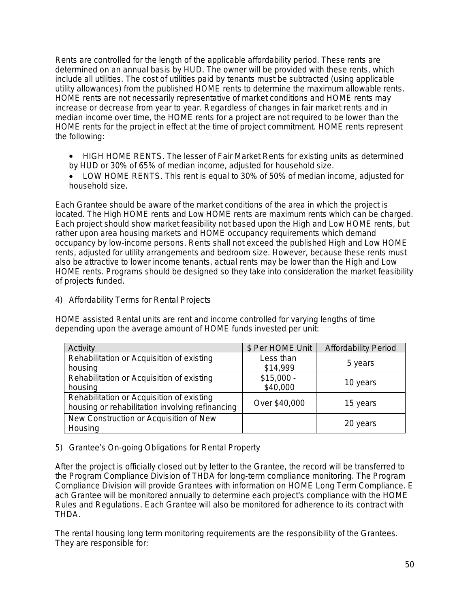Rents are controlled for the length of the applicable affordability period. These rents are determined on an annual basis by HUD. The owner will be provided with these rents, which include all utilities. *The cost of utilities paid by tenants must be subtracted (using applicable utility allowances) from the published HOME rents to determine the maximum allowable rents.*  HOME rents are not necessarily representative of market conditions and HOME rents may increase or decrease from year to year. Regardless of changes in fair market rents and in median income over time, the HOME rents for a project are not required to be lower than the HOME rents for the project in effect at the time of project commitment. HOME rents represent the following:

- *HIGH HOME RENTS.* The *lesser* of Fair Market Rents for existing units as determined by HUD *or* 30% of 65% of median income, adjusted for household size.
- *LOW HOME RENTS*. This rent is equal to 30% of 50% of median income, adjusted for household size.

Each Grantee should be aware of the market conditions of the area in which the project is located. The High HOME rents and Low HOME rents are maximum rents which can be charged. Each project should show market feasibility not based upon the High and Low HOME rents, but rather upon area housing markets and HOME occupancy requirements which demand occupancy by low-income persons. Rents shall not exceed the published High and Low HOME rents, adjusted for utility arrangements and bedroom size. However, because these rents must also be attractive to lower income tenants, actual rents may be lower than the High and Low HOME rents. Programs should be designed so they take into consideration the market feasibility of projects funded.

4) Affordability Terms for Rental Projects

HOME assisted Rental units are rent and income controlled for varying lengths of time depending upon the average amount of HOME funds invested per unit:

| Activity                                        | \$ Per HOME Unit | <b>Affordability Period</b> |  |
|-------------------------------------------------|------------------|-----------------------------|--|
| Rehabilitation or Acquisition of existing       | Less than        | 5 years                     |  |
| housing                                         | \$14,999         |                             |  |
| Rehabilitation or Acquisition of existing       | $$15,000 -$      |                             |  |
| housing                                         | \$40,000         | 10 years                    |  |
| Rehabilitation or Acquisition of existing       | Over \$40,000    |                             |  |
| housing or rehabilitation involving refinancing |                  | 15 years                    |  |
| New Construction or Acquisition of New          |                  |                             |  |
| Housing                                         |                  | 20 years                    |  |

## 5) Grantee's On-going Obligations for Rental Property

After the project is officially closed out by letter to the Grantee, the record will be transferred to the Program Compliance Division of THDA for long-term compliance monitoring. The Program Compliance Division will provide Grantees with information on HOME Long Term Compliance. E ach Grantee will be monitored annually to determine each project's compliance with the HOME Rules and Regulations. Each Grantee will also be monitored for adherence to its contract with THDA.

The rental housing long term monitoring requirements are the responsibility of the Grantees. They are responsible for: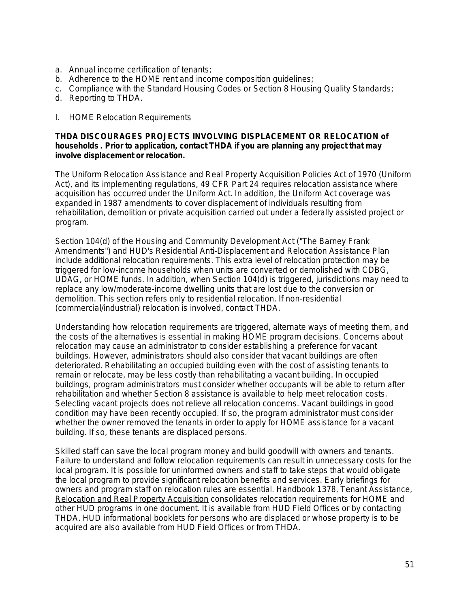- a. Annual income certification of tenants;
- b. Adherence to the HOME rent and income composition guidelines;
- c. Compliance with the Standard Housing Codes or Section 8 Housing Quality Standards;
- d. Reporting to THDA.
- I. HOME Relocation Requirements

### *THDA DISCOURAGES PROJECTS INVOLVING DISPLACEMENT OR RELOCATION of households . Prior to application, contact THDA if you are planning any project that may involve displacement or relocation.*

The Uniform Relocation Assistance and Real Property Acquisition Policies Act of 1970 (Uniform Act), and its implementing regulations, 49 CFR Part 24 requires relocation assistance where acquisition has occurred under the Uniform Act. In addition, the Uniform Act coverage was expanded in 1987 amendments to cover displacement of individuals resulting from rehabilitation, demolition or private acquisition carried out under a federally assisted project or program.

Section 104(d) of the Housing and Community Development Act ("The Barney Frank Amendments") and HUD's Residential Anti-Displacement and Relocation Assistance Plan include additional relocation requirements. This extra level of relocation protection may be triggered for low-income households when units are converted or demolished with CDBG, UDAG, or HOME funds. In addition, when Section 104(d) is triggered, jurisdictions may need to replace any low/moderate-income dwelling units that are lost due to the conversion or demolition. This section refers only to residential relocation. If non-residential (commercial/industrial) relocation is involved, contact THDA.

Understanding how relocation requirements are triggered, alternate ways of meeting them, and the costs of the alternatives is essential in making HOME program decisions. Concerns about relocation may cause an administrator to consider establishing a preference for vacant buildings. However, administrators should also consider that vacant buildings are often deteriorated. Rehabilitating an occupied building even with the cost of assisting tenants to remain or relocate, may be less costly than rehabilitating a vacant building. In occupied buildings, program administrators must consider whether occupants will be able to return after rehabilitation and whether Section 8 assistance is available to help meet relocation costs. Selecting vacant projects does not relieve all relocation concerns. Vacant buildings in good condition may have been recently occupied. If so, the program administrator must consider whether the owner removed the tenants in order to apply for HOME assistance for a vacant building. If so, these tenants are displaced persons.

Skilled staff can save the local program money and build goodwill with owners and tenants. Failure to understand and follow relocation requirements can result in unnecessary costs for the local program. It is possible for uninformed owners and staff to take steps that would obligate the local program to provide significant relocation benefits and services. Early briefings for owners and program staff on relocation rules are essential. Handbook 1378, Tenant Assistance, Relocation and Real Property Acquisition consolidates relocation requirements for HOME and other HUD programs in one document. It is available from HUD Field Offices or by contacting THDA. HUD informational booklets for persons who are displaced or whose property is to be acquired are also available from HUD Field Offices or from THDA.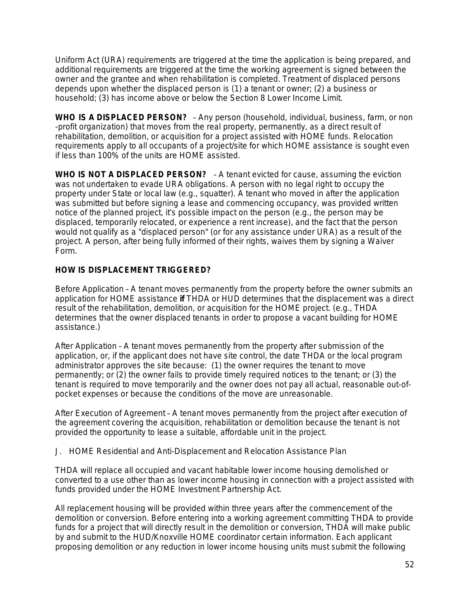Uniform Act (URA) requirements are triggered at the time the application is being prepared, and additional requirements are triggered at the time the working agreement is signed between the owner and the grantee and when rehabilitation is completed. Treatment of displaced persons depends upon whether the displaced person is (1) a tenant or owner; (2) a business or household; (3) has income above or below the Section 8 Lower Income Limit.

**WHO IS A DISPLACED PERSON?** – Any person (household, individual, business, farm, or non -profit organization) that moves from the real property, permanently, as a direct result of rehabilitation, demolition, or acquisition for a project assisted with HOME funds. Relocation requirements apply to all occupants of a project/site for which HOME assistance is sought even if less than 100% of the units are HOME assisted.

**WHO IS NOT A DISPLACED PERSON?** – A tenant evicted for cause, assuming the eviction was not undertaken to evade URA obligations. A person with no legal right to occupy the property under State or local law (e.g., squatter). A tenant who moved in after the application was submitted but before signing a lease and commencing occupancy, was provided written notice of the planned project, it's possible impact on the person (e.g., the person may be displaced, temporarily relocated, or experience a rent increase), and the fact that the person would not qualify as a "displaced person" (or for any assistance under URA) as a result of the project. A person, after being fully informed of their rights, waives them by signing a Waiver Form.

# **HOW IS DISPLACEMENT TRIGGERED?**

*Before Application* – A tenant moves permanently from the property before the owner submits an application for HOME assistance **if** THDA or HUD determines that the displacement was a direct result of the rehabilitation, demolition, or acquisition for the HOME project. (e.g., THDA determines that the owner displaced tenants in order to propose a vacant building for HOME assistance.)

*After Application* – A tenant moves permanently from the property after submission of the application, or, if the applicant does not have site control, the date THDA or the local program administrator approves the site because: (1) the owner requires the tenant to move permanently; or (2) the owner fails to provide timely required notices to the tenant; or (3) the tenant is required to move temporarily and the owner does not pay all actual, reasonable out-ofpocket expenses or because the conditions of the move are unreasonable.

*After Execution of Agreement* – A tenant moves permanently from the project after execution of the agreement covering the acquisition, rehabilitation or demolition because the tenant is not provided the opportunity to lease a suitable, affordable unit in the project.

## J. HOME Residential and Anti-Displacement and Relocation Assistance Plan

THDA will replace all occupied and vacant habitable lower income housing demolished or converted to a use other than as lower income housing in connection with a project assisted with funds provided under the HOME Investment Partnership Act.

All replacement housing will be provided within three years after the commencement of the demolition or conversion. Before entering into a working agreement committing THDA to provide funds for a project that will directly result in the demolition or conversion, THDA will make public by and submit to the HUD/Knoxville HOME coordinator certain information. Each applicant proposing demolition or any reduction in lower income housing units must submit the following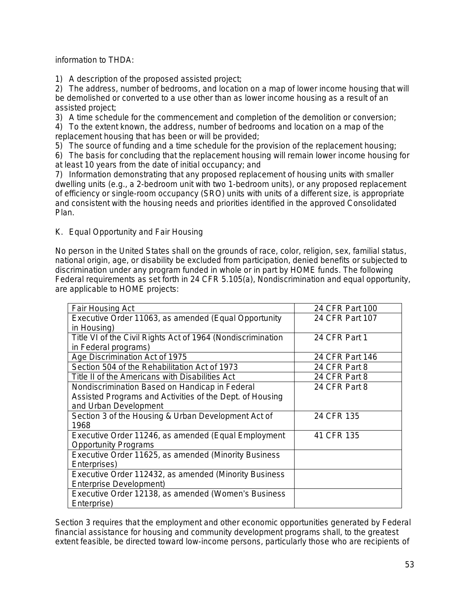information to THDA:

1) A description of the proposed assisted project;

2) The address, number of bedrooms, and location on a map of lower income housing that will be demolished or converted to a use other than as lower income housing as a result of an assisted project;

3) A time schedule for the commencement and completion of the demolition or conversion; 4) To the extent known, the address, number of bedrooms and location on a map of the replacement housing that has been or will be provided;

5) The source of funding and a time schedule for the provision of the replacement housing;

6) The basis for concluding that the replacement housing will remain lower income housing for at least 10 years from the date of initial occupancy; and

7) Information demonstrating that any proposed replacement of housing units with smaller dwelling units (e.g., a 2-bedroom unit with two 1-bedroom units), or any proposed replacement of efficiency or single-room occupancy (SRO) units with units of a different size, is appropriate and consistent with the housing needs and priorities identified in the approved Consolidated Plan.

# K. Equal Opportunity and Fair Housing

No person in the United States shall on the grounds of race, color, religion, sex, familial status, national origin, age, or disability be excluded from participation, denied benefits or subjected to discrimination under any program funded in whole or in part by HOME funds. The following Federal requirements as set forth in 24 CFR 5.105(a), Nondiscrimination and equal opportunity, are applicable to HOME projects:

| Fair Housing Act                                            | 24 CFR Part 100 |
|-------------------------------------------------------------|-----------------|
| Executive Order 11063, as amended (Equal Opportunity        | 24 CFR Part 107 |
| in Housing)                                                 |                 |
| Title VI of the Civil Rights Act of 1964 (Nondiscrimination | 24 CFR Part 1   |
| in Federal programs)                                        |                 |
| Age Discrimination Act of 1975                              | 24 CFR Part 146 |
| Section 504 of the Rehabilitation Act of 1973               | 24 CFR Part 8   |
| Title II of the Americans with Disabilities Act             | 24 CFR Part 8   |
| Nondiscrimination Based on Handicap in Federal              | 24 CFR Part 8   |
| Assisted Programs and Activities of the Dept. of Housing    |                 |
| and Urban Development                                       |                 |
| Section 3 of the Housing & Urban Development Act of         | 24 CFR 135      |
| 1968                                                        |                 |
| Executive Order 11246, as amended (Equal Employment         | 41 CFR 135      |
| <b>Opportunity Programs</b>                                 |                 |
| Executive Order 11625, as amended (Minority Business        |                 |
| Enterprises)                                                |                 |
| Executive Order 112432, as amended (Minority Business       |                 |
| Enterprise Development)                                     |                 |
| Executive Order 12138, as amended (Women's Business         |                 |
| Enterprise)                                                 |                 |

Section 3 requires that the employment and other economic opportunities generated by Federal financial assistance for housing and community development programs shall, to the greatest extent feasible, be directed toward low-income persons, particularly those who are recipients of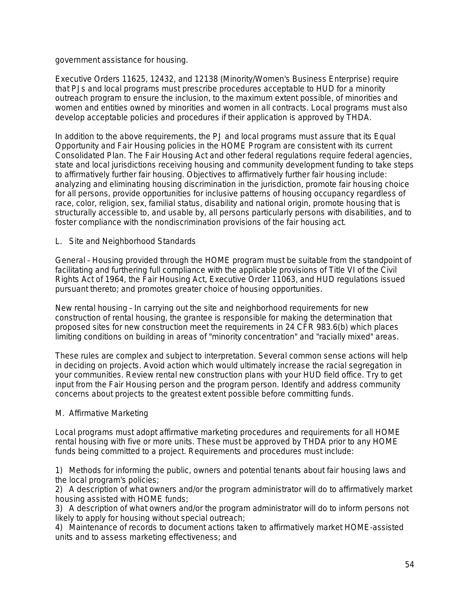### government assistance for housing.

Executive Orders 11625, 12432, and 12138 (Minority/Women's Business Enterprise) require that PJs and local programs must prescribe procedures acceptable to HUD for a minority outreach program to ensure the inclusion, to the maximum extent possible, of minorities and women and entities owned by minorities and women in all contracts. Local programs must also develop acceptable policies and procedures if their application is approved by THDA.

In addition to the above requirements, the PJ and local programs must assure that its Equal Opportunity and Fair Housing policies in the HOME Program are consistent with its current Consolidated Plan. The Fair Housing Act and other federal regulations require federal agencies, state and local jurisdictions receiving housing and community development funding to take steps to affirmatively further fair housing. Objectives to affirmatively further fair housing include: analyzing and eliminating housing discrimination in the jurisdiction, promote fair housing choice for all persons, provide opportunities for inclusive patterns of housing occupancy regardless of race, color, religion, sex, familial status, disability and national origin, promote housing that is structurally accessible to, and usable by, all persons particularly persons with disabilities, and to foster compliance with the nondiscrimination provisions of the fair housing act.

### L. Site and Neighborhood Standards

*General* – Housing provided through the HOME program must be suitable from the standpoint of facilitating and furthering full compliance with the applicable provisions of Title VI of the Civil Rights Act of 1964, the Fair Housing Act, Executive Order 11063, and HUD regulations issued pursuant thereto; and promotes greater choice of housing opportunities.

*New rental housing* – In carrying out the site and neighborhood requirements for new construction of rental housing, the grantee is responsible for making the determination that proposed sites for new construction meet the requirements in 24 CFR 983.6(b) which places limiting conditions on building in areas of "minority concentration" and "racially mixed" areas.

These rules are complex and subject to interpretation. Several common sense actions will help in deciding on projects. Avoid action which would ultimately increase the racial segregation in your communities. Review rental new construction plans with your HUD field office. Try to get input from the Fair Housing person and the program person. Identify and address community concerns about projects to the greatest extent possible before committing funds.

## M. Affirmative Marketing

Local programs must adopt affirmative marketing procedures and requirements for all HOME rental housing with five or more units. These must be approved by THDA prior to any HOME funds being committed to a project. Requirements and procedures must include:

1) Methods for informing the public, owners and potential tenants about fair housing laws and the local program's policies;

2) A description of what owners and/or the program administrator will do to affirmatively market housing assisted with HOME funds;

3) A description of what owners and/or the program administrator will do to inform persons not likely to apply for housing without special outreach;

4) Maintenance of records to document actions taken to affirmatively market HOME-assisted units and to assess marketing effectiveness; and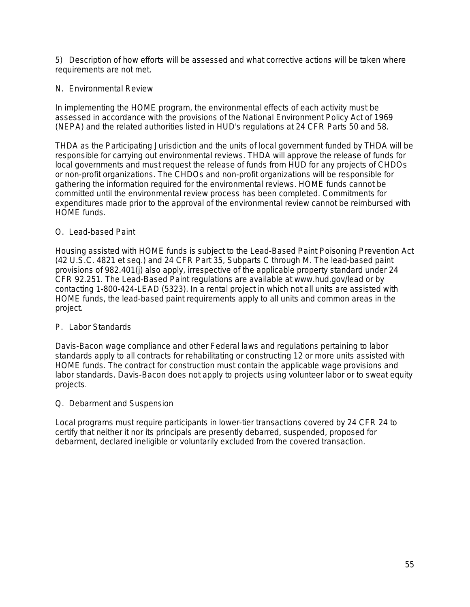5) Description of how efforts will be assessed and what corrective actions will be taken where requirements are not met.

### N. Environmental Review

In implementing the HOME program, the environmental effects of each activity must be assessed in accordance with the provisions of the National Environment Policy Act of 1969 (NEPA) and the related authorities listed in HUD's regulations at 24 CFR Parts 50 and 58.

THDA as the Participating Jurisdiction and the units of local government funded by THDA will be responsible for carrying out environmental reviews. THDA will approve the release of funds for local governments and must request the release of funds from HUD for any projects of CHDOs or non-profit organizations. The CHDOs and non-profit organizations will be responsible for gathering the information required for the environmental reviews. HOME funds cannot be committed until the environmental review process has been completed. Commitments for expenditures made prior to the approval of the environmental review cannot be reimbursed with HOME funds.

## O. Lead-based Paint

Housing assisted with HOME funds is subject to the Lead-Based Paint Poisoning Prevention Act (42 U.S.C. 4821 et seq.) and 24 CFR Part 35, Subparts C through M. The lead-based paint provisions of 982.401(j) also apply, irrespective of the applicable property standard under 24 CFR 92.251. The Lead-Based Paint regulations are available at www.hud.gov/lead or by contacting 1-800-424-LEAD (5323). In a rental project in which not all units are assisted with HOME funds, the lead-based paint requirements apply to all units and common areas in the project.

## P. Labor Standards

Davis-Bacon wage compliance and other Federal laws and regulations pertaining to labor standards apply to all contracts for rehabilitating or constructing 12 or more units assisted with HOME funds. The contract for construction must contain the applicable wage provisions and labor standards. Davis-Bacon does not apply to projects using volunteer labor or to sweat equity projects.

### Q. Debarment and Suspension

Local programs must require participants in lower-tier transactions covered by 24 CFR 24 to certify that neither it nor its principals are presently debarred, suspended, proposed for debarment, declared ineligible or voluntarily excluded from the covered transaction.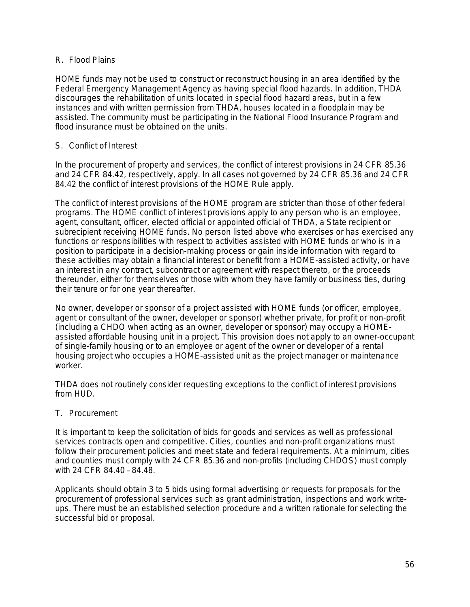## R. Flood Plains

*HOME funds may not be used to construct or reconstruct housing* in an area identified by the Federal Emergency Management Agency as having special flood hazards. In addition, THDA discourages the rehabilitation of units located in special flood hazard areas, but in a few instances and with written permission from THDA, houses located in a floodplain may be assisted. The community must be participating in the National Flood Insurance Program and flood insurance must be obtained on the units.

## S. Conflict of Interest

In the procurement of property and services, the conflict of interest provisions in 24 CFR 85.36 and 24 CFR 84.42, respectively, apply. In all cases not governed by 24 CFR 85.36 and 24 CFR 84.42 the conflict of interest provisions of the HOME Rule apply.

The conflict of interest provisions of the HOME program are stricter than those of other federal programs. The HOME conflict of interest provisions apply to any person who is an employee, agent, consultant, officer, elected official or appointed official of THDA, a State recipient or subrecipient receiving HOME funds. No person listed above who exercises or has exercised any functions or responsibilities with respect to activities assisted with HOME funds or who is in a position to participate in a decision-making process or gain inside information with regard to these activities may obtain a financial interest or benefit from a HOME-assisted activity, or have an interest in any contract, subcontract or agreement with respect thereto, or the proceeds thereunder, either for themselves or those with whom they have family or business ties, during their tenure or for one year thereafter.

No owner, developer or sponsor of a project assisted with HOME funds (or officer, employee, agent or consultant of the owner, developer or sponsor) whether private, for profit or non-profit (including a CHDO when acting as an owner, developer or sponsor) may occupy a HOMEassisted affordable housing unit in a project. This provision does not apply to an owner-occupant of single-family housing or to an employee or agent of the owner or developer of a rental housing project who occupies a HOME-assisted unit as the project manager or maintenance worker.

THDA does not routinely consider requesting exceptions to the conflict of interest provisions from HUD.

## T. Procurement

It is important to keep the solicitation of bids for goods and services as well as professional services contracts open and competitive. Cities, counties and non-profit organizations must follow their procurement policies and meet state and federal requirements. At a minimum, cities and counties must comply with 24 CFR 85.36 and non-profits (including CHDOS) must comply with 24 CFR 84.40 – 84.48.

Applicants should obtain 3 to 5 bids using formal advertising or requests for proposals for the procurement of professional services such as grant administration, inspections and work writeups. There must be an established selection procedure and a written rationale for selecting the successful bid or proposal.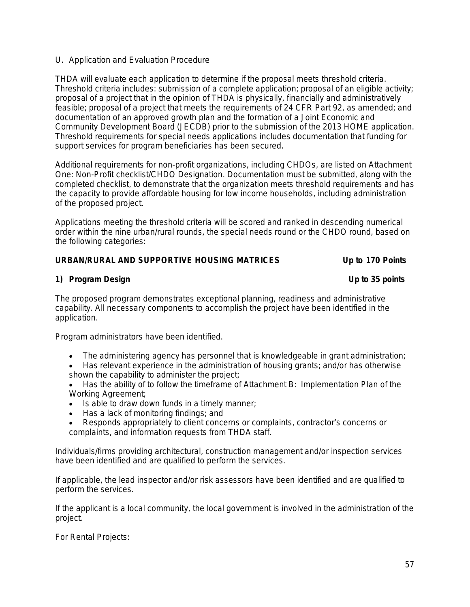# U. Application and Evaluation Procedure

THDA will evaluate each application to determine if the proposal meets threshold criteria. Threshold criteria includes: submission of a complete application; proposal of an eligible activity; proposal of a project that in the opinion of THDA is physically, financially and administratively feasible; proposal of a project that meets the requirements of 24 CFR Part 92, as amended; and documentation of an approved growth plan and the formation of a Joint Economic and Community Development Board (JECDB) prior to the submission of the 2013 HOME application. Threshold requirements for special needs applications includes documentation that funding for support services for program beneficiaries has been secured.

Additional requirements for non-profit organizations, including CHDOs, are listed on Attachment One: Non-Profit checklist/CHDO Designation. Documentation must be submitted, along with the completed checklist, to demonstrate that the organization meets threshold requirements and has the capacity to provide affordable housing for low income households, including administration of the proposed project.

Applications meeting the threshold criteria will be scored and ranked in descending numerical order within the nine urban/rural rounds, the special needs round or the CHDO round, based on the following categories:

# *URBAN/RURAL AND SUPPORTIVE HOUSING MATRICES Up to 170 Points*

**1) Program Design Up to 35 points**

The proposed program demonstrates exceptional planning, readiness and administrative capability. All necessary components to accomplish the project have been identified in the application.

Program administrators have been identified.

- The administering agency has personnel that is knowledgeable in grant administration;
- Has relevant experience in the administration of housing grants; and/or has otherwise shown the capability to administer the project;

 Has the ability of to follow the timeframe of Attachment B: Implementation Plan of the Working Agreement;

- $\bullet$  Is able to draw down funds in a timely manner;
- Has a lack of monitoring findings; and
- Responds appropriately to client concerns or complaints, contractor's concerns or complaints, and information requests from THDA staff.

Individuals/firms providing architectural, construction management and/or inspection services have been identified and are qualified to perform the services.

If applicable, the lead inspector and/or risk assessors have been identified and are qualified to perform the services.

If the applicant is a local community, the local government is involved in the administration of the project.

For Rental Projects: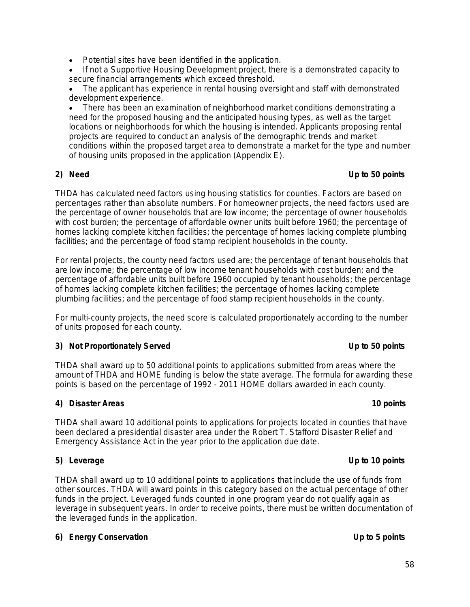• If not a Supportive Housing Development project, there is a demonstrated capacity to secure financial arrangements which exceed threshold.

 The applicant has experience in rental housing oversight and staff with demonstrated development experience.

 There has been an examination of neighborhood market conditions demonstrating a need for the proposed housing and the anticipated housing types, as well as the target locations or neighborhoods for which the housing is intended. Applicants proposing rental projects are required to conduct an analysis of the demographic trends and market conditions within the proposed target area to demonstrate a market for the type and number of housing units proposed in the application (Appendix E).

# **2) Need Up to 50 points**

THDA has calculated need factors using housing statistics for counties. Factors are based on percentages rather than absolute numbers. For homeowner projects, the need factors used are the percentage of owner households that are low income; the percentage of owner households with cost burden; the percentage of affordable owner units built before 1960; the percentage of homes lacking complete kitchen facilities; the percentage of homes lacking complete plumbing facilities; and the percentage of food stamp recipient households in the county.

For rental projects, the county need factors used are; the percentage of tenant households that are low income; the percentage of low income tenant households with cost burden; and the percentage of affordable units built before 1960 occupied by tenant households; the percentage of homes lacking complete kitchen facilities; the percentage of homes lacking complete plumbing facilities; and the percentage of food stamp recipient households in the county.

For multi-county projects, the need score is calculated proportionately according to the number of units proposed for each county.

# **3) Not Proportionately Served Up to 50 points**

THDA shall award up to 50 additional points to applications submitted from areas where the amount of THDA and HOME funding is below the state average. The formula for awarding these points is based on the percentage of 1992 - 2011 HOME dollars awarded in each county.

# **4) Disaster Areas 10 points**

THDA shall award 10 additional points to applications for projects located in counties that have been declared a presidential disaster area under the Robert T. Stafford Disaster Relief and Emergency Assistance Act in the year prior to the application due date.

# **5) Leverage Up to 10 points**

THDA shall award up to 10 additional points to applications that include the use of funds from other sources. THDA will award points in this category based on the actual percentage of other funds in the project. Leveraged funds counted in one program year do not qualify again as leverage in subsequent years. In order to receive points, there must be written documentation of the leveraged funds in the application.

# **6) Energy Conservation Up to 5 points**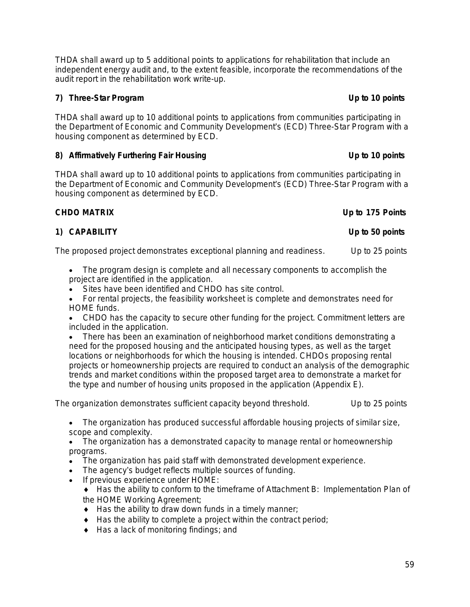59

THDA shall award up to 5 additional points to applications for rehabilitation that include an independent energy audit and, to the extent feasible, incorporate the recommendations of the audit report in the rehabilitation work write-up.

# **7) Three-Star Program Up to 10 points**

THDA shall award up to 10 additional points to applications from communities participating in the Department of Economic and Community Development's (ECD) Three-Star Program with a housing component as determined by ECD.

# **8) Affirmatively Furthering Fair Housing Up to 10 points**

THDA shall award up to 10 additional points to applications from communities participating in the Department of Economic and Community Development's (ECD) Three-Star Program with a housing component as determined by ECD.

# *CHDO MATRIX Up to 175 Points*

# **1) CAPABILITY Up to 50 points**

The proposed project demonstrates exceptional planning and readiness. Up to 25 points

- The program design is complete and all necessary components to accomplish the project are identified in the application.
- Sites have been identified and CHDO has site control.

 For rental projects, the feasibility worksheet is complete and demonstrates need for HOME funds.

 CHDO has the capacity to secure other funding for the project. Commitment letters are included in the application.

 There has been an examination of neighborhood market conditions demonstrating a need for the proposed housing and the anticipated housing types, as well as the target locations or neighborhoods for which the housing is intended. CHDOs proposing rental projects or homeownership projects are required to conduct an analysis of the demographic trends and market conditions within the proposed target area to demonstrate a market for the type and number of housing units proposed in the application (Appendix E).

The organization demonstrates sufficient capacity beyond threshold. Up to 25 points

 The organization has produced successful affordable housing projects of similar size, scope and complexity.

• The organization has a demonstrated capacity to manage rental or homeownership programs.

- The organization has paid staff with demonstrated development experience.
- The agency's budget reflects multiple sources of funding.
- If previous experience under HOME:

 Has the ability to conform to the timeframe of Attachment B: Implementation Plan of the HOME Working Agreement;

- $\bullet$  Has the ability to draw down funds in a timely manner;
- $\triangle$  Has the ability to complete a project within the contract period;
- ◆ Has a lack of monitoring findings; and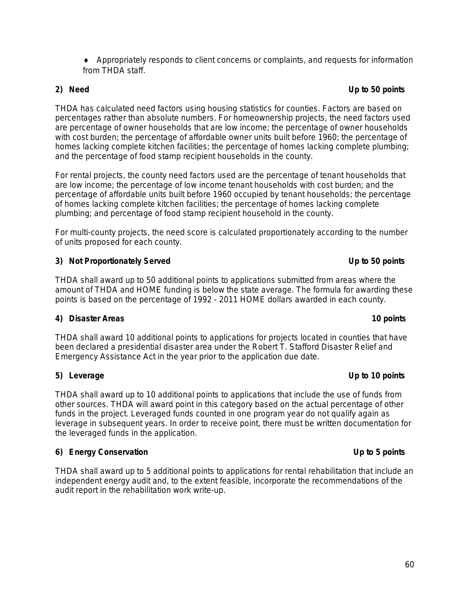Appropriately responds to client concerns or complaints, and requests for information from THDA staff.

**2) Need Up to 50 points**

THDA has calculated need factors using housing statistics for counties. Factors are based on percentages rather than absolute numbers. For homeownership projects, the need factors used are percentage of owner households that are low income; the percentage of owner households with cost burden; the percentage of affordable owner units built before 1960; the percentage of homes lacking complete kitchen facilities; the percentage of homes lacking complete plumbing; and the percentage of food stamp recipient households in the county.

For rental projects, the county need factors used are the percentage of tenant households that are low income; the percentage of low income tenant households with cost burden; and the percentage of affordable units built before 1960 occupied by tenant households; the percentage of homes lacking complete kitchen facilities; the percentage of homes lacking complete plumbing; and percentage of food stamp recipient household in the county.

For multi-county projects, the need score is calculated proportionately according to the number of units proposed for each county.

# **3) Not Proportionately Served Up to 50 points**

THDA shall award up to 50 additional points to applications submitted from areas where the amount of THDA and HOME funding is below the state average. The formula for awarding these points is based on the percentage of 1992 - 2011 HOME dollars awarded in each county.

# **4) Disaster Areas 10 points**

THDA shall award 10 additional points to applications for projects located in counties that have been declared a presidential disaster area under the Robert T. Stafford Disaster Relief and Emergency Assistance Act in the year prior to the application due date.

# **5) Leverage Up to 10 points**

THDA shall award up to 10 additional points to applications that include the use of funds from other sources. THDA will award point in this category based on the actual percentage of other funds in the project. Leveraged funds counted in one program year do not qualify again as leverage in subsequent years. In order to receive point, there must be written documentation for the leveraged funds in the application.

# **6) Energy Conservation Up to 5 points**

THDA shall award up to 5 additional points to applications for rental rehabilitation that include an independent energy audit and, to the extent feasible, incorporate the recommendations of the audit report in the rehabilitation work write-up.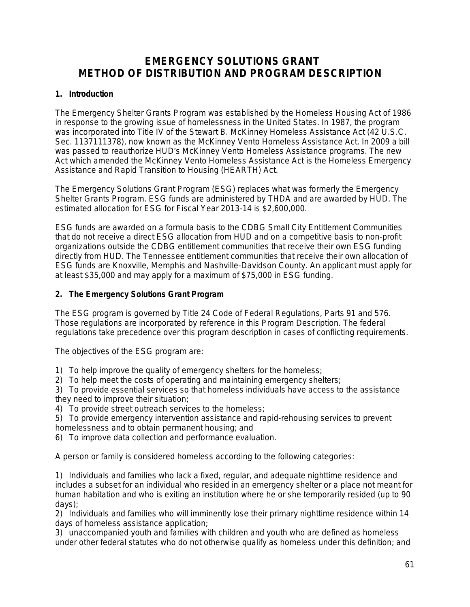# **EMERGENCY SOLUTIONS GRANT METHOD OF DISTRIBUTION AND PROGRAM DESCRIPTION**

# **1. Introduction**

The Emergency Shelter Grants Program was established by the Homeless Housing Act of 1986 in response to the growing issue of homelessness in the United States. In 1987, the program was incorporated into Title IV of the Stewart B. McKinney Homeless Assistance Act (42 U.S.C. Sec. 1137111378), now known as the McKinney Vento Homeless Assistance Act. In 2009 a bill was passed to reauthorize HUD's McKinney Vento Homeless Assistance programs. The new Act which amended the McKinney Vento Homeless Assistance Act is the Homeless Emergency Assistance and Rapid Transition to Housing (HEARTH) Act.

The Emergency Solutions Grant Program (ESG) replaces what was formerly the Emergency Shelter Grants Program. ESG funds are administered by THDA and are awarded by HUD. The *estimated* allocation for ESG for Fiscal Year 2013-14 is \$2,600,000.

ESG funds are awarded on a formula basis to the CDBG Small City Entitlement Communities that do not receive a direct ESG allocation from HUD and on a competitive basis to non-profit organizations outside the CDBG entitlement communities that receive their own ESG funding directly from HUD. The Tennessee entitlement communities that receive their own allocation of ESG funds are Knoxville, Memphis and Nashville-Davidson County. An applicant must apply for at least \$35,000 and may apply for a maximum of \$75,000 in ESG funding.

# **2. The Emergency Solutions Grant Program**

The ESG program is governed by Title 24 Code of Federal Regulations, Parts 91 and 576. Those regulations are incorporated by reference in this Program Description. The federal regulations take precedence over this program description in cases of conflicting requirements.

The objectives of the ESG program are:

- 1) To help improve the quality of emergency shelters for the homeless;
- 2) To help meet the costs of operating and maintaining emergency shelters;

3) To provide essential services so that homeless individuals have access to the assistance they need to improve their situation;

- 4) To provide street outreach services to the homeless;
- 5) To provide emergency intervention assistance and rapid-rehousing services to prevent homelessness and to obtain permanent housing; and
- 6) To improve data collection and performance evaluation.

A person or family is considered homeless according to the following categories:

1) Individuals and families who lack a fixed, regular, and adequate nighttime residence and includes a subset for an individual who resided in an emergency shelter or a place not meant for human habitation and who is exiting an institution where he or she temporarily resided (up to 90 days);

2) Individuals and families who will imminently lose their primary nighttime residence within 14 days of homeless assistance application;

3) unaccompanied youth and families with children and youth who are defined as homeless under other federal statutes who do not otherwise qualify as homeless under this definition; and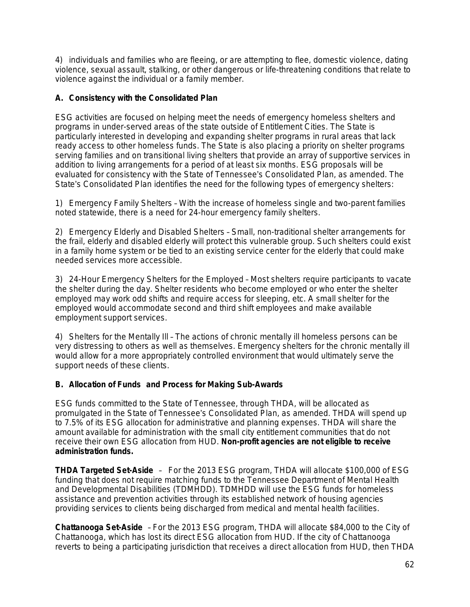4) individuals and families who are fleeing, or are attempting to flee, domestic violence, dating violence, sexual assault, stalking, or other dangerous or life-threatening conditions that relate to violence against the individual or a family member.

# **A. Consistency with the Consolidated Plan**

ESG activities are focused on helping meet the needs of emergency homeless shelters and programs in under-served areas of the state outside of Entitlement Cities. The State is particularly interested in developing and expanding shelter programs in rural areas that lack ready access to other homeless funds. The State is also placing a priority on shelter programs serving families and on transitional living shelters that provide an array of supportive services in addition to living arrangements for a period of at least six months. ESG proposals will be evaluated for consistency with the State of Tennessee's Consolidated Plan, as amended. The State's Consolidated Plan identifies the need for the following types of emergency shelters:

1) Emergency Family Shelters – With the increase of homeless single and two-parent families noted statewide, there is a need for 24-hour emergency family shelters.

2) Emergency Elderly and Disabled Shelters – Small, non-traditional shelter arrangements for the frail, elderly and disabled elderly will protect this vulnerable group. Such shelters could exist in a family home system or be tied to an existing service center for the elderly that could make needed services more accessible.

3) 24-Hour Emergency Shelters for the Employed – Most shelters require participants to vacate the shelter during the day. Shelter residents who become employed or who enter the shelter employed may work odd shifts and require access for sleeping, etc. A small shelter for the employed would accommodate second and third shift employees and make available employment support services.

4) Shelters for the Mentally Ill – The actions of chronic mentally ill homeless persons can be very distressing to others as well as themselves. Emergency shelters for the chronic mentally ill would allow for a more appropriately controlled environment that would ultimately serve the support needs of these clients.

## **B. Allocation of Funds and Process for Making Sub-Awards**

ESG funds committed to the State of Tennessee, through THDA, will be allocated as promulgated in the State of Tennessee's Consolidated Plan, as amended. THDA will spend up to 7.5% of its ESG allocation for administrative and planning expenses. THDA will share the amount available for administration with the small city entitlement communities that do not receive their own ESG allocation from HUD. **Non-profit agencies are not eligible to receive administration funds.**

**THDA Targeted Set-Aside** – For the 2013 ESG program, THDA will allocate \$100,000 of ESG funding that does not require matching funds to the Tennessee Department of Mental Health and Developmental Disabilities (TDMHDD). TDMHDD will use the ESG funds for homeless assistance and prevention activities through its established network of housing agencies providing services to clients being discharged from medical and mental health facilities.

**Chattanooga Set-Aside** – For the 2013 ESG program, THDA will allocate \$84,000 to the City of Chattanooga, which has lost its direct ESG allocation from HUD. If the city of Chattanooga reverts to being a participating jurisdiction that receives a direct allocation from HUD, then THDA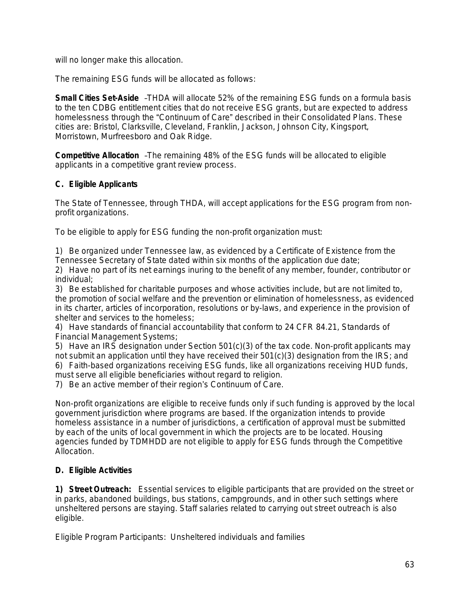will no longer make this allocation.

The remaining ESG funds will be allocated as follows:

**Small Cities Set-Aside** –THDA will allocate 52% of the remaining ESG funds on a formula basis to the ten CDBG entitlement cities that do not receive ESG grants, but are expected to address homelessness through the "Continuum of Care" described in their Consolidated Plans. These cities are: Bristol, Clarksville, Cleveland, Franklin, Jackson, Johnson City, Kingsport, Morristown, Murfreesboro and Oak Ridge.

**Competitive Allocation** –The remaining 48% of the ESG funds will be allocated to eligible applicants in a competitive grant review process.

# **C. Eligible Applicants**

The State of Tennessee, through THDA, will accept applications for the ESG program from nonprofit organizations.

To be eligible to apply for ESG funding the non-profit organization must:

1) Be organized under Tennessee law, as evidenced by a Certificate of Existence from the Tennessee Secretary of State dated within six months of the application due date;

2) Have no part of its net earnings inuring to the benefit of any member, founder, contributor or individual;

3) Be established for charitable purposes and whose activities include, but are not limited to, the promotion of social welfare and the prevention or elimination of homelessness, as evidenced in its charter, articles of incorporation, resolutions or by-laws, and experience in the provision of shelter and services to the homeless;

4) Have standards of financial accountability that conform to 24 CFR 84.21, Standards of Financial Management Systems;

5) Have an IRS designation under Section 501(c)(3) of the tax code. Non-profit applicants may not submit an application until they have received their 501(c)(3) designation from the IRS; and 6) Faith-based organizations receiving ESG funds, like all organizations receiving HUD funds, must serve all eligible beneficiaries without regard to religion.

7) Be an active member of their region's Continuum of Care.

Non-profit organizations are eligible to receive funds only if such funding is approved by the local government jurisdiction where programs are based. If the organization intends to provide homeless assistance in a number of jurisdictions, a certification of approval must be submitted by each of the units of local government in which the projects are to be located. Housing agencies funded by TDMHDD are not eligible to apply for ESG funds through the Competitive Allocation.

# **D. Eligible Activities**

**1)** *Street Outreach:*Essential services to eligible participants that are provided on the street or in parks, abandoned buildings, bus stations, campgrounds, and in other such settings where unsheltered persons are staying. Staff salaries related to carrying out street outreach is also eligible.

*Eligible Program Participants:* Unsheltered individuals and families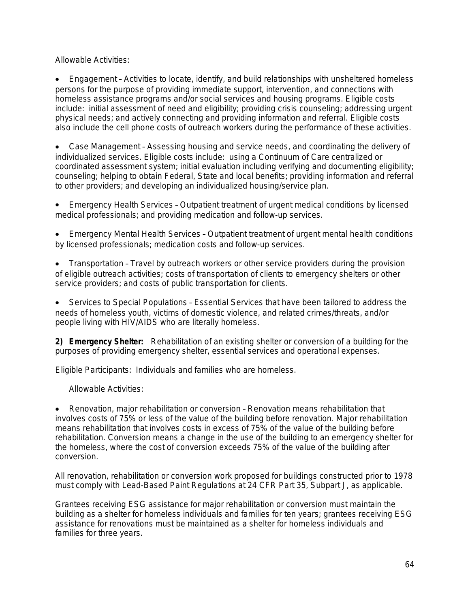*Allowable Activities:*

 Engagement – Activities to locate, identify, and build relationships with unsheltered homeless persons for the purpose of providing immediate support, intervention, and connections with homeless assistance programs and/or social services and housing programs. Eligible costs include: initial assessment of need and eligibility; providing crisis counseling; addressing urgent physical needs; and actively connecting and providing information and referral. Eligible costs also include the cell phone costs of outreach workers during the performance of these activities.

 Case Management – Assessing housing and service needs, and coordinating the delivery of individualized services. Eligible costs include: using a Continuum of Care centralized or coordinated assessment system; initial evaluation including verifying and documenting eligibility; counseling; helping to obtain Federal, State and local benefits; providing information and referral to other providers; and developing an individualized housing/service plan.

 Emergency Health Services – Outpatient treatment of urgent medical conditions by licensed medical professionals; and providing medication and follow-up services.

 Emergency Mental Health Services – Outpatient treatment of urgent mental health conditions by licensed professionals; medication costs and follow-up services.

 Transportation – Travel by outreach workers or other service providers during the provision of eligible outreach activities; costs of transportation of clients to emergency shelters or other service providers; and costs of public transportation for clients.

 Services to Special Populations – Essential Services that have been tailored to address the needs of *homeless youth, victims of domestic violence, and related crimes/threats, and/or people living with HIV/AIDS* who are literally homeless.

**2)** *Emergency Shelter:*Rehabilitation of an existing shelter or conversion of a building for the purposes of providing emergency shelter, essential services and operational expenses.

*Eligible Participants*: Individuals and families who are homeless.

*Allowable Activities*:

 Renovation, major rehabilitation or conversion – Renovation means rehabilitation that involves costs of 75% or less of the value of the building before renovation. Major rehabilitation means rehabilitation that involves costs in excess of 75% of the value of the building before rehabilitation. Conversion means a change in the use of the building to an emergency shelter for the homeless, where the cost of conversion exceeds 75% of the value of the building after conversion.

All renovation, rehabilitation or conversion work proposed for buildings constructed prior to 1978 must comply with Lead-Based Paint Regulations at 24 CFR Part 35, Subpart J, as applicable.

Grantees receiving ESG assistance for major rehabilitation or conversion must maintain the building as a shelter for homeless individuals and families for ten years; grantees receiving ESG assistance for renovations must be maintained as a shelter for homeless individuals and families for three years.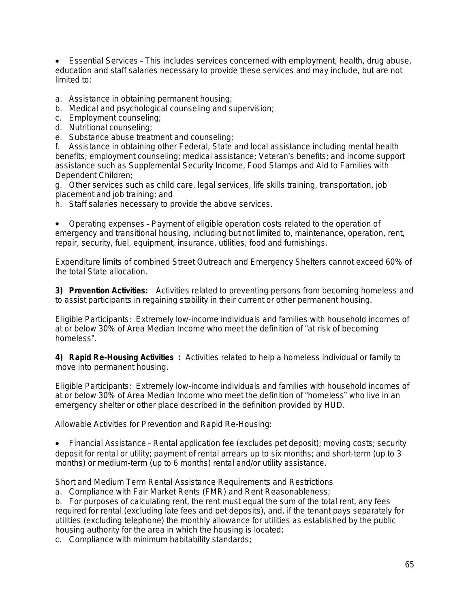Essential Services – This includes services concerned with employment, health, drug abuse, education and staff salaries necessary to provide these services and may include, but are not limited to:

- a. Assistance in obtaining permanent housing;
- b. Medical and psychological counseling and supervision;
- c. Employment counseling;
- d. Nutritional counseling;
- e. Substance abuse treatment and counseling;

f. Assistance in obtaining other Federal, State and local assistance including mental health benefits; employment counseling; medical assistance; Veteran's benefits; and income support assistance such as Supplemental Security Income, Food Stamps and Aid to Families with Dependent Children;

g. Other services such as child care, legal services, life skills training, transportation, job placement and job training; and

h. Staff salaries necessary to provide the above services.

 Operating expenses – Payment of eligible operation costs related to the operation of emergency and transitional housing, including but not limited to, maintenance, operation, rent, repair, security, fuel, equipment, insurance, utilities, food and furnishings.

Expenditure limits of combined Street Outreach and Emergency Shelters cannot exceed 60% of the total State allocation.

**3)** *Prevention Activities:*Activities related to preventing persons from becoming homeless and to assist participants in regaining stability in their current or other permanent housing.

*Eligible Participants:* Extremely low-income individuals and families with household incomes of at or below 30% of Area Median Income who meet the definition of "at risk of becoming homeless".

**4)** *Rapid Re-Housing Activities* **:** Activities related to help a homeless individual or family to move into permanent housing.

*Eligible Participants:* Extremely low-income individuals and families with household incomes of at or below 30% of Area Median Income who meet the definition of "homeless" who live in an emergency shelter or other place described in the definition provided by HUD.

*Allowable Activities for Prevention and Rapid Re-Housing:*

 Financial Assistance – Rental application fee (excludes pet deposit); moving costs; security deposit for rental or utility; payment of rental arrears up to six months; and short-term (up to 3 months) or medium-term (up to 6 months) rental and/or utility assistance.

Short and Medium Term Rental Assistance Requirements and Restrictions

a. Compliance with Fair Market Rents (FMR) and Rent Reasonableness;

b. For purposes of calculating rent, the rent must equal the sum of the total rent, any fees required for rental (excluding late fees and pet deposits), and, if the tenant pays separately for utilities (excluding telephone) the monthly allowance for utilities as established by the public housing authority for the area in which the housing is located;

c. Compliance with minimum habitability standards;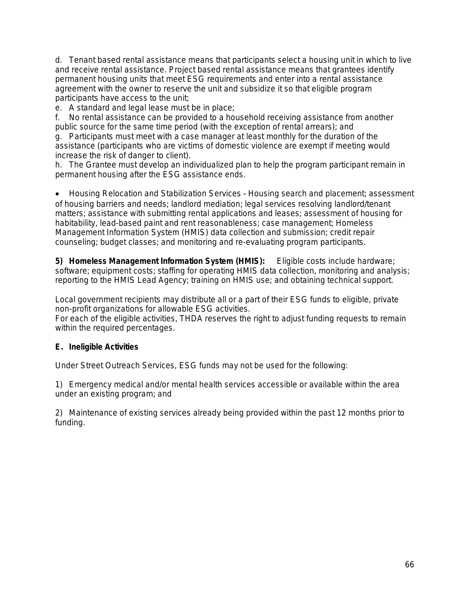d. Tenant based rental assistance means that participants select a housing unit in which to live and receive rental assistance. Project based rental assistance means that grantees identify permanent housing units that meet ESG requirements and enter into a rental assistance agreement with the owner to reserve the unit and subsidize it so that eligible program participants have access to the unit;

e. A standard and legal lease must be in place;

f. No rental assistance can be provided to a household receiving assistance from another public source for the same time period (with the exception of rental arrears); and

g. Participants must meet with a case manager at least monthly for the duration of the assistance (participants who are victims of domestic violence are exempt if meeting would increase the risk of danger to client).

h. The Grantee must develop an individualized plan to help the program participant remain in permanent housing after the ESG assistance ends.

 Housing Relocation and Stabilization Services – Housing search and placement; assessment of housing barriers and needs; landlord mediation; legal services resolving landlord/tenant matters; assistance with submitting rental applications and leases; assessment of housing for habitability, lead-based paint and rent reasonableness; case management; Homeless Management Information System (HMIS) data collection and submission; credit repair counseling; budget classes; and monitoring and re-evaluating program participants.

**5)** *Homeless Management Information System (HMIS):* Eligible costs include hardware; software; equipment costs; staffing for operating HMIS data collection, monitoring and analysis; reporting to the HMIS Lead Agency; training on HMIS use; and obtaining technical support.

Local government recipients may distribute all or a part of their ESG funds to eligible, private non-profit organizations for allowable ESG activities.

For each of the eligible activities, THDA reserves the right to adjust funding requests to remain within the required percentages.

# **E. Ineligible Activities**

Under Street Outreach Services, ESG funds may not be used for the following:

1) Emergency medical and/or mental health services accessible or available within the area under an existing program; and

2) Maintenance of existing services already being provided within the past 12 months prior to funding.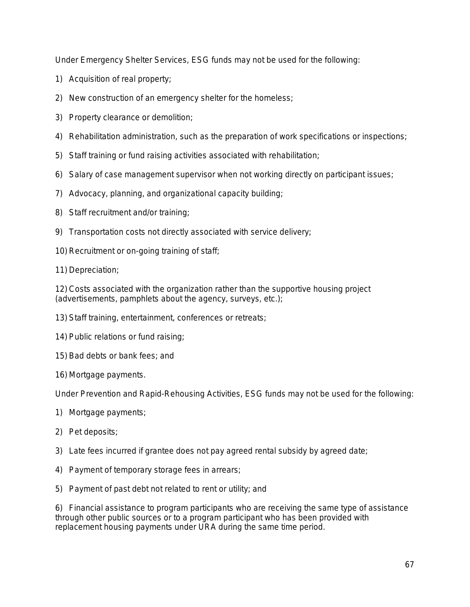Under Emergency Shelter Services, ESG funds may not be used for the following:

- 1) Acquisition of real property;
- 2) New construction of an emergency shelter for the homeless;
- 3) Property clearance or demolition;
- 4) Rehabilitation administration, such as the preparation of work specifications or inspections;
- 5) Staff training or fund raising activities associated with rehabilitation;
- 6) Salary of case management supervisor when not working directly on participant issues;
- 7) Advocacy, planning, and organizational capacity building;
- 8) Staff recruitment and/or training;
- 9) Transportation costs not directly associated with service delivery;
- 10) Recruitment or on-going training of staff;
- 11) Depreciation;

12) Costs associated with the organization rather than the supportive housing project (advertisements, pamphlets about the agency, surveys, etc.);

- 13) Staff training, entertainment, conferences or retreats;
- 14) Public relations or fund raising;
- 15) Bad debts or bank fees; and
- 16) Mortgage payments.

Under Prevention and Rapid-Rehousing Activities, ESG funds may not be used for the following:

- 1) Mortgage payments;
- 2) Pet deposits;
- 3) Late fees incurred if grantee does not pay agreed rental subsidy by agreed date;
- 4) Payment of temporary storage fees in arrears;
- 5) Payment of past debt not related to rent or utility; and

6) Financial assistance to program participants who are receiving the same type of assistance through other public sources or to a program participant who has been provided with replacement housing payments under URA during the same time period.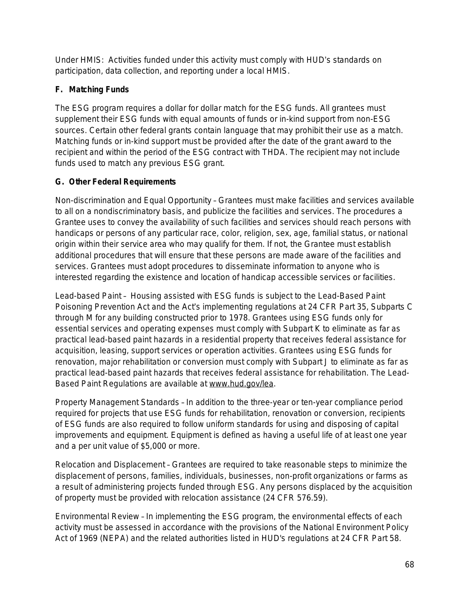Under HMIS: Activities funded under this activity must comply with HUD's standards on participation, data collection, and reporting under a local HMIS.

# **F. Matching Funds**

The ESG program requires a dollar for dollar match for the ESG funds. All grantees must supplement their ESG funds with equal amounts of funds or in-kind support from non-ESG sources. Certain other federal grants contain language that may prohibit their use as a match. Matching funds or in-kind support must be provided after the date of the grant award to the recipient and within the period of the ESG contract with THDA. The recipient may not include funds used to match any previous ESG grant.

# **G. Other Federal Requirements**

*Non-discrimination and Equal Opportunity* – Grantees must make facilities and services available to all on a nondiscriminatory basis, and publicize the facilities and services. The procedures a Grantee uses to convey the availability of such facilities and services should reach persons with handicaps or persons of any particular race, color, religion, sex, age, familial status, or national origin within their service area who may qualify for them. If not, the Grantee must establish additional procedures that will ensure that these persons are made aware of the facilities and services. Grantees must adopt procedures to disseminate information to anyone who is interested regarding the existence and location of handicap accessible services or facilities.

*Lead-based Paint* – Housing assisted with ESG funds is subject to the Lead-Based Paint Poisoning Prevention Act and the Act's implementing regulations at 24 CFR Part 35, Subparts C through M for any building constructed prior to 1978. Grantees using ESG funds only for essential services and operating expenses must comply with Subpart K to eliminate as far as practical lead-based paint hazards in a residential property that receives federal assistance for acquisition, leasing, support services or operation activities. Grantees using ESG funds for renovation, major rehabilitation or conversion must comply with Subpart J to eliminate as far as practical lead-based paint hazards that receives federal assistance for rehabilitation. The Lead-Based Paint Regulations are available at [www.hud.gov/lea.](http://www.hud.gov/lea)

*Property Management Standards* – In addition to the three-year or ten-year compliance period required for projects that use ESG funds for rehabilitation, renovation or conversion, recipients of ESG funds are also required to follow uniform standards for using and disposing of capital improvements and equipment. Equipment is defined as having a useful life of at least one year and a per unit value of \$5,000 or more.

*Relocation and Displacement* – Grantees are required to take reasonable steps to minimize the displacement of persons, families, individuals, businesses, non-profit organizations or farms as a result of administering projects funded through ESG. Any persons displaced by the acquisition of property must be provided with relocation assistance (24 CFR 576.59).

*Environmental Review* – In implementing the ESG program, the environmental effects of each activity must be assessed in accordance with the provisions of the National Environment Policy Act of 1969 (NEPA) and the related authorities listed in HUD's regulations at 24 CFR Part 58.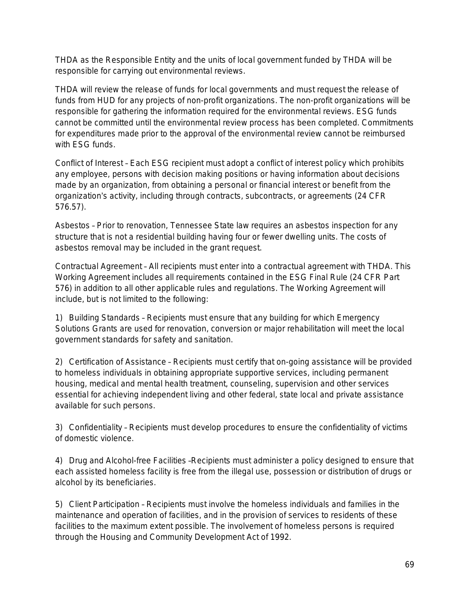THDA as the Responsible Entity and the units of local government funded by THDA will be responsible for carrying out environmental reviews.

THDA will review the release of funds for local governments and must request the release of funds from HUD for any projects of non-profit organizations. The non-profit organizations will be responsible for gathering the information required for the environmental reviews. ESG funds cannot be committed until the environmental review process has been completed. Commitments for expenditures made prior to the approval of the environmental review cannot be reimbursed with ESG funds.

*Conflict of Interest* – Each ESG recipient must adopt a conflict of interest policy which prohibits any employee, persons with decision making positions or having information about decisions made by an organization, from obtaining a personal or financial interest or benefit from the organization's activity, including through contracts, subcontracts, or agreements (24 CFR 576.57).

*Asbestos* – Prior to renovation, Tennessee State law requires an asbestos inspection for any structure that is not a residential building having four or fewer dwelling units. The costs of asbestos removal may be included in the grant request.

*Contractual Agreement* – All recipients must enter into a contractual agreement with THDA. This Working Agreement includes all requirements contained in the ESG Final Rule (24 CFR Part 576) in addition to all other applicable rules and regulations. The Working Agreement will include, but is not limited to the following:

1) *Building Standards* – Recipients must ensure that any building for which Emergency Solutions Grants are used for renovation, conversion or major rehabilitation will meet the local government standards for safety and sanitation.

2) *Certification of Assistance* – Recipients must certify that on-going assistance will be provided to homeless individuals in obtaining appropriate supportive services, including permanent housing, medical and mental health treatment, counseling, supervision and other services essential for achieving independent living and other federal, state local and private assistance available for such persons.

3) *Confidentiality* – Recipients must develop procedures to ensure the confidentiality of victims of domestic violence.

4) *Drug and Alcohol-free Facilities* –Recipients must administer a policy designed to ensure that each assisted homeless facility is free from the illegal use, possession or distribution of drugs or alcohol by its beneficiaries.

5) *Client Participation* – Recipients must involve the homeless individuals and families in the maintenance and operation of facilities, and in the provision of services to residents of these facilities to the maximum extent possible. The involvement of homeless persons is required through the Housing and Community Development Act of 1992.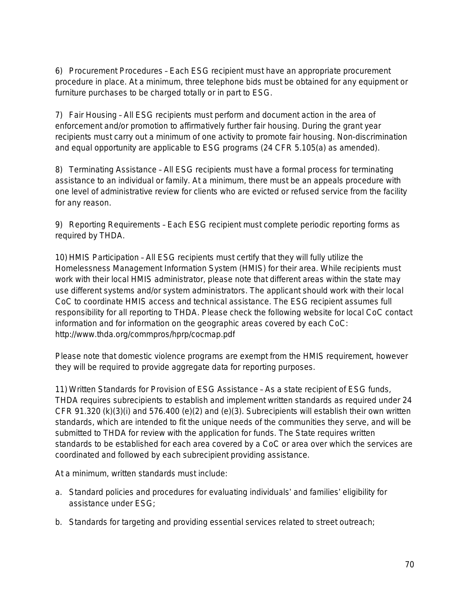6) *Procurement Procedures* – Each ESG recipient must have an appropriate procurement procedure in place. At a minimum, three telephone bids must be obtained for any equipment or furniture purchases to be charged totally or in part to ESG.

7) *Fair Housing* – All ESG recipients must perform and document action in the area of enforcement and/or promotion to affirmatively further fair housing. During the grant year recipients must carry out a minimum of one activity to promote fair housing. Non-discrimination and equal opportunity are applicable to ESG programs (24 CFR 5.105(a) as amended).

8) *Terminating Assistance* – All ESG recipients must have a formal process for terminating assistance to an individual or family. At a minimum, there must be an appeals procedure with one level of administrative review for clients who are evicted or refused service from the facility for any reason.

9) *Reporting Requirements* – Each ESG recipient must complete periodic reporting forms as required by THDA.

10) *HMIS Participation* – All ESG recipients must certify that they will fully utilize the Homelessness Management Information System (HMIS) for their area. While recipients must work with their local HMIS administrator, please note that different areas within the state may use different systems and/or system administrators. The applicant should work with their local CoC to coordinate HMIS access and technical assistance. The ESG recipient assumes full responsibility for all reporting to THDA. Please check the following website for local CoC contact information and for information on the geographic areas covered by each CoC: http://www.thda.org/commpros/hprp/cocmap.pdf

Please note that domestic violence programs are exempt from the HMIS requirement, however they will be required to provide aggregate data for reporting purposes.

11) *Written Standards for Provision of ESG Assistance* – As a state recipient of ESG funds, THDA requires subrecipients to establish and implement written standards as required under 24 CFR 91.320 (k)(3)(i) and 576.400 (e)(2) and (e)(3). Subrecipients will establish their own written standards, which are intended to fit the unique needs of the communities they serve, and will be submitted to THDA for review with the application for funds. The State requires written standards to be established for each area covered by a CoC or area over which the services are coordinated and followed by each subrecipient providing assistance.

At a minimum, written standards must include:

- a. Standard policies and procedures for evaluating individuals' and families' eligibility for assistance under ESG;
- b. Standards for targeting and providing essential services related to street outreach;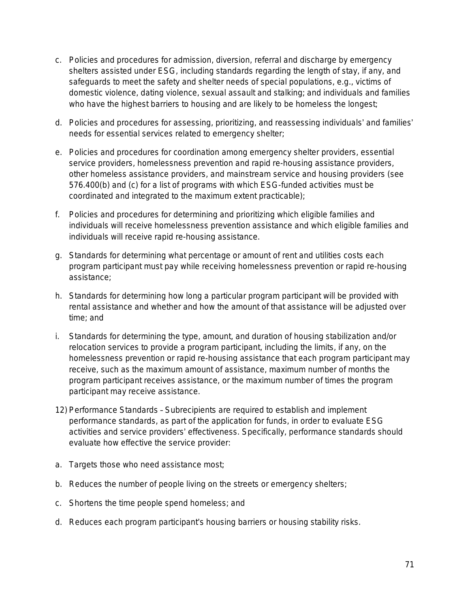- c. Policies and procedures for admission, diversion, referral and discharge by emergency shelters assisted under ESG, including standards regarding the length of stay, if any, and safeguards to meet the safety and shelter needs of special populations, e.g., victims of domestic violence, dating violence, sexual assault and stalking; and individuals and families who have the highest barriers to housing and are likely to be homeless the longest;
- d. Policies and procedures for assessing, prioritizing, and reassessing individuals' and families' needs for essential services related to emergency shelter;
- e. Policies and procedures for coordination among emergency shelter providers, essential service providers, homelessness prevention and rapid re-housing assistance providers, other homeless assistance providers, and mainstream service and housing providers (see 576.400(b) and (c) for a list of programs with which ESG-funded activities must be coordinated and integrated to the maximum extent practicable);
- f. Policies and procedures for determining and prioritizing which eligible families and individuals will receive homelessness prevention assistance and which eligible families and individuals will receive rapid re-housing assistance.
- g. Standards for determining what percentage or amount of rent and utilities costs each program participant must pay while receiving homelessness prevention or rapid re-housing assistance;
- h. Standards for determining how long a particular program participant will be provided with rental assistance and whether and how the amount of that assistance will be adjusted over time; and
- i. Standards for determining the type, amount, and duration of housing stabilization and/or relocation services to provide a program participant, including the limits, if any, on the homelessness prevention or rapid re-housing assistance that each program participant may receive, such as the maximum amount of assistance, maximum number of months the program participant receives assistance, or the maximum number of times the program participant may receive assistance.
- 12) *Performance Standards* Subrecipients are required to establish and implement performance standards, as part of the application for funds, in order to evaluate ESG activities and service providers' effectiveness. Specifically, performance standards should evaluate how effective the service provider:
- a. Targets those who need assistance most;
- b. Reduces the number of people living on the streets or emergency shelters;
- c. Shortens the time people spend homeless; and
- d. Reduces each program participant's housing barriers or housing stability risks.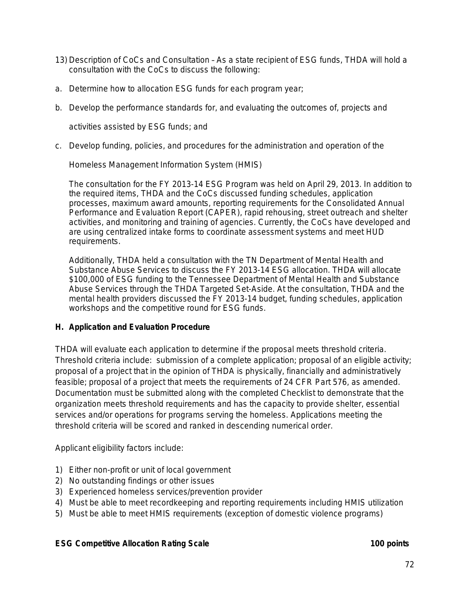- 13) *Description of CoCs and Consultation* As a state recipient of ESG funds, THDA will hold a consultation with the CoCs to discuss the following:
- a. Determine how to allocation ESG funds for each program year;
- b. Develop the performance standards for, and evaluating the outcomes of, projects and

activities assisted by ESG funds; and

c. Develop funding, policies, and procedures for the administration and operation of the

Homeless Management Information System (HMIS)

The consultation for the FY 2013-14 ESG Program was held on April 29, 2013. In addition to the required items, THDA and the CoCs discussed funding schedules, application processes, maximum award amounts, reporting requirements for the Consolidated Annual Performance and Evaluation Report (CAPER), rapid rehousing, street outreach and shelter activities, and monitoring and training of agencies. Currently, the CoCs have developed and are using centralized intake forms to coordinate assessment systems and meet HUD requirements.

Additionally, THDA held a consultation with the TN Department of Mental Health and Substance Abuse Services to discuss the FY 2013-14 ESG allocation. THDA will allocate \$100,000 of ESG funding to the Tennessee Department of Mental Health and Substance Abuse Services through the THDA Targeted Set-Aside. At the consultation, THDA and the mental health providers discussed the FY 2013-14 budget, funding schedules, application workshops and the competitive round for ESG funds.

## **H. Application and Evaluation Procedure**

THDA will evaluate each application to determine if the proposal meets threshold criteria. Threshold criteria include: submission of a complete application; proposal of an eligible activity; proposal of a project that in the opinion of THDA is physically, financially and administratively feasible; proposal of a project that meets the requirements of 24 CFR Part 576, as amended. Documentation must be submitted along with the completed Checklist to demonstrate that the organization meets threshold requirements and has the capacity to provide shelter, essential services and/or operations for programs serving the homeless. Applications meeting the threshold criteria will be scored and ranked in descending numerical order.

Applicant eligibility factors include:

- 1) Either non-profit or unit of local government
- 2) No outstanding findings or other issues
- 3) Experienced homeless services/prevention provider
- 4) Must be able to meet recordkeeping and reporting requirements including HMIS utilization
- 5) Must be able to meet HMIS requirements (exception of domestic violence programs)

## **ESG Competitive Allocation Rating Scale 100 points**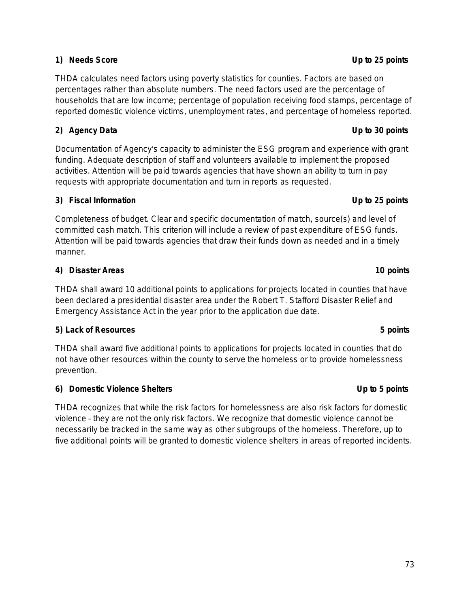## **1) Needs Score Up to 25 points**

THDA calculates need factors using poverty statistics for counties. Factors are based on percentages rather than absolute numbers. The need factors used are the percentage of households that are low income; percentage of population receiving food stamps, percentage of reported domestic violence victims, unemployment rates, and percentage of homeless reported.

## **2) Agency Data Up to 30 points**

Documentation of Agency's capacity to administer the ESG program and experience with grant funding. Adequate description of staff and volunteers available to implement the proposed activities. *Attention will be paid towards agencies that have shown an ability to turn in pay requests with appropriate documentation and turn in reports as requested.*

## **3) Fiscal Information Up to 25 points**

Completeness of budget. Clear and specific documentation of match, source(s) and level of committed cash match. This criterion will include a review of past expenditure of ESG funds. *Attention will be paid towards agencies that draw their funds down as needed and in a timely manner.*

## **4) Disaster Areas 10 points**

THDA shall award 10 additional points to applications for projects located in counties that have been declared a presidential disaster area under the Robert T. Stafford Disaster Relief and Emergency Assistance Act in the year prior to the application due date.

## **5) Lack of Resources 5 points**

THDA shall award five additional points to applications for projects located in counties that do not have other resources within the county to serve the homeless or to provide homelessness prevention.

## **6) Domestic Violence Shelters Up to 5 points**

THDA recognizes that while the risk factors for homelessness are also risk factors for domestic violence – they are not the only risk factors. We recognize that domestic violence cannot be necessarily be tracked in the same way as other subgroups of the homeless. Therefore, up to five additional points will be granted to domestic violence shelters in areas of reported incidents.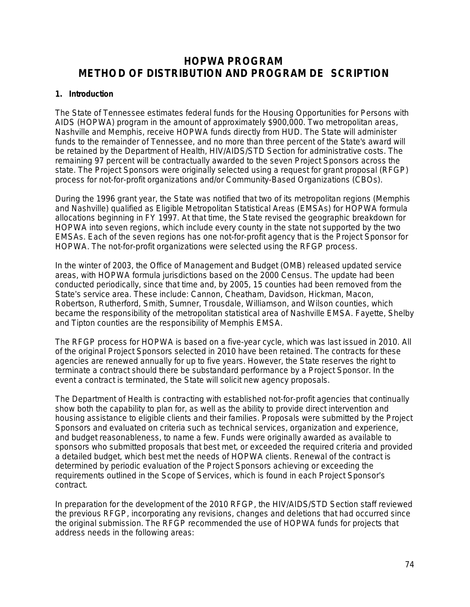# **HOPWA PROGRAM METHOD OF DISTRIBUTION AND PROGRAM DE SCRIPTION**

#### **1. Introduction**

The State of Tennessee *estimates* federal funds for the Housing Opportunities for Persons with AIDS (HOPWA) program in the amount of approximately \$900,000. Two metropolitan areas, Nashville and Memphis, receive HOPWA funds directly from HUD. The State will administer funds to the remainder of Tennessee, and no more than three percent of the State's award will be retained by the Department of Health, HIV/AIDS/STD Section for administrative costs. The remaining 97 percent will be contractually awarded to the seven Project Sponsors across the state. The Project Sponsors were originally selected using a request for grant proposal (RFGP) process for not-for-profit organizations and/or Community-Based Organizations (CBOs).

During the 1996 grant year, the State was notified that two of its metropolitan regions (Memphis and Nashville) qualified as Eligible Metropolitan Statistical Areas (EMSAs) for HOPWA formula allocations beginning in FY 1997. At that time, the State revised the geographic breakdown for HOPWA into seven regions, which include every county in the state not supported by the two EMSAs. Each of the seven regions has one not-for-profit agency that is the Project Sponsor for HOPWA. The not-for-profit organizations were selected using the RFGP process.

In the winter of 2003, the Office of Management and Budget (OMB) released updated service areas, with HOPWA formula jurisdictions based on the 2000 Census. The update had been conducted periodically, since that time and, by 2005, 15 counties had been removed from the State's service area. These include: Cannon, Cheatham, Davidson, Hickman, Macon, Robertson, Rutherford, Smith, Sumner, Trousdale, Williamson, and Wilson counties, which became the responsibility of the metropolitan statistical area of Nashville EMSA. Fayette, Shelby and Tipton counties are the responsibility of Memphis EMSA.

The RFGP process for HOPWA is based on a five-year cycle, which was last issued in 2010. All of the original Project Sponsors selected in 2010 have been retained. The contracts for these agencies are renewed annually for up to five years. However, the State reserves the right to terminate a contract should there be substandard performance by a Project Sponsor. In the event a contract is terminated, the State will solicit new agency proposals.

The Department of Health is contracting with established not-for-profit agencies that continually show both the capability to plan for, as well as the ability to provide direct intervention and housing assistance to eligible clients and their families. Proposals were submitted by the Project Sponsors and evaluated on criteria such as technical services, organization and experience, and budget reasonableness, to name a few. Funds were originally awarded as available to sponsors who submitted proposals that best met, or exceeded the required criteria and provided a detailed budget, which best met the needs of HOPWA clients. Renewal of the contract is determined by periodic evaluation of the Project Sponsors achieving or exceeding the requirements outlined in the Scope of Services, which is found in each Project Sponsor's contract.

In preparation for the development of the 2010 RFGP, the HIV/AIDS/STD Section staff reviewed the previous RFGP, incorporating any revisions, changes and deletions that had occurred since the original submission. The RFGP recommended the use of HOPWA funds for projects that address needs in the following areas: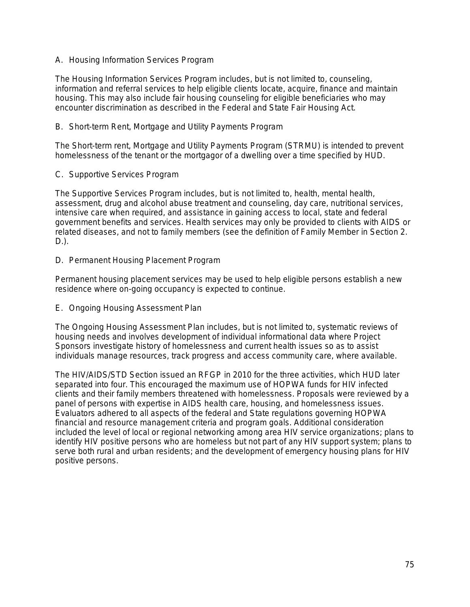A. Housing Information Services Program

The Housing Information Services Program includes, but is not limited to, counseling, information and referral services to help eligible clients locate, acquire, finance and maintain housing. This may also include fair housing counseling for eligible beneficiaries who may encounter discrimination as described in the Federal and State Fair Housing Act.

B. Short-term Rent, Mortgage and Utility Payments Program

The Short-term rent, Mortgage and Utility Payments Program (STRMU) is intended to prevent homelessness of the tenant or the mortgagor of a dwelling over a time specified by HUD.

C. Supportive Services Program

The Supportive Services Program includes, but is not limited to, health, mental health, assessment, drug and alcohol abuse treatment and counseling, day care, nutritional services, intensive care when required, and assistance in gaining access to local, state and federal government benefits and services. Health services may only be provided to clients with AIDS or related diseases, and not to family members (see the definition of Family Member in Section 2. D.).

D. Permanent Housing Placement Program

Permanent housing placement services may be used to help eligible persons establish a new residence where on-going occupancy is expected to continue.

E. Ongoing Housing Assessment Plan

The Ongoing Housing Assessment Plan includes, but is not limited to, systematic reviews of housing needs and involves development of individual informational data where Project Sponsors investigate history of homelessness and current health issues so as to assist individuals manage resources, track progress and access community care, where available.

The HIV/AIDS/STD Section issued an RFGP in 2010 for the three activities, which HUD later separated into four. This encouraged the maximum use of HOPWA funds for HIV infected clients and their family members threatened with homelessness. Proposals were reviewed by a panel of persons with expertise in AIDS health care, housing, and homelessness issues. Evaluators adhered to all aspects of the federal and State regulations governing HOPWA financial and resource management criteria and program goals. Additional consideration included the level of local or regional networking among area HIV service organizations; plans to identify HIV positive persons who are homeless but not part of any HIV support system; plans to serve both rural and urban residents; and the development of emergency housing plans for HIV positive persons.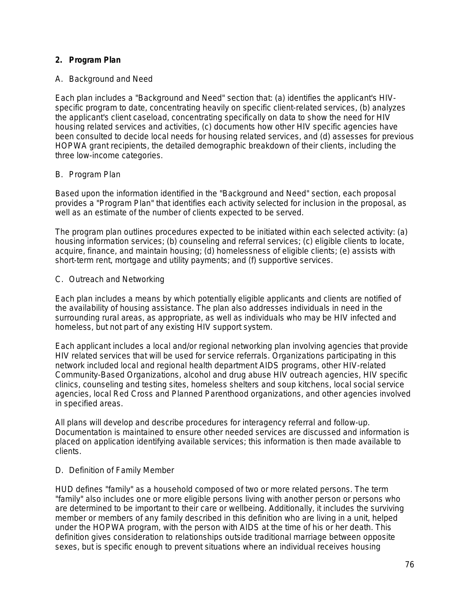### **2. Program Plan**

#### A. Background and Need

Each plan includes a "Background and Need" section that: (a) identifies the applicant's HIVspecific program to date, concentrating heavily on specific client-related services, (b) analyzes the applicant's client caseload, concentrating specifically on data to show the need for HIV housing related services and activities, (c) documents how other HIV specific agencies have been consulted to decide local needs for housing related services, and (d) assesses for previous HOPWA grant recipients, the detailed demographic breakdown of their clients, including the three low-income categories.

#### B. Program Plan

Based upon the information identified in the "Background and Need" section, each proposal provides a "Program Plan" that identifies each activity selected for inclusion in the proposal, as well as an estimate of the number of clients expected to be served.

The program plan outlines procedures expected to be initiated within each selected activity: (a) housing information services; (b) counseling and referral services; (c) eligible clients to locate, acquire, finance, and maintain housing; (d) homelessness of eligible clients; (e) assists with short-term rent, mortgage and utility payments; and (f) supportive services.

#### C. Outreach and Networking

Each plan includes a means by which potentially eligible applicants and clients are notified of the availability of housing assistance. The plan also addresses individuals in need in the surrounding rural areas, as appropriate, as well as individuals who may be HIV infected and homeless, but not part of any existing HIV support system.

Each applicant includes a local and/or regional networking plan involving agencies that provide HIV related services that will be used for service referrals. Organizations participating in this network included local and regional health department AIDS programs, other HIV-related Community-Based Organizations, alcohol and drug abuse HIV outreach agencies, HIV specific clinics, counseling and testing sites, homeless shelters and soup kitchens, local social service agencies, local Red Cross and Planned Parenthood organizations, and other agencies involved in specified areas.

All plans will develop and describe procedures for interagency referral and follow-up. Documentation is maintained to ensure other needed services are discussed and information is placed on application identifying available services; this information is then made available to clients.

#### D. Definition of Family Member

HUD defines "family" as a household composed of two or more related persons. The term "family" also includes one or more *eligible* persons living with another person or persons who are determined to be important to their care or wellbeing. Additionally, it includes the surviving member or members of any family described in this definition who are living in a unit, helped under the HOPWA program, with the person with AIDS at the time of his or her death. This definition gives consideration to relationships outside traditional marriage between opposite sexes, but is specific enough to prevent situations where an individual receives housing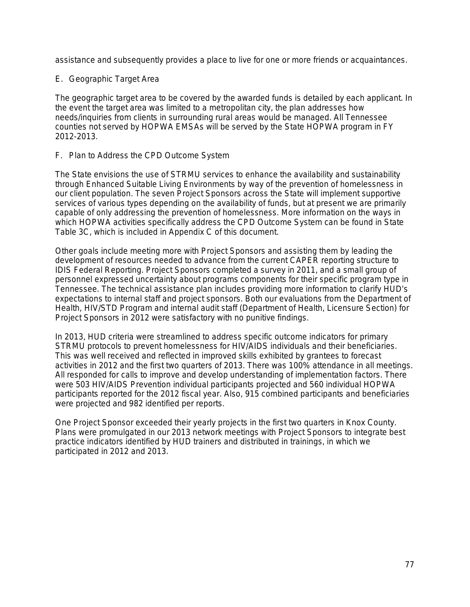assistance and subsequently provides a place to live for one or more friends or acquaintances.

#### E. Geographic Target Area

The geographic target area to be covered by the awarded funds is detailed by each applicant. In the event the target area was limited to a metropolitan city, the plan addresses how needs/inquiries from clients in surrounding rural areas would be managed. All Tennessee counties not served by HOPWA EMSAs will be served by the State HOPWA program in FY 2012-2013.

#### F. Plan to Address the CPD Outcome System

The State envisions the use of STRMU services to enhance the availability and sustainability through Enhanced Suitable Living Environments by way of the prevention of homelessness in our client population. The seven Project Sponsors across the State will implement supportive services of various types depending on the availability of funds, but at present we are primarily capable of only addressing the prevention of homelessness. More information on the ways in which HOPWA activities specifically address the CPD Outcome System can be found in State Table 3C, which is included in Appendix C of this document.

Other goals include meeting more with Project Sponsors and assisting them by leading the development of resources needed to advance from the current CAPER reporting structure to IDIS Federal Reporting. Project Sponsors completed a survey in 2011, and a small group of personnel expressed uncertainty about programs components for their specific program type in Tennessee. The technical assistance plan includes providing more information to clarify HUD's expectations to internal staff and project sponsors. Both our evaluations from the Department of Health, HIV/STD Program and internal audit staff (Department of Health, Licensure Section) for Project Sponsors in 2012 were satisfactory with no punitive findings.

In 2013, HUD criteria were streamlined to address specific outcome indicators for primary STRMU protocols to prevent homelessness for HIV/AIDS individuals and their beneficiaries. This was well received and reflected in improved skills exhibited by grantees to forecast activities in 2012 and the first two quarters of 2013. There was 100% attendance in all meetings. All responded for calls to improve and develop understanding of implementation factors. There were 503 HIV/AIDS Prevention individual participants projected and 560 individual HOPWA participants reported for the 2012 fiscal year. Also, 915 combined participants and beneficiaries were projected and 982 identified per reports.

One Project Sponsor exceeded their yearly projects in the first two quarters in Knox County. Plans were promulgated in our 2013 network meetings with Project Sponsors to integrate best practice indicators identified by HUD trainers and distributed in trainings, in which we participated in 2012 and 2013.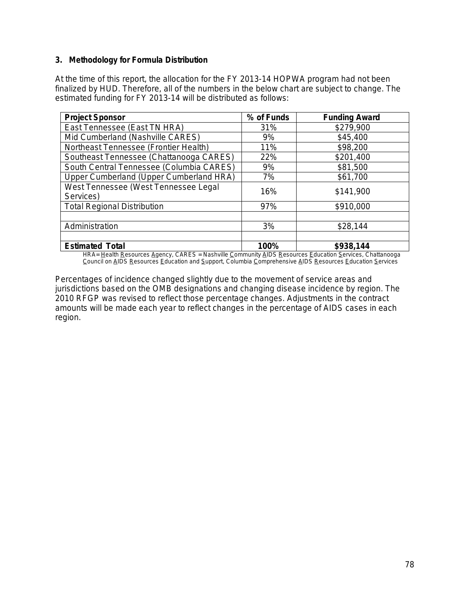#### **3. Methodology for Formula Distribution**

At the time of this report, the allocation for the FY 2013-14 HOPWA program had not been finalized by HUD. Therefore, all of the numbers in the below chart are subject to change. The estimated funding for FY 2013-14 will be distributed as follows:

| <b>Project Sponsor</b>                            | % of Funds | <b>Funding Award</b> |  |
|---------------------------------------------------|------------|----------------------|--|
| East Tennessee (East TN HRA)                      | 31%        | \$279,900            |  |
| Mid Cumberland (Nashville CARES)                  | 9%         | \$45,400             |  |
| Northeast Tennessee (Frontier Health)             | 11%        | \$98,200             |  |
| Southeast Tennessee (Chattanooga CARES)           | 22%        | \$201,400            |  |
| South Central Tennessee (Columbia CARES)          | 9%         | \$81,500             |  |
| Upper Cumberland (Upper Cumberland HRA)           | 7%         | \$61,700             |  |
| West Tennessee (West Tennessee Legal<br>Services) | 16%        | \$141,900            |  |
| <b>Total Regional Distribution</b>                | 97%        | \$910,000            |  |
|                                                   |            |                      |  |
| Administration                                    | 3%         | \$28,144             |  |
|                                                   |            |                      |  |
| <b>Estimated Total</b>                            | 100%       | \$938,144            |  |

*HRA= Health Resources Agency, CARES = Nashville Community AIDS Resources Education Services, Chattanooga Council on AIDS Resources Education and Support, Columbia Comprehensive AIDS Resources Education Services*

Percentages of incidence changed slightly due to the movement of service areas and jurisdictions based on the OMB designations and changing disease incidence by region. The 2010 RFGP was revised to reflect those percentage changes. Adjustments in the contract amounts will be made each year to reflect changes in the percentage of AIDS cases in each region.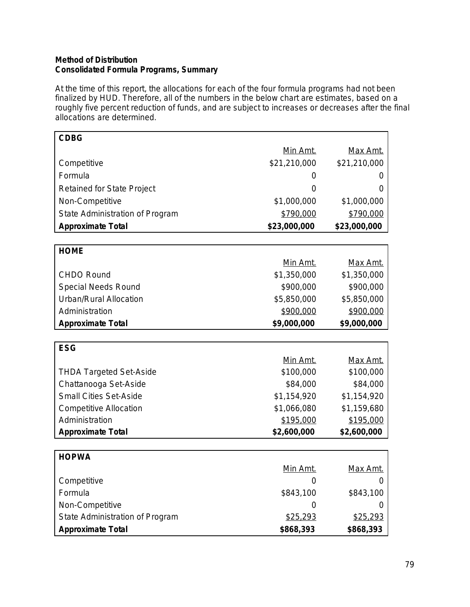#### **Method of Distribution Consolidated Formula Programs, Summary**

At the time of this report, the allocations for each of the four formula programs had not been finalized by HUD. Therefore, all of the numbers in the below chart are estimates, based on a roughly five percent reduction of funds, and are subject to increases or decreases after the final allocations are determined.

| <b>CDBG</b>                     |                 |                  |
|---------------------------------|-----------------|------------------|
|                                 | Min Amt.        | Max Amt.         |
| Competitive                     | \$21,210,000    | \$21,210,000     |
| Formula                         | O               | O                |
| Retained for State Project      | 0               | $\left( \right)$ |
| Non-Competitive                 | \$1,000,000     | \$1,000,000      |
| State Administration of Program | \$790,000       | \$790,000        |
| <b>Approximate Total</b>        | \$23,000,000    | \$23,000,000     |
|                                 |                 |                  |
| <b>HOME</b>                     |                 |                  |
|                                 | Min Amt.        | Max Amt.         |
| <b>CHDO Round</b>               | \$1,350,000     | \$1,350,000      |
| <b>Special Needs Round</b>      | \$900,000       | \$900,000        |
| Urban/Rural Allocation          | \$5,850,000     | \$5,850,000      |
| Administration                  | \$900,000       | \$900,000        |
| <b>Approximate Total</b>        | \$9,000,000     | \$9,000,000      |
|                                 |                 |                  |
| <b>ESG</b>                      |                 |                  |
|                                 | <u>Min Amt.</u> | Max Amt.         |
| <b>THDA Targeted Set-Aside</b>  | \$100,000       | \$100,000        |
| Chattanooga Set-Aside           | \$84,000        | \$84,000         |
| <b>Small Cities Set-Aside</b>   | \$1,154,920     | \$1,154,920      |
| <b>Competitive Allocation</b>   | \$1,066,080     | \$1,159,680      |
| Administration                  | \$195,000       | \$195,000        |
| <b>Approximate Total</b>        | \$2,600,000     | \$2,600,000      |
|                                 |                 |                  |
| <b>HOPWA</b>                    |                 |                  |
|                                 | Min Amt.        | <u>Max Amt.</u>  |
| Competitive                     | 0               | $\left( \right)$ |
| Formula                         | \$843,100       | \$843,100        |
| Non-Competitive                 | 0               | O                |
| State Administration of Program | \$25,293        | \$25,293         |
| <b>Approximate Total</b>        | \$868,393       | \$868,393        |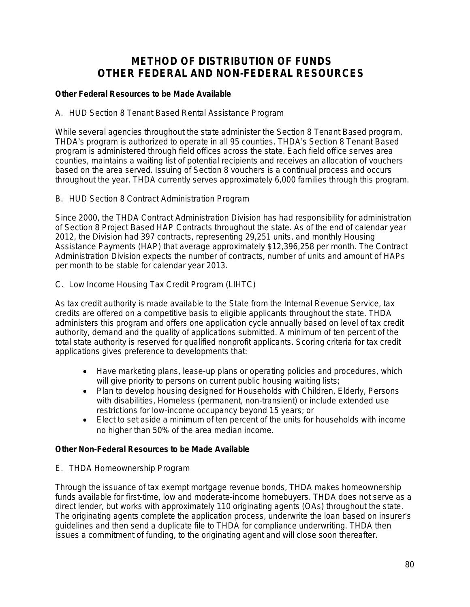# **METHOD OF DISTRIBUTION OF FUNDS OTHER FEDERAL AND NON-FEDERAL RESOURCES**

### *Other Federal Resources to be Made Available*

#### A. HUD Section 8 Tenant Based Rental Assistance Program

While several agencies throughout the state administer the Section 8 Tenant Based program, THDA's program is authorized to operate in all 95 counties. THDA's Section 8 Tenant Based program is administered through field offices across the state. Each field office serves area counties, maintains a waiting list of potential recipients and receives an allocation of vouchers based on the area served. Issuing of Section 8 vouchers is a continual process and occurs throughout the year. THDA currently serves approximately 6,000 families through this program.

### B. HUD Section 8 Contract Administration Program

Since 2000, the THDA Contract Administration Division has had responsibility for administration of Section 8 Project Based HAP Contracts throughout the state. As of the end of calendar year 2012, the Division had 397 contracts, representing 29,251 units, and monthly Housing Assistance Payments (HAP) that average approximately \$12,396,258 per month. The Contract Administration Division expects the number of contracts, number of units and amount of HAPs per month to be stable for calendar year 2013.

### C. Low Income Housing Tax Credit Program (LIHTC)

As tax credit authority is made available to the State from the Internal Revenue Service, tax credits are offered on a competitive basis to eligible applicants throughout the state. THDA administers this program and offers one application cycle annually based on level of tax credit authority, demand and the quality of applications submitted. A minimum of ten percent of the total state authority is reserved for qualified nonprofit applicants. Scoring criteria for tax credit applications gives preference to developments that:

- Have marketing plans, lease-up plans or operating policies and procedures, which will give priority to persons on current public housing waiting lists;
- Plan to develop housing designed for Households with Children, Elderly, Persons with disabilities, Homeless (permanent, non-transient) or include extended use restrictions for low-income occupancy beyond 15 years; or
- Elect to set aside a minimum of ten percent of the units for households with income no higher than 50% of the area median income.

#### *Other Non-Federal Resources to be Made Available*

E. THDA Homeownership Program

Through the issuance of tax exempt mortgage revenue bonds, THDA makes homeownership funds available for first-time, low and moderate-income homebuyers. THDA does not serve as a direct lender, but works with approximately 110 originating agents (OAs) throughout the state. The originating agents complete the application process, underwrite the loan based on insurer's guidelines and then send a duplicate file to THDA for compliance underwriting. THDA then issues a commitment of funding, to the originating agent and will close soon thereafter.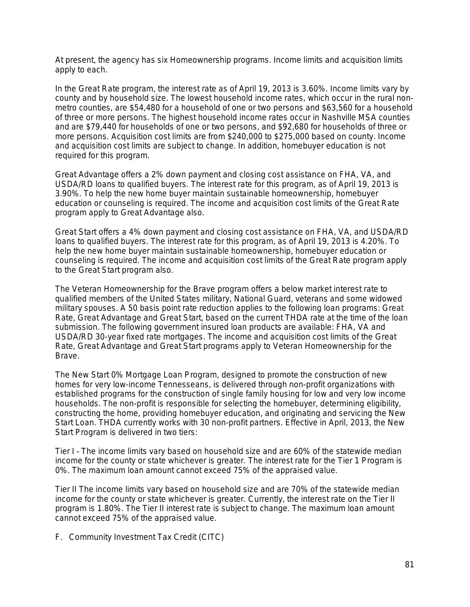At present, the agency has six Homeownership programs. Income limits and acquisition limits apply to each.

In the Great Rate program, the interest rate as of April 19, 2013 is 3.60%. Income limits vary by county and by household size. The lowest household income rates, which occur in the rural nonmetro counties, are \$54,480 for a household of one or two persons and \$63,560 for a household of three or more persons. The highest household income rates occur in Nashville MSA counties and are \$79,440 for households of one or two persons, and \$92,680 for households of three or more persons. Acquisition cost limits are from \$240,000 to \$275,000 based on county. Income and acquisition cost limits are subject to change. In addition, homebuyer education is not required for this program.

Great Advantage offers a 2% down payment and closing cost assistance on FHA, VA, and USDA/RD loans to qualified buyers. The interest rate for this program, as of April 19, 2013 is 3.90%. To help the new home buyer maintain sustainable homeownership, homebuyer education or counseling is required. The income and acquisition cost limits of the Great Rate program apply to Great Advantage also.

Great Start offers a 4% down payment and closing cost assistance on FHA, VA, and USDA/RD loans to qualified buyers. The interest rate for this program, as of April 19, 2013 is 4.20%. To help the new home buyer maintain sustainable homeownership, homebuyer education or counseling is required. The income and acquisition cost limits of the Great Rate program apply to the Great Start program also.

The Veteran Homeownership for the Brave program offers a below market interest rate to qualified members of the United States military, National Guard, veterans and some widowed military spouses. A 50 basis point rate reduction applies to the following loan programs: Great Rate, Great Advantage and Great Start, based on the current THDA rate at the time of the loan submission. The following government insured loan products are available: FHA, VA and USDA/RD 30-year fixed rate mortgages. The income and acquisition cost limits of the Great Rate, Great Advantage and Great Start programs apply to Veteran Homeownership for the Brave.

The New Start 0% Mortgage Loan Program, designed to promote the construction of new homes for very low-income Tennesseans, is delivered through non-profit organizations with established programs for the construction of single family housing for low and very low income households. The non-profit is responsible for selecting the homebuyer, determining eligibility, constructing the home, providing homebuyer education, and originating and servicing the New Start Loan. THDA currently works with 30 non-profit partners. Effective in April, 2013, the New Start Program is delivered in two tiers:

Tier I – The income limits vary based on household size and are 60% of the statewide median income for the county or state whichever is greater. The interest rate for the Tier 1 Program is 0%. The maximum loan amount cannot exceed 75% of the appraised value.

Tier II The income limits vary based on household size and are 70% of the statewide median income for the county or state whichever is greater. Currently, the interest rate on the Tier II program is 1.80%. The Tier II interest rate is subject to change. The maximum loan amount cannot exceed 75% of the appraised value.

F. Community Investment Tax Credit (CITC)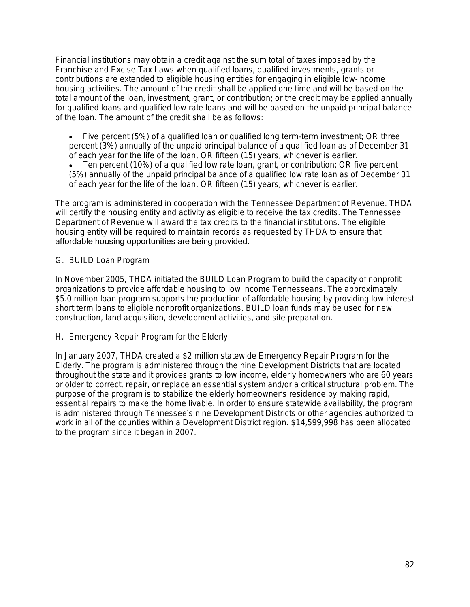Financial institutions may obtain a credit against the sum total of taxes imposed by the Franchise and Excise Tax Laws when qualified loans, qualified investments, grants or contributions are extended to eligible housing entities for engaging in eligible low-income housing activities. The amount of the credit shall be applied one time and will be based on the total amount of the loan, investment, grant, or contribution; or the credit may be applied annually for qualified loans and qualified low rate loans and will be based on the unpaid principal balance of the loan. The amount of the credit shall be as follows:

- Five percent (5%) of a qualified loan or qualified long term-term investment; *OR* three percent (3%) annually of the unpaid principal balance of a qualified loan as of December 31 of each year for the life of the loan, *OR* fifteen (15) years, whichever is earlier.
- Ten percent (10%) of a qualified low rate loan, grant, or contribution; *OR* five percent (5%) annually of the unpaid principal balance of a qualified low rate loan as of December 31 of each year for the life of the loan, *OR* fifteen (15) years, whichever is earlier.

The program is administered in cooperation with the Tennessee Department of Revenue. THDA will certify the housing entity and activity as eligible to receive the tax credits. The Tennessee Department of Revenue will award the tax credits to the financial institutions. The eligible housing entity will be required to maintain records as requested by THDA to ensure that affordable housing opportunities are being provided.

#### G. BUILD Loan Program

In November 2005, THDA initiated the BUILD Loan Program to build the capacity of nonprofit organizations to provide affordable housing to low income Tennesseans. The approximately \$5.0 million loan program supports the production of affordable housing by providing low interest short term loans to eligible nonprofit organizations. BUILD loan funds may be used for new construction, land acquisition, development activities, and site preparation.

H. Emergency Repair Program for the Elderly

In January 2007, THDA created a \$2 million statewide Emergency Repair Program for the Elderly. The program is administered through the nine Development Districts that are located throughout the state and it provides grants to low income, elderly homeowners who are 60 years or older to correct, repair, or replace an essential system and/or a critical structural problem. The purpose of the program is to stabilize the elderly homeowner's residence by making rapid, essential repairs to make the home livable. In order to ensure statewide availability, the program is administered through Tennessee's nine Development Districts or other agencies authorized to work in all of the counties within a Development District region. \$14,599,998 has been allocated to the program since it began in 2007.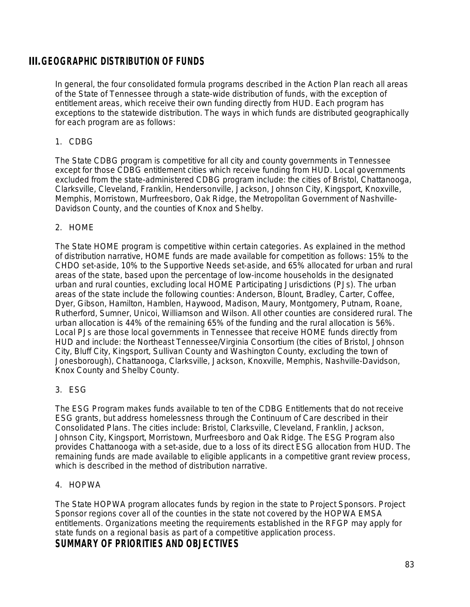# **III.GEOGRAPHIC DISTRIBUTION OF FUNDS**

In general, the four consolidated formula programs described in the Action Plan reach all areas of the State of Tennessee through a state-wide distribution of funds, with the exception of entitlement areas, which receive their own funding directly from HUD. Each program has exceptions to the statewide distribution. The ways in which funds are distributed geographically for each program are as follows:

#### 1. CDBG

The State CDBG program is competitive for all city and county governments in Tennessee except for those CDBG entitlement cities which receive funding from HUD. Local governments excluded from the state-administered CDBG program include: the cities of Bristol, Chattanooga, Clarksville, Cleveland, Franklin, Hendersonville, Jackson, Johnson City, Kingsport, Knoxville, Memphis, Morristown, Murfreesboro, Oak Ridge, the Metropolitan Government of Nashville-Davidson County, and the counties of Knox and Shelby.

### 2. HOME

The State HOME program is competitive within certain categories. As explained in the method of distribution narrative, HOME funds are made available for competition as follows: 15% to the CHDO set-aside, 10% to the Supportive Needs set-aside, and 65% allocated for urban and rural areas of the state, based upon the percentage of low-income households in the designated urban and rural counties, excluding local HOME Participating Jurisdictions (PJs). The urban areas of the state include the following counties: Anderson, Blount, Bradley, Carter, Coffee, Dyer, Gibson, Hamilton, Hamblen, Haywood, Madison, Maury, Montgomery, Putnam, Roane, Rutherford, Sumner, Unicoi, Williamson and Wilson. All other counties are considered rural. The urban allocation is 44% of the remaining 65% of the funding and the rural allocation is 56%. Local PJs are those local governments in Tennessee that receive HOME funds directly from HUD and include: the Northeast Tennessee/Virginia Consortium (the cities of Bristol, Johnson City, Bluff City, Kingsport, Sullivan County and Washington County, excluding the town of Jonesborough), Chattanooga, Clarksville, Jackson, Knoxville, Memphis, Nashville-Davidson, Knox County and Shelby County.

#### 3. ESG

The ESG Program makes funds available to ten of the CDBG Entitlements that do not receive ESG grants, but address homelessness through the Continuum of Care described in their Consolidated Plans. The cities include: Bristol, Clarksville, Cleveland, Franklin, Jackson, Johnson City, Kingsport, Morristown, Murfreesboro and Oak Ridge. The ESG Program also provides Chattanooga with a set-aside, due to a loss of its direct ESG allocation from HUD. The remaining funds are made available to eligible applicants in a competitive grant review process, which is described in the method of distribution narrative.

#### 4. HOPWA

The State HOPWA program allocates funds by region in the state to Project Sponsors. Project Sponsor regions cover all of the counties in the state not covered by the HOPWA EMSA entitlements. Organizations meeting the requirements established in the RFGP may apply for state funds on a regional basis as part of a competitive application process.

## **SUMMARY OF PRIORITIES AND OBJECTIVES**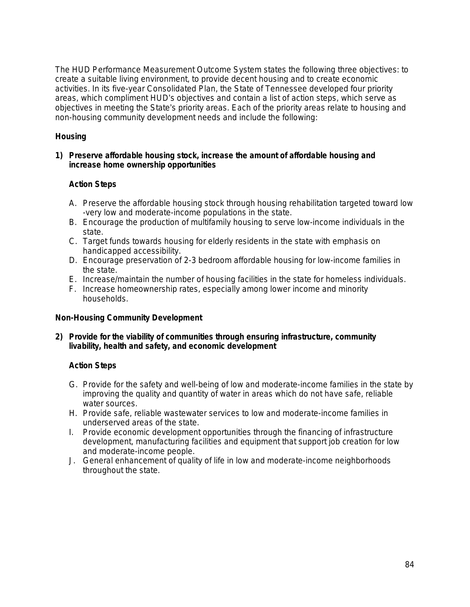The HUD Performance Measurement Outcome System states the following three objectives: to create a suitable living environment, to provide decent housing and to create economic activities. In its five-year Consolidated Plan, the State of Tennessee developed four priority areas, which compliment HUD's objectives and contain a list of action steps, which serve as objectives in meeting the State's priority areas. Each of the priority areas relate to housing and non-housing community development needs and include the following:

## **Housing**

#### **1) Preserve affordable housing stock, increase the amount of affordable housing and increase home ownership opportunities**

### **Action Steps**

- A. Preserve the affordable housing stock through housing rehabilitation targeted toward low -very low and moderate-income populations in the state.
- B. Encourage the production of multifamily housing to serve low-income individuals in the state.
- C. Target funds towards housing for elderly residents in the state with emphasis on handicapped accessibility.
- D. Encourage preservation of 2-3 bedroom affordable housing for low-income families in the state.
- E. Increase/maintain the number of housing facilities in the state for homeless individuals.
- F. Increase homeownership rates, especially among lower income and minority households.

#### **Non-Housing Community Development**

#### **2) Provide for the viability of communities through ensuring infrastructure, community livability, health and safety, and economic development**

## **Action Steps**

- G. Provide for the safety and well-being of low and moderate-income families in the state by improving the quality and quantity of water in areas which do not have safe, reliable water sources.
- H. Provide safe, reliable wastewater services to low and moderate-income families in underserved areas of the state.
- I. Provide economic development opportunities through the financing of infrastructure development, manufacturing facilities and equipment that support job creation for low and moderate-income people.
- J. General enhancement of quality of life in low and moderate-income neighborhoods throughout the state.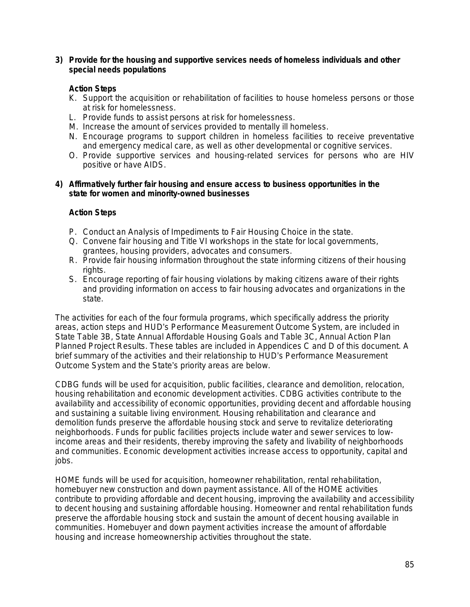#### **3) Provide for the housing and supportive services needs of homeless individuals and other special needs populations**

#### **Action Steps**

- K. Support the acquisition or rehabilitation of facilities to house homeless persons or those at risk for homelessness.
- L. Provide funds to assist persons at risk for homelessness.
- M. Increase the amount of services provided to mentally ill homeless.
- N. Encourage programs to support children in homeless facilities to receive preventative and emergency medical care, as well as other developmental or cognitive services.
- O. Provide supportive services and housing-related services for persons who are HIV positive or have AIDS.

#### **4) Affirmatively further fair housing and ensure access to business opportunities in the state for women and minority-owned businesses**

#### **Action Steps**

- P. Conduct an Analysis of Impediments to Fair Housing Choice in the state.
- Q. Convene fair housing and Title VI workshops in the state for local governments, grantees, housing providers, advocates and consumers.
- R. Provide fair housing information throughout the state informing citizens of their housing rights.
- S. Encourage reporting of fair housing violations by making citizens aware of their rights and providing information on access to fair housing advocates and organizations in the state.

The activities for each of the four formula programs, which specifically address the priority areas, action steps and HUD's Performance Measurement Outcome System, are included in State Table 3B, State Annual Affordable Housing Goals and Table 3C, Annual Action Plan Planned Project Results. These tables are included in Appendices C and D of this document. A brief summary of the activities and their relationship to HUD's Performance Measurement Outcome System and the State's priority areas are below.

CDBG funds will be used for acquisition, public facilities, clearance and demolition, relocation, housing rehabilitation and economic development activities. CDBG activities contribute to the availability and accessibility of economic opportunities, providing decent and affordable housing and sustaining a suitable living environment. Housing rehabilitation and clearance and demolition funds preserve the affordable housing stock and serve to revitalize deteriorating neighborhoods. Funds for public facilities projects include water and sewer services to lowincome areas and their residents, thereby improving the safety and livability of neighborhoods and communities. Economic development activities increase access to opportunity, capital and jobs.

HOME funds will be used for acquisition, homeowner rehabilitation, rental rehabilitation, homebuyer new construction and down payment assistance. All of the HOME activities contribute to providing affordable and decent housing, improving the availability and accessibility to decent housing and sustaining affordable housing. Homeowner and rental rehabilitation funds preserve the affordable housing stock and sustain the amount of decent housing available in communities. Homebuyer and down payment activities increase the amount of affordable housing and increase homeownership activities throughout the state.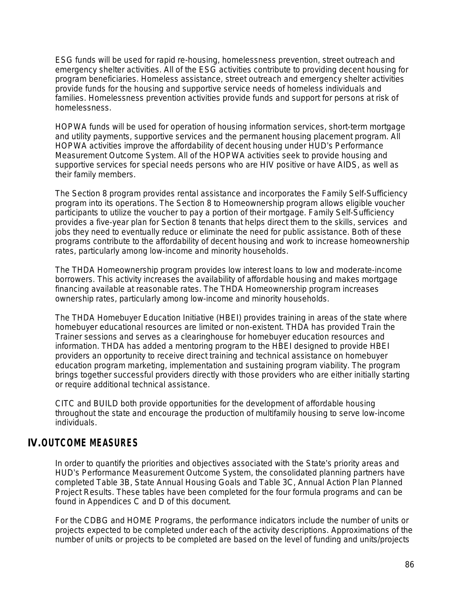ESG funds will be used for rapid re-housing, homelessness prevention, street outreach and emergency shelter activities. All of the ESG activities contribute to providing decent housing for program beneficiaries. Homeless assistance, street outreach and emergency shelter activities provide funds for the housing and supportive service needs of homeless individuals and families. Homelessness prevention activities provide funds and support for persons at risk of homelessness.

HOPWA funds will be used for operation of housing information services, short-term mortgage and utility payments, supportive services and the permanent housing placement program. All HOPWA activities improve the affordability of decent housing under HUD's Performance Measurement Outcome System. All of the HOPWA activities seek to provide housing and supportive services for special needs persons who are HIV positive or have AIDS, as well as their family members.

The Section 8 program provides rental assistance and incorporates the Family Self-Sufficiency program into its operations. The Section 8 to Homeownership program allows eligible voucher participants to utilize the voucher to pay a portion of their mortgage. Family Self-Sufficiency provides a five-year plan for Section 8 tenants that helps direct them to the skills, services and jobs they need to eventually reduce or eliminate the need for public assistance. Both of these programs contribute to the affordability of decent housing and work to increase homeownership rates, particularly among low-income and minority households.

The THDA Homeownership program provides low interest loans to low and moderate-income borrowers. This activity increases the availability of affordable housing and makes mortgage financing available at reasonable rates. The THDA Homeownership program increases ownership rates, particularly among low-income and minority households.

The THDA Homebuyer Education Initiative (HBEI) provides training in areas of the state where homebuyer educational resources are limited or non-existent. THDA has provided Train the Trainer sessions and serves as a clearinghouse for homebuyer education resources and information. THDA has added a mentoring program to the HBEI designed to provide HBEI providers an opportunity to receive direct training and technical assistance on homebuyer education program marketing, implementation and sustaining program viability. The program brings together successful providers directly with those providers who are either initially starting or require additional technical assistance.

CITC and BUILD both provide opportunities for the development of affordable housing throughout the state and encourage the production of multifamily housing to serve low-income individuals.

# **IV.OUTCOME MEASURES**

In order to quantify the priorities and objectives associated with the State's priority areas and HUD's Performance Measurement Outcome System, the consolidated planning partners have completed Table 3B, State Annual Housing Goals and Table 3C, Annual Action Plan Planned Project Results. These tables have been completed for the four formula programs and can be found in Appendices C and D of this document.

For the CDBG and HOME Programs, the performance indicators include the number of units or projects expected to be completed under each of the activity descriptions. Approximations of the number of units or projects to be completed are based on the level of funding and units/projects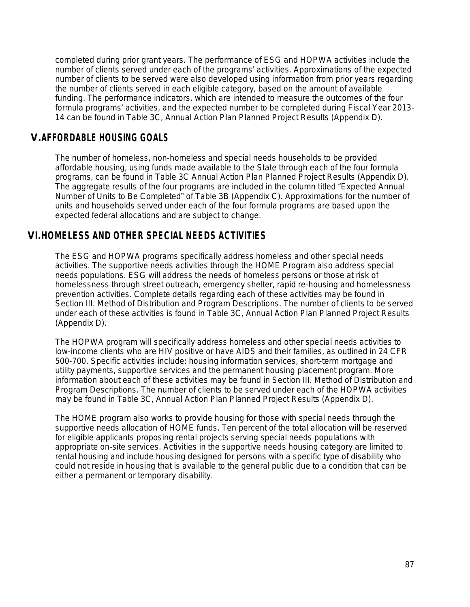completed during prior grant years. The performance of ESG and HOPWA activities include the number of clients served under each of the programs' activities. Approximations of the expected number of clients to be served were also developed using information from prior years regarding the number of clients served in each eligible category, based on the amount of available funding. The performance indicators, which are intended to measure the outcomes of the four formula programs' activities, and the expected number to be completed during Fiscal Year 2013- 14 can be found in Table 3C, Annual Action Plan Planned Project Results (Appendix D).

# **V.AFFORDABLE HOUSING GOALS**

The number of homeless, non-homeless and special needs households to be provided affordable housing, using funds made available to the State through each of the four formula programs, can be found in Table 3C Annual Action Plan Planned Project Results (Appendix D). The aggregate results of the four programs are included in the column titled "Expected Annual Number of Units to Be Completed" of Table 3B (Appendix C). Approximations for the number of units and households served under each of the four formula programs are based upon the expected federal allocations and are subject to change.

# **VI.HOMELESS AND OTHER SPECIAL NEEDS ACTIVITIES**

The ESG and HOPWA programs specifically address homeless and other special needs activities. The supportive needs activities through the HOME Program also address special needs populations. ESG will address the needs of homeless persons or those at risk of homelessness through street outreach, emergency shelter, rapid re-housing and homelessness prevention activities. Complete details regarding each of these activities may be found in Section III. Method of Distribution and Program Descriptions. The number of clients to be served under each of these activities is found in Table 3C, Annual Action Plan Planned Project Results (Appendix D).

The HOPWA program will specifically address homeless and other special needs activities to low-income clients who are HIV positive or have AIDS and their families, as outlined in 24 CFR 500-700. Specific activities include: housing information services, short-term mortgage and utility payments, supportive services and the permanent housing placement program. More information about each of these activities may be found in Section III. Method of Distribution and Program Descriptions. The number of clients to be served under each of the HOPWA activities may be found in Table 3C, Annual Action Plan Planned Project Results (Appendix D).

The HOME program also works to provide housing for those with special needs through the supportive needs allocation of HOME funds. Ten percent of the total allocation will be reserved for eligible applicants proposing rental projects serving special needs populations with appropriate on-site services. Activities in the supportive needs housing category are limited to rental housing and include housing designed for persons with a specific type of disability who could not reside in housing that is available to the general public due to a condition that can be either a permanent or temporary disability.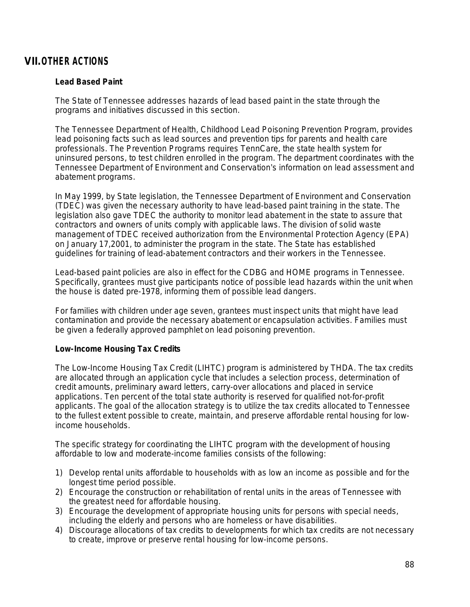# **VII.OTHER ACTIONS**

#### **Lead Based Paint**

The State of Tennessee addresses hazards of lead based paint in the state through the programs and initiatives discussed in this section.

The Tennessee Department of Health, Childhood Lead Poisoning Prevention Program, provides lead poisoning facts such as lead sources and prevention tips for parents and health care professionals. The Prevention Programs requires TennCare, the state health system for uninsured persons, to test children enrolled in the program. The department coordinates with the Tennessee Department of Environment and Conservation's information on lead assessment and abatement programs.

In May 1999, by State legislation, the Tennessee Department of Environment and Conservation (TDEC) was given the necessary authority to have lead-based paint training in the state. The legislation also gave TDEC the authority to monitor lead abatement in the state to assure that contractors and owners of units comply with applicable laws. The division of solid waste management of TDEC received authorization from the Environmental Protection Agency (EPA) on January 17,2001, to administer the program in the state. The State has established guidelines for training of lead-abatement contractors and their workers in the Tennessee.

Lead-based paint policies are also in effect for the CDBG and HOME programs in Tennessee. Specifically, grantees must give participants notice of possible lead hazards within the unit when the house is dated pre-1978, informing them of possible lead dangers.

For families with children under age seven, grantees must inspect units that might have lead contamination and provide the necessary abatement or encapsulation activities. Families must be given a federally approved pamphlet on lead poisoning prevention.

#### **Low-Income Housing Tax Credits**

The Low-Income Housing Tax Credit (LIHTC) program is administered by THDA. The tax credits are allocated through an application cycle that includes a selection process, determination of credit amounts, preliminary award letters, carry-over allocations and placed in service applications. Ten percent of the total state authority is reserved for qualified not-for-profit applicants. The goal of the allocation strategy is to utilize the tax credits allocated to Tennessee to the fullest extent possible to create, maintain, and preserve affordable rental housing for lowincome households.

The specific strategy for coordinating the LIHTC program with the development of housing affordable to low and moderate-income families consists of the following:

- 1) Develop rental units affordable to households with as low an income as possible and for the longest time period possible.
- 2) Encourage the construction or rehabilitation of rental units in the areas of Tennessee with the greatest need for affordable housing.
- 3) Encourage the development of appropriate housing units for persons with special needs, including the elderly and persons who are homeless or have disabilities.
- 4) Discourage allocations of tax credits to developments for which tax credits are not necessary to create, improve or preserve rental housing for low-income persons.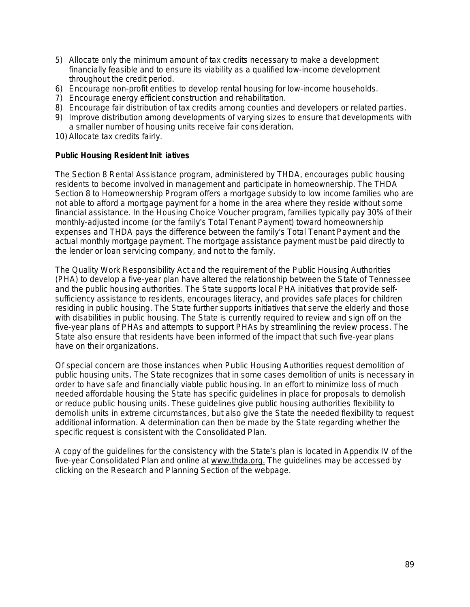- 5) Allocate only the minimum amount of tax credits necessary to make a development financially feasible and to ensure its viability as a qualified low-income development throughout the credit period.
- 6) Encourage non-profit entities to develop rental housing for low-income households.
- 7) Encourage energy efficient construction and rehabilitation.
- 8) Encourage fair distribution of tax credits among counties and developers or related parties.
- 9) Improve distribution among developments of varying sizes to ensure that developments with a smaller number of housing units receive fair consideration.
- 10) Allocate tax credits fairly.

#### **Public Housing Resident Init iatives**

The Section 8 Rental Assistance program, administered by THDA, encourages public housing residents to become involved in management and participate in homeownership. The THDA Section 8 to Homeownership Program offers a mortgage subsidy to low income families who are not able to afford a mortgage payment for a home in the area where they reside without some financial assistance. In the Housing Choice Voucher program, families typically pay 30% of their monthly-adjusted income (or the family's Total Tenant Payment) toward homeownership expenses and THDA pays the difference between the family's Total Tenant Payment and the actual monthly mortgage payment. The mortgage assistance payment must be paid directly to the lender or loan servicing company, and not to the family.

The Quality Work Responsibility Act and the requirement of the Public Housing Authorities (PHA) to develop a five-year plan have altered the relationship between the State of Tennessee and the public housing authorities. The State supports local PHA initiatives that provide selfsufficiency assistance to residents, encourages literacy, and provides safe places for children residing in public housing. The State further supports initiatives that serve the elderly and those with disabilities in public housing. The State is currently required to review and sign off on the five-year plans of PHAs and attempts to support PHAs by streamlining the review process. The State also ensure that residents have been informed of the impact that such five-year plans have on their organizations.

Of special concern are those instances when Public Housing Authorities request demolition of public housing units. The State recognizes that in some cases demolition of units is necessary in order to have safe and financially viable public housing. In an effort to minimize loss of much needed affordable housing the State has specific guidelines in place for proposals to demolish or reduce public housing units. These guidelines give public housing authorities flexibility to demolish units in extreme circumstances, but also give the State the needed flexibility to request additional information. A determination can then be made by the State regarding whether the specific request is consistent with the Consolidated Plan.

A copy of the guidelines for the consistency with the State's plan is located in Appendix IV of the five-year Consolidated Plan and online at [www.thda.org](http://www.thda.org). The guidelines may be accessed by clicking on the Research and Planning Section of the webpage.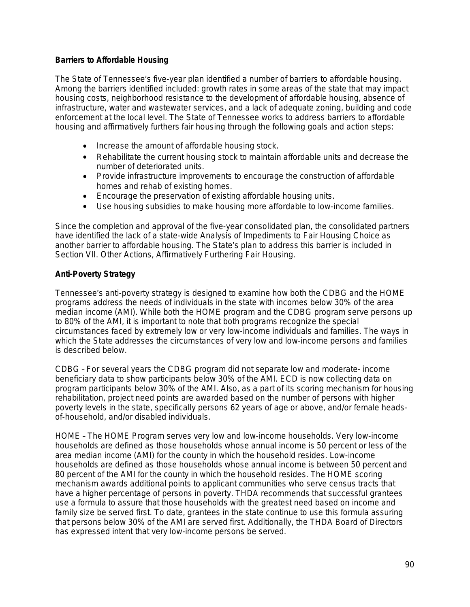#### **Barriers to Affordable Housing**

The State of Tennessee's five-year plan identified a number of barriers to affordable housing. Among the barriers identified included: growth rates in some areas of the state that may impact housing costs, neighborhood resistance to the development of affordable housing, absence of infrastructure, water and wastewater services, and a lack of adequate zoning, building and code enforcement at the local level. The State of Tennessee works to address barriers to affordable housing and affirmatively furthers fair housing through the following goals and action steps:

- Increase the amount of affordable housing stock.
- Rehabilitate the current housing stock to maintain affordable units and decrease the number of deteriorated units.
- Provide infrastructure improvements to encourage the construction of affordable homes and rehab of existing homes.
- Encourage the preservation of existing affordable housing units.
- Use housing subsidies to make housing more affordable to low-income families.

Since the completion and approval of the five-year consolidated plan, the consolidated partners have identified the lack of a state-wide Analysis of Impediments to Fair Housing Choice as another barrier to affordable housing. The State's plan to address this barrier is included in Section VII. Other Actions, Affirmatively Furthering Fair Housing.

### **Anti-Poverty Strategy**

Tennessee's anti-poverty strategy is designed to examine how both the CDBG and the HOME programs address the needs of individuals in the state with incomes below 30% of the area median income (AMI). While both the HOME program and the CDBG program serve persons up to 80% of the AMI, it is important to note that both programs recognize the special circumstances faced by extremely low or very low-income individuals and families. The ways in which the State addresses the circumstances of very low and low-income persons and families is described below.

CDBG – For several years the CDBG program did not separate low and moderate- income beneficiary data to show participants below 30% of the AMI. ECD is now collecting data on program participants below 30% of the AMI. Also, as a part of its scoring mechanism for housing rehabilitation, project need points are awarded based on the number of persons with higher poverty levels in the state, specifically persons 62 years of age or above, and/or female headsof-household, and/or disabled individuals.

HOME – The HOME Program serves very low and low-income households. Very low-income households are defined as those households whose annual income is 50 percent or less of the area median income (AMI) for the county in which the household resides. Low-income households are defined as those households whose annual income is between 50 percent and 80 percent of the AMI for the county in which the household resides. The HOME scoring mechanism awards additional points to applicant communities who serve census tracts that have a higher percentage of persons in poverty. THDA recommends that successful grantees use a formula to assure that those households with the greatest need based on income and family size be served first. To date, grantees in the state continue to use this formula assuring that persons below 30% of the AMI are served first. Additionally, the THDA Board of Directors has expressed intent that very low-income persons be served.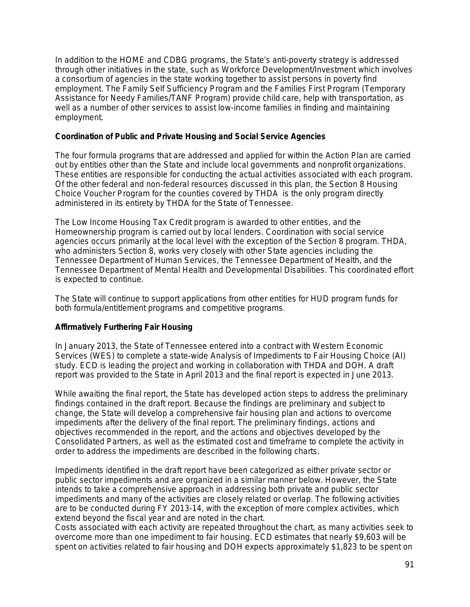In addition to the HOME and CDBG programs, the State's anti-poverty strategy is addressed through other initiatives in the state, such as Workforce Development/Investment which involves a consortium of agencies in the state working together to assist persons in poverty find employment. The Family Self Sufficiency Program and the Families First Program (Temporary Assistance for Needy Families/TANF Program) provide child care, help with transportation, as well as a number of other services to assist low-income families in finding and maintaining employment.

#### **Coordination of Public and Private Housing and Social Service Agencies**

The four formula programs that are addressed and applied for within the Action Plan are carried out by entities other than the State and include local governments and nonprofit organizations. These entities are responsible for conducting the actual activities associated with each program. Of the other federal and non-federal resources discussed in this plan, the Section 8 Housing Choice Voucher Program for the counties covered by THDA is the only program directly administered in its entirety by THDA for the State of Tennessee.

The Low Income Housing Tax Credit program is awarded to other entities, and the Homeownership program is carried out by local lenders. Coordination with social service agencies occurs primarily at the local level with the exception of the Section 8 program. THDA, who administers Section 8, works very closely with other State agencies including the Tennessee Department of Human Services, the Tennessee Department of Health, and the Tennessee Department of Mental Health and Developmental Disabilities. This coordinated effort is expected to continue.

The State will continue to support applications from other entities for HUD program funds for both formula/entitlement programs and competitive programs.

#### **Affirmatively Furthering Fair Housing**

In January 2013, the State of Tennessee entered into a contract with Western Economic Services (WES) to complete a state-wide Analysis of Impediments to Fair Housing Choice (AI) study. ECD is leading the project and working in collaboration with THDA and DOH. A draft report was provided to the State in April 2013 and the final report is expected in June 2013.

While awaiting the final report, the State has developed action steps to address the preliminary findings contained in the draft report. Because the findings are preliminary and subject to change, the State will develop a comprehensive fair housing plan and actions to overcome impediments after the delivery of the final report. The preliminary findings, actions and objectives recommended in the report, and the actions and objectives developed by the Consolidated Partners, as well as the estimated cost and timeframe to complete the activity in order to address the impediments are described in the following charts.

Impediments identified in the draft report have been categorized as either private sector or public sector impediments and are organized in a similar manner below. However, the State intends to take a comprehensive approach in addressing both private and public sector impediments and many of the activities are closely related or overlap. The following activities are to be conducted during FY 2013-14, with the exception of more complex activities, which extend beyond the fiscal year and are noted in the chart.

Costs associated with each activity are repeated throughout the chart, as many activities seek to overcome more than one impediment to fair housing. ECD estimates that nearly \$9,603 will be spent on activities related to fair housing and DOH expects approximately \$1,823 to be spent on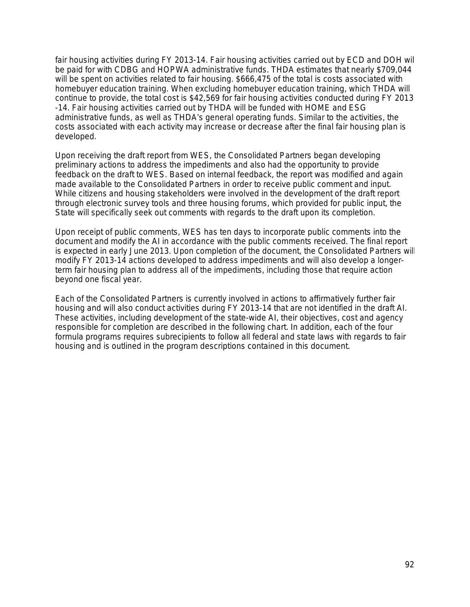fair housing activities during FY 2013-14. Fair housing activities carried out by ECD and DOH will be paid for with CDBG and HOPWA administrative funds. THDA estimates that nearly \$709,044 will be spent on activities related to fair housing. \$666,475 of the total is costs associated with homebuyer education training. When excluding homebuyer education training, which THDA will continue to provide, the total cost is \$42,569 for fair housing activities conducted during FY 2013 -14. Fair housing activities carried out by THDA will be funded with HOME and ESG administrative funds, as well as THDA's general operating funds. Similar to the activities, the costs associated with each activity may increase or decrease after the final fair housing plan is developed.

Upon receiving the draft report from WES, the Consolidated Partners began developing preliminary actions to address the impediments and also had the opportunity to provide feedback on the draft to WES. Based on internal feedback, the report was modified and again made available to the Consolidated Partners in order to receive public comment and input. While citizens and housing stakeholders were involved in the development of the draft report through electronic survey tools and three housing forums, which provided for public input, the State will specifically seek out comments with regards to the draft upon its completion.

Upon receipt of public comments, WES has ten days to incorporate public comments into the document and modify the AI in accordance with the public comments received. The final report is expected in early June 2013. Upon completion of the document, the Consolidated Partners will modify FY 2013-14 actions developed to address impediments and will also develop a longerterm fair housing plan to address all of the impediments, including those that require action beyond one fiscal year.

Each of the Consolidated Partners is currently involved in actions to affirmatively further fair housing and will also conduct activities during FY 2013-14 that are not identified in the draft AI. These activities, including development of the state-wide AI, their objectives, cost and agency responsible for completion are described in the following chart. In addition, each of the four formula programs requires subrecipients to follow all federal and state laws with regards to fair housing and is outlined in the program descriptions contained in this document.